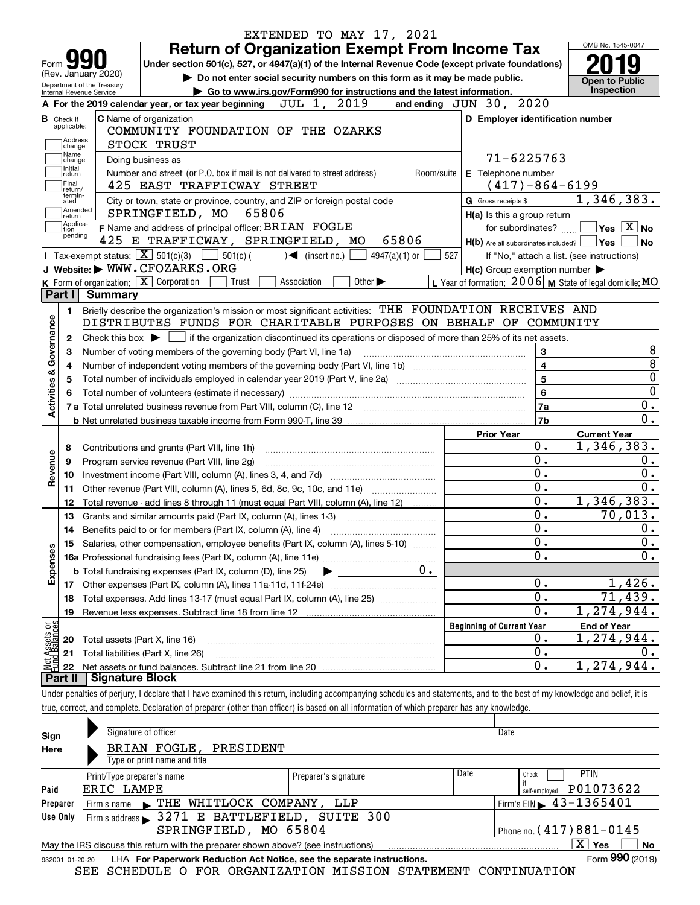|                           |                                  |                                                   |                                                                            | EXTENDED TO MAY 17, 2021                                                                                                                                                   |                                |                                  |                                                     |                                                           |
|---------------------------|----------------------------------|---------------------------------------------------|----------------------------------------------------------------------------|----------------------------------------------------------------------------------------------------------------------------------------------------------------------------|--------------------------------|----------------------------------|-----------------------------------------------------|-----------------------------------------------------------|
|                           |                                  |                                                   |                                                                            | <b>Return of Organization Exempt From Income Tax</b>                                                                                                                       |                                |                                  |                                                     | OMB No. 1545-0047                                         |
| Form                      |                                  |                                                   |                                                                            | Under section 501(c), 527, or 4947(a)(1) of the Internal Revenue Code (except private foundations)                                                                         |                                |                                  |                                                     |                                                           |
|                           |                                  | (Rev. January 2020)<br>Department of the Treasury |                                                                            | Do not enter social security numbers on this form as it may be made public.                                                                                                |                                |                                  |                                                     | <b>Open to Public</b>                                     |
|                           |                                  | Internal Revenue Service                          |                                                                            | Go to www.irs.gov/Form990 for instructions and the latest information.                                                                                                     |                                |                                  |                                                     | Inspection                                                |
|                           |                                  |                                                   | A For the 2019 calendar year, or tax year beginning                        | JUL 1, 2019                                                                                                                                                                | and ending $JUN$ $30$ , $2020$ |                                  |                                                     |                                                           |
|                           | <b>B</b> Check if<br>applicable: |                                                   | <b>C</b> Name of organization                                              |                                                                                                                                                                            |                                |                                  | D Employer identification number                    |                                                           |
|                           | Address                          |                                                   |                                                                            | COMMUNITY FOUNDATION OF THE OZARKS                                                                                                                                         |                                |                                  |                                                     |                                                           |
|                           | change<br>Name                   |                                                   | STOCK TRUST                                                                |                                                                                                                                                                            |                                |                                  | $71 - 6225763$                                      |                                                           |
|                           | change<br>Initial                |                                                   | Doing business as                                                          | Number and street (or P.O. box if mail is not delivered to street address)                                                                                                 | Room/suite                     |                                  | E Telephone number                                  |                                                           |
|                           | return<br>Final                  |                                                   | 425 EAST TRAFFICWAY STREET                                                 |                                                                                                                                                                            |                                |                                  | $(417) - 864 - 6199$                                |                                                           |
|                           | return/<br>termin-<br>ated       |                                                   |                                                                            | City or town, state or province, country, and ZIP or foreign postal code                                                                                                   |                                | G Gross receipts \$              |                                                     | 1,346,383.                                                |
|                           | Amended<br> return               |                                                   | SPRINGFIELD, MO                                                            | 65806                                                                                                                                                                      |                                |                                  | H(a) Is this a group return                         |                                                           |
|                           | Applica-<br>tion                 |                                                   | F Name and address of principal officer: BRIAN FOGLE                       |                                                                                                                                                                            |                                |                                  | for subordinates?                                   | $\sqrt{}$ Yes $\sqrt{}$ X $\sqrt{}$ No                    |
|                           | pending                          |                                                   |                                                                            | 425 E TRAFFICWAY, SPRINGFIELD, MO                                                                                                                                          | 65806                          |                                  | $H(b)$ Are all subordinates included? $\Box$ Yes    | No                                                        |
|                           |                                  |                                                   | <b>I</b> Tax-exempt status: $\boxed{\mathbf{X}}$ 501(c)(3) [<br>$501(c)$ ( | $\sqrt{\frac{1}{1}}$ (insert no.)                                                                                                                                          | $4947(a)(1)$ or                | 527                              |                                                     | If "No," attach a list. (see instructions)                |
|                           |                                  |                                                   | J Website: WWW.CFOZARKS.ORG                                                |                                                                                                                                                                            |                                |                                  | $H(c)$ Group exemption number $\blacktriangleright$ |                                                           |
|                           |                                  |                                                   | K Form of organization: X Corporation<br>Trust                             | Other $\blacktriangleright$<br>Association                                                                                                                                 |                                |                                  |                                                     | L Year of formation: $2006$ M State of legal domicile: MO |
|                           | Part I                           | Summary                                           |                                                                            |                                                                                                                                                                            |                                |                                  |                                                     |                                                           |
|                           | 1.                               |                                                   |                                                                            | Briefly describe the organization's mission or most significant activities: THE FOUNDATION RECEIVES AND                                                                    |                                |                                  |                                                     |                                                           |
| Activities & Governance   |                                  |                                                   |                                                                            | DISTRIBUTES FUNDS FOR CHARITABLE PURPOSES ON BEHALF OF COMMUNITY                                                                                                           |                                |                                  |                                                     |                                                           |
|                           | 2                                |                                                   |                                                                            | Check this box $\blacktriangleright$ $\blacksquare$ if the organization discontinued its operations or disposed of more than 25% of its net assets.                        |                                |                                  |                                                     |                                                           |
|                           | З                                |                                                   | Number of voting members of the governing body (Part VI, line 1a)          |                                                                                                                                                                            |                                |                                  | 3<br>$\overline{4}$                                 | 8<br>$\overline{8}$                                       |
|                           | 4                                |                                                   |                                                                            |                                                                                                                                                                            |                                |                                  | $\overline{5}$                                      | $\overline{0}$                                            |
|                           |                                  |                                                   |                                                                            |                                                                                                                                                                            |                                |                                  | $6\phantom{a}$                                      | $\overline{0}$                                            |
|                           |                                  |                                                   |                                                                            |                                                                                                                                                                            |                                |                                  | 7a                                                  | $\mathbf 0$ .                                             |
|                           |                                  |                                                   |                                                                            |                                                                                                                                                                            |                                |                                  | 7b                                                  | $\overline{0}$ .                                          |
|                           |                                  |                                                   |                                                                            |                                                                                                                                                                            |                                | <b>Prior Year</b>                |                                                     | <b>Current Year</b>                                       |
|                           | 8                                |                                                   |                                                                            |                                                                                                                                                                            |                                |                                  | 0.                                                  | 1,346,383.                                                |
|                           | 9                                |                                                   | Program service revenue (Part VIII, line 2g)                               |                                                                                                                                                                            |                                |                                  | 0.                                                  | 0.                                                        |
| Revenue                   | 10                               |                                                   |                                                                            |                                                                                                                                                                            |                                |                                  | $\overline{0}$ .                                    | $\overline{0}$ .                                          |
|                           | 11                               |                                                   |                                                                            | Other revenue (Part VIII, column (A), lines 5, 6d, 8c, 9c, 10c, and 11e)                                                                                                   |                                |                                  | $\overline{0}$ .                                    | $\overline{0}$ .                                          |
|                           | 12                               |                                                   |                                                                            | Total revenue - add lines 8 through 11 (must equal Part VIII, column (A), line 12)                                                                                         |                                |                                  | 0.                                                  | 1,346,383.                                                |
|                           | 13                               |                                                   | Grants and similar amounts paid (Part IX, column (A), lines 1-3)           |                                                                                                                                                                            |                                |                                  | $\overline{0}$ .                                    | 70,013.                                                   |
|                           | 14                               |                                                   | Benefits paid to or for members (Part IX, column (A), line 4)              |                                                                                                                                                                            |                                |                                  | $\overline{0}$ .                                    | 0.                                                        |
|                           |                                  |                                                   |                                                                            | 15 Salaries, other compensation, employee benefits (Part IX, column (A), lines 5-10)                                                                                       |                                |                                  | $\overline{0}$ .                                    | $\overline{\mathbf{0}}$ .                                 |
| Expenses                  |                                  |                                                   |                                                                            |                                                                                                                                                                            |                                |                                  | $\mathbf{0}$ .                                      | $\overline{0}$ .                                          |
|                           |                                  |                                                   | <b>b</b> Total fundraising expenses (Part IX, column (D), line 25)         | $\blacktriangleright$ and $\blacktriangleright$                                                                                                                            | 0.                             |                                  |                                                     |                                                           |
|                           |                                  |                                                   |                                                                            |                                                                                                                                                                            |                                |                                  | 0.<br>$\overline{0}$ .                              | 1,426.                                                    |
|                           | 18                               |                                                   |                                                                            | Total expenses. Add lines 13-17 (must equal Part IX, column (A), line 25) [                                                                                                |                                |                                  | $\overline{\text{o}}$ .                             | $\overline{71}$ , 439.<br>1,274,944.                      |
|                           | 19                               |                                                   |                                                                            |                                                                                                                                                                            |                                | <b>Beginning of Current Year</b> |                                                     |                                                           |
| t Assets or<br>d Balances | 20                               |                                                   | Total assets (Part X, line 16)                                             |                                                                                                                                                                            |                                |                                  | 0.                                                  | <b>End of Year</b><br>1,274,944.                          |
|                           | 21                               |                                                   | Total liabilities (Part X, line 26)                                        |                                                                                                                                                                            |                                |                                  | 0.                                                  | $0 \cdot$                                                 |
|                           | 22                               |                                                   |                                                                            |                                                                                                                                                                            |                                |                                  | 0.                                                  | 1,274,944.                                                |
|                           | Part II                          | <b>Signature Block</b>                            |                                                                            |                                                                                                                                                                            |                                |                                  |                                                     |                                                           |
|                           |                                  |                                                   |                                                                            | Under penalties of perjury, I declare that I have examined this return, including accompanying schedules and statements, and to the best of my knowledge and belief, it is |                                |                                  |                                                     |                                                           |
|                           |                                  |                                                   |                                                                            | true, correct, and complete. Declaration of preparer (other than officer) is based on all information of which preparer has any knowledge.                                 |                                |                                  |                                                     |                                                           |
|                           |                                  |                                                   |                                                                            |                                                                                                                                                                            |                                |                                  |                                                     |                                                           |
| Sign                      |                                  |                                                   | Signature of officer                                                       |                                                                                                                                                                            |                                |                                  | Date                                                |                                                           |
| Here                      |                                  |                                                   | BRIAN FOGLE, PRESIDENT                                                     |                                                                                                                                                                            |                                |                                  |                                                     |                                                           |
|                           |                                  |                                                   | Type or print name and title                                               |                                                                                                                                                                            |                                |                                  |                                                     |                                                           |
|                           |                                  | Print/Type preparer's name                        |                                                                            | Preparer's signature                                                                                                                                                       |                                | Date                             | Check                                               | PTIN                                                      |
| Paid                      |                                  | ERIC LAMPE                                        |                                                                            |                                                                                                                                                                            |                                |                                  | self-employed                                       | P01073622                                                 |
|                           | Preparer                         | Firm's name                                       | FIHE WHITLOCK COMPANY, LLP                                                 |                                                                                                                                                                            |                                |                                  | Firm's EIN $\triangleright$ 43-1365401              |                                                           |
|                           | Use Only                         |                                                   |                                                                            | Firm's address > 3271 E BATTLEFIELD, SUITE 300                                                                                                                             |                                |                                  |                                                     |                                                           |
|                           |                                  |                                                   | SPRINGFIELD, MO 65804                                                      |                                                                                                                                                                            |                                |                                  |                                                     | Phone no. (417) 881-0145                                  |

|                 | May the IRS discuss this return with the preparer shown above? (see instructions) | $\overline{\mathbf{X}}$<br>Yes<br><b>No</b> |
|-----------------|-----------------------------------------------------------------------------------|---------------------------------------------|
| 932001 01-20-20 | LHA For Paperwork Reduction Act Notice, see the separate instructions.            | Form 990 (2019)                             |

SEE SCHEDULE O FOR ORGANIZATION MISSION STATEMENT CONTINUATION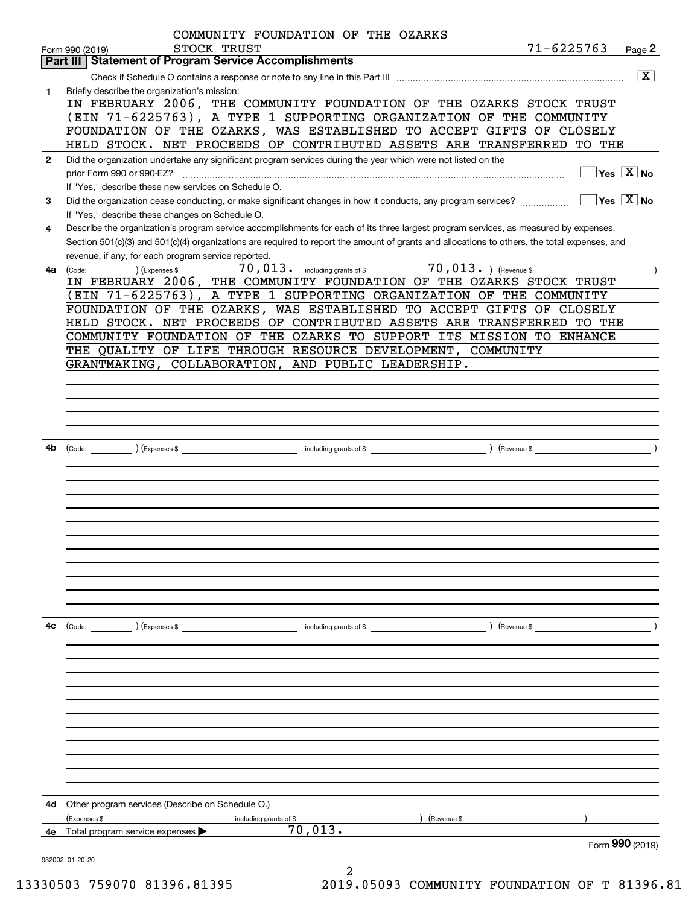|              | COMMUNITY FOUNDATION OF THE OZARKS                                                                                                           |                      |                                        |
|--------------|----------------------------------------------------------------------------------------------------------------------------------------------|----------------------|----------------------------------------|
|              | STOCK TRUST<br>Form 990 (2019)                                                                                                               | $71 - 6225763$       | Page 2                                 |
|              | <b>Part III   Statement of Program Service Accomplishments</b>                                                                               |                      |                                        |
|              |                                                                                                                                              |                      | $\boxed{\text{X}}$                     |
| 1.           | Briefly describe the organization's mission:                                                                                                 |                      |                                        |
|              | IN FEBRUARY 2006, THE COMMUNITY FOUNDATION OF THE OZARKS STOCK TRUST                                                                         |                      |                                        |
|              | (EIN 71-6225763), A TYPE 1 SUPPORTING ORGANIZATION OF THE COMMUNITY                                                                          |                      |                                        |
|              | FOUNDATION OF THE OZARKS, WAS ESTABLISHED TO ACCEPT GIFTS OF CLOSELY                                                                         |                      |                                        |
|              | HELD STOCK. NET PROCEEDS OF CONTRIBUTED ASSETS ARE TRANSFERRED TO THE                                                                        |                      |                                        |
| $\mathbf{2}$ | Did the organization undertake any significant program services during the year which were not listed on the                                 |                      |                                        |
|              | prior Form 990 or 990-EZ?                                                                                                                    |                      | $\sqrt{}$ Yes $\sqrt{}$ X $\sqrt{}$ No |
|              | If "Yes," describe these new services on Schedule O.                                                                                         |                      |                                        |
| 3            | Did the organization cease conducting, or make significant changes in how it conducts, any program services?                                 | $\Box$ Yes $\Box$ No |                                        |
|              | If "Yes," describe these changes on Schedule O.                                                                                              |                      |                                        |
| 4            | Describe the organization's program service accomplishments for each of its three largest program services, as measured by expenses.         |                      |                                        |
|              | Section 501(c)(3) and 501(c)(4) organizations are required to report the amount of grants and allocations to others, the total expenses, and |                      |                                        |
|              | revenue, if any, for each program service reported.                                                                                          |                      |                                        |
| 4a           | 70,013. including grants of \$ 70,013. ) (Revenue \$<br>) (Expenses \$<br>(Code:                                                             |                      |                                        |
|              | IN FEBRUARY 2006, THE COMMUNITY FOUNDATION OF THE OZARKS STOCK TRUST                                                                         |                      |                                        |
|              | (EIN 71-6225763), A TYPE 1 SUPPORTING ORGANIZATION OF THE COMMUNITY                                                                          |                      |                                        |
|              | FOUNDATION OF THE OZARKS, WAS ESTABLISHED TO ACCEPT GIFTS OF CLOSELY                                                                         |                      |                                        |
|              | HELD STOCK. NET PROCEEDS OF CONTRIBUTED ASSETS ARE TRANSFERRED TO THE                                                                        |                      |                                        |
|              | COMMUNITY FOUNDATION OF THE OZARKS TO SUPPORT ITS MISSION TO ENHANCE                                                                         |                      |                                        |
|              | THE QUALITY OF LIFE THROUGH RESOURCE DEVELOPMENT, COMMUNITY<br>GRANTMAKING, COLLABORATION, AND PUBLIC LEADERSHIP.                            |                      |                                        |
|              |                                                                                                                                              |                      |                                        |
|              |                                                                                                                                              |                      |                                        |
|              |                                                                                                                                              |                      |                                        |
|              |                                                                                                                                              |                      |                                        |
|              |                                                                                                                                              |                      |                                        |
| 4b           |                                                                                                                                              |                      |                                        |
|              |                                                                                                                                              |                      |                                        |
|              |                                                                                                                                              |                      |                                        |
|              |                                                                                                                                              |                      |                                        |
|              |                                                                                                                                              |                      |                                        |
|              |                                                                                                                                              |                      |                                        |
|              |                                                                                                                                              |                      |                                        |
|              |                                                                                                                                              |                      |                                        |
|              |                                                                                                                                              |                      |                                        |
|              |                                                                                                                                              |                      |                                        |
|              |                                                                                                                                              |                      |                                        |
|              |                                                                                                                                              |                      |                                        |
|              |                                                                                                                                              |                      |                                        |
| 4c           | (Code: ) (Expenses \$<br>including grants of \$                                                                                              | ) (Revenue \$        |                                        |
|              |                                                                                                                                              |                      |                                        |
|              |                                                                                                                                              |                      |                                        |
|              |                                                                                                                                              |                      |                                        |
|              |                                                                                                                                              |                      |                                        |
|              |                                                                                                                                              |                      |                                        |
|              |                                                                                                                                              |                      |                                        |
|              |                                                                                                                                              |                      |                                        |
|              |                                                                                                                                              |                      |                                        |
|              |                                                                                                                                              |                      |                                        |
|              |                                                                                                                                              |                      |                                        |
|              |                                                                                                                                              |                      |                                        |
| 4d           | Other program services (Describe on Schedule O.)                                                                                             |                      |                                        |
|              | (Expenses \$<br>(Revenue \$<br>including grants of \$                                                                                        |                      |                                        |
| 4е           | 70,013.<br>Total program service expenses                                                                                                    |                      |                                        |
|              |                                                                                                                                              |                      | Form 990 (2019)                        |
|              | 932002 01-20-20                                                                                                                              |                      |                                        |
|              |                                                                                                                                              |                      |                                        |

13330503 759070 81396.81395 2019.05093 COMMUNITY FOUNDATION OF T 81396.81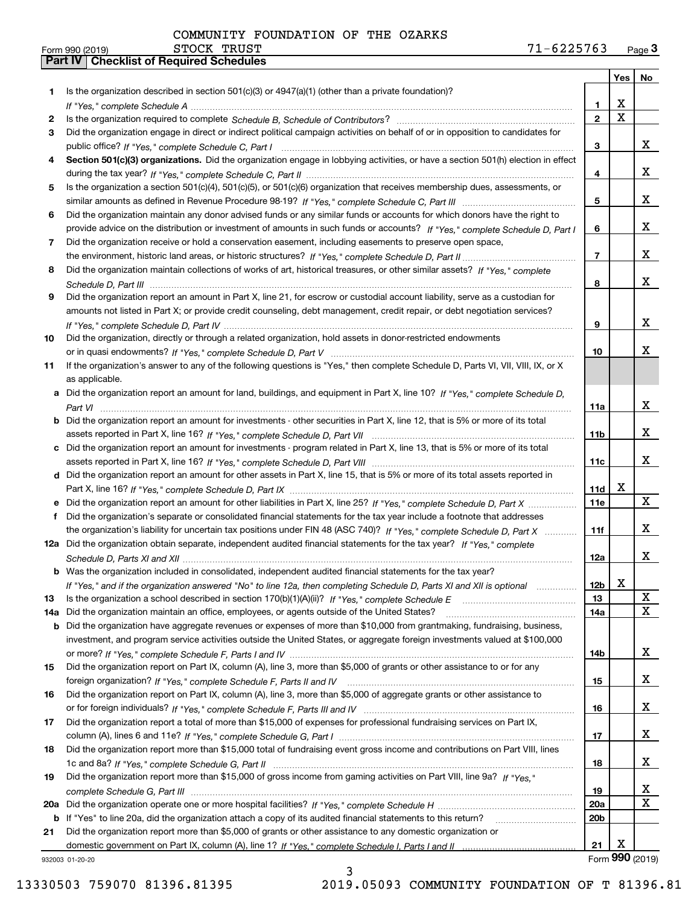|     |                                                                                                                                  |                 | Yes              | No                      |
|-----|----------------------------------------------------------------------------------------------------------------------------------|-----------------|------------------|-------------------------|
| 1   | Is the organization described in section $501(c)(3)$ or $4947(a)(1)$ (other than a private foundation)?                          |                 |                  |                         |
|     |                                                                                                                                  | 1               | х<br>$\mathbf X$ |                         |
| 2   |                                                                                                                                  | $\overline{2}$  |                  |                         |
| 3   | Did the organization engage in direct or indirect political campaign activities on behalf of or in opposition to candidates for  |                 |                  |                         |
|     |                                                                                                                                  | З               |                  | X                       |
| 4   | Section 501(c)(3) organizations. Did the organization engage in lobbying activities, or have a section 501(h) election in effect |                 |                  | x                       |
| 5   | Is the organization a section 501(c)(4), 501(c)(5), or 501(c)(6) organization that receives membership dues, assessments, or     | 4               |                  |                         |
|     |                                                                                                                                  | 5               |                  | x                       |
| 6   | Did the organization maintain any donor advised funds or any similar funds or accounts for which donors have the right to        |                 |                  |                         |
|     | provide advice on the distribution or investment of amounts in such funds or accounts? If "Yes," complete Schedule D, Part I     | 6               |                  | x                       |
| 7   | Did the organization receive or hold a conservation easement, including easements to preserve open space,                        |                 |                  |                         |
|     |                                                                                                                                  | $\overline{7}$  |                  | x                       |
| 8   | Did the organization maintain collections of works of art, historical treasures, or other similar assets? If "Yes," complete     |                 |                  |                         |
|     |                                                                                                                                  | 8               |                  | x                       |
| 9   | Did the organization report an amount in Part X, line 21, for escrow or custodial account liability, serve as a custodian for    |                 |                  |                         |
|     | amounts not listed in Part X; or provide credit counseling, debt management, credit repair, or debt negotiation services?        |                 |                  |                         |
|     |                                                                                                                                  | 9               |                  | x                       |
| 10  | Did the organization, directly or through a related organization, hold assets in donor-restricted endowments                     |                 |                  |                         |
|     |                                                                                                                                  | 10              |                  | х                       |
| 11  | If the organization's answer to any of the following questions is "Yes," then complete Schedule D, Parts VI, VII, VIII, IX, or X |                 |                  |                         |
|     | as applicable.                                                                                                                   |                 |                  |                         |
|     | Did the organization report an amount for land, buildings, and equipment in Part X, line 10? If "Yes," complete Schedule D,      |                 |                  |                         |
|     |                                                                                                                                  | 11a             |                  | x                       |
| b   | Did the organization report an amount for investments - other securities in Part X, line 12, that is 5% or more of its total     |                 |                  |                         |
|     |                                                                                                                                  | 11b             |                  | x                       |
| с   | Did the organization report an amount for investments - program related in Part X, line 13, that is 5% or more of its total      |                 |                  |                         |
|     |                                                                                                                                  | 11c             |                  | x                       |
|     | d Did the organization report an amount for other assets in Part X, line 15, that is 5% or more of its total assets reported in  |                 |                  |                         |
|     |                                                                                                                                  | 11d             | X                |                         |
|     | Did the organization report an amount for other liabilities in Part X, line 25? If "Yes," complete Schedule D, Part X            | <b>11e</b>      |                  | X                       |
| f   | Did the organization's separate or consolidated financial statements for the tax year include a footnote that addresses          |                 |                  |                         |
|     | the organization's liability for uncertain tax positions under FIN 48 (ASC 740)? If "Yes," complete Schedule D, Part X           | 11f             |                  | x                       |
| 12a | Did the organization obtain separate, independent audited financial statements for the tax year? If "Yes," complete              |                 |                  |                         |
|     |                                                                                                                                  | 12a             |                  | X                       |
|     | <b>b</b> Was the organization included in consolidated, independent audited financial statements for the tax year?               |                 |                  |                         |
|     | If "Yes," and if the organization answered "No" to line 12a, then completing Schedule D, Parts XI and XII is optional            | 12 <sub>b</sub> | x                |                         |
| 13  | Is the organization a school described in section 170(b)(1)(A)(ii)? If "Yes," complete Schedule E                                | 13              |                  | X                       |
| 14a | Did the organization maintain an office, employees, or agents outside of the United States?                                      | 14a             |                  | X                       |
| b   | Did the organization have aggregate revenues or expenses of more than \$10,000 from grantmaking, fundraising, business,          |                 |                  |                         |
|     | investment, and program service activities outside the United States, or aggregate foreign investments valued at \$100,000       |                 |                  |                         |
|     |                                                                                                                                  | 14b             |                  | X                       |
| 15  | Did the organization report on Part IX, column (A), line 3, more than \$5,000 of grants or other assistance to or for any        |                 |                  |                         |
|     |                                                                                                                                  | 15              |                  | X                       |
| 16  | Did the organization report on Part IX, column (A), line 3, more than \$5,000 of aggregate grants or other assistance to         |                 |                  |                         |
|     |                                                                                                                                  | 16              |                  | X                       |
| 17  | Did the organization report a total of more than \$15,000 of expenses for professional fundraising services on Part IX,          |                 |                  | X                       |
| 18  | Did the organization report more than \$15,000 total of fundraising event gross income and contributions on Part VIII, lines     | 17              |                  |                         |
|     |                                                                                                                                  | 18              |                  | X                       |
| 19  | Did the organization report more than \$15,000 of gross income from gaming activities on Part VIII, line 9a? If "Yes."           |                 |                  |                         |
|     |                                                                                                                                  | 19              |                  | X                       |
| 20a |                                                                                                                                  | 20a             |                  | $\overline{\textbf{X}}$ |
| b   | If "Yes" to line 20a, did the organization attach a copy of its audited financial statements to this return?                     | 20 <sub>b</sub> |                  |                         |
| 21  | Did the organization report more than \$5,000 of grants or other assistance to any domestic organization or                      |                 |                  |                         |
|     |                                                                                                                                  | 21              | х                |                         |
|     | 932003 01-20-20                                                                                                                  |                 | Form 990 (2019)  |                         |

932003 01-20-20

13330503 759070 81396.81395 2019.05093 COMMUNITY FOUNDATION OF T 81396.81

3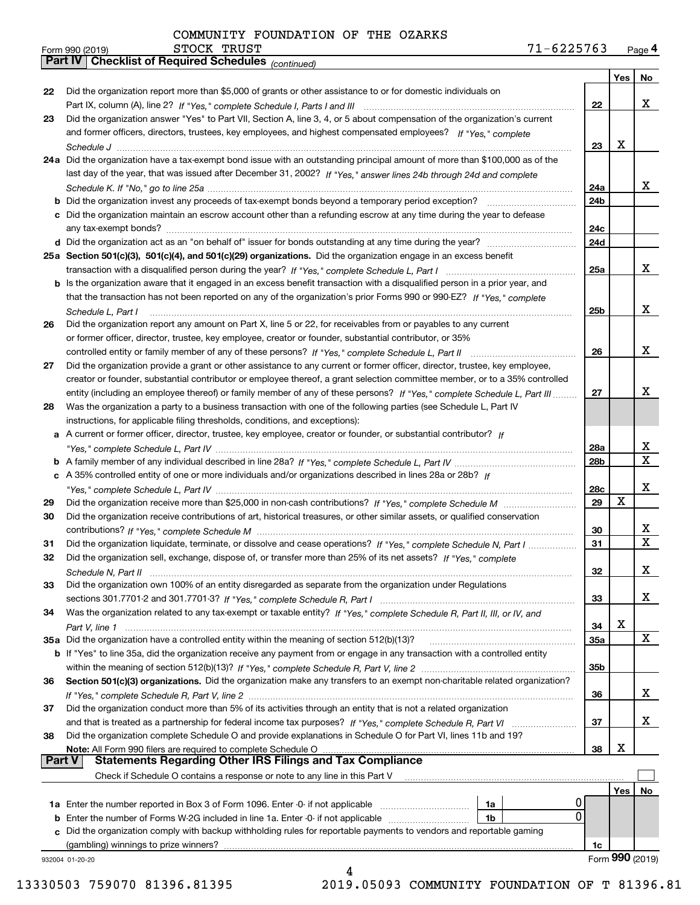|               | $71 - 6225763$<br>STOCK TRUST<br>Form 990 (2019)                                                                             |                 |            | Page 4          |
|---------------|------------------------------------------------------------------------------------------------------------------------------|-----------------|------------|-----------------|
|               | Part IV   Checklist of Required Schedules (continued)                                                                        |                 |            |                 |
|               |                                                                                                                              |                 | <b>Yes</b> | No              |
| 22            | Did the organization report more than \$5,000 of grants or other assistance to or for domestic individuals on                |                 |            |                 |
|               |                                                                                                                              | 22              |            | x               |
| 23            | Did the organization answer "Yes" to Part VII, Section A, line 3, 4, or 5 about compensation of the organization's current   |                 |            |                 |
|               | and former officers, directors, trustees, key employees, and highest compensated employees? If "Yes," complete               |                 |            |                 |
|               | 24a Did the organization have a tax-exempt bond issue with an outstanding principal amount of more than \$100,000 as of the  | 23              | X          |                 |
|               | last day of the year, that was issued after December 31, 2002? If "Yes," answer lines 24b through 24d and complete           |                 |            |                 |
|               |                                                                                                                              | 24a             |            | X               |
|               | <b>b</b> Did the organization invest any proceeds of tax-exempt bonds beyond a temporary period exception?                   | 24b             |            |                 |
|               | c Did the organization maintain an escrow account other than a refunding escrow at any time during the year to defease       |                 |            |                 |
|               |                                                                                                                              | 24c             |            |                 |
|               |                                                                                                                              | 24d             |            |                 |
|               | 25a Section 501(c)(3), 501(c)(4), and 501(c)(29) organizations. Did the organization engage in an excess benefit             |                 |            |                 |
|               |                                                                                                                              | 25a             |            | X               |
|               | b Is the organization aware that it engaged in an excess benefit transaction with a disqualified person in a prior year, and |                 |            |                 |
|               | that the transaction has not been reported on any of the organization's prior Forms 990 or 990-EZ? If "Yes," complete        |                 |            |                 |
|               | Schedule L, Part I                                                                                                           | 25b             |            | x               |
| 26            | Did the organization report any amount on Part X, line 5 or 22, for receivables from or payables to any current              |                 |            |                 |
|               | or former officer, director, trustee, key employee, creator or founder, substantial contributor, or 35%                      | 26              |            | X               |
| 27            | Did the organization provide a grant or other assistance to any current or former officer, director, trustee, key employee,  |                 |            |                 |
|               | creator or founder, substantial contributor or employee thereof, a grant selection committee member, or to a 35% controlled  |                 |            |                 |
|               | entity (including an employee thereof) or family member of any of these persons? If "Yes," complete Schedule L, Part III     | 27              |            | x               |
| 28            | Was the organization a party to a business transaction with one of the following parties (see Schedule L, Part IV            |                 |            |                 |
|               | instructions, for applicable filing thresholds, conditions, and exceptions):                                                 |                 |            |                 |
|               | a A current or former officer, director, trustee, key employee, creator or founder, or substantial contributor? If           |                 |            |                 |
|               |                                                                                                                              | 28a             |            | x               |
|               |                                                                                                                              | 28 <sub>b</sub> |            | X               |
|               | c A 35% controlled entity of one or more individuals and/or organizations described in lines 28a or 28b? If                  |                 |            |                 |
|               |                                                                                                                              | 28c             |            | x               |
| 29            |                                                                                                                              | 29              | X          |                 |
| 30            | Did the organization receive contributions of art, historical treasures, or other similar assets, or qualified conservation  |                 |            | х               |
| 31            | Did the organization liquidate, terminate, or dissolve and cease operations? If "Yes," complete Schedule N, Part I           | 30<br>31        |            | X               |
| 32            | Did the organization sell, exchange, dispose of, or transfer more than 25% of its net assets? If "Yes," complete             |                 |            |                 |
|               |                                                                                                                              | 32              |            | х               |
| 33            | Did the organization own 100% of an entity disregarded as separate from the organization under Regulations                   |                 |            |                 |
|               |                                                                                                                              | 33              |            | x               |
| 34            | Was the organization related to any tax-exempt or taxable entity? If "Yes," complete Schedule R, Part II, III, or IV, and    |                 |            |                 |
|               |                                                                                                                              | 34              | х          |                 |
|               |                                                                                                                              | 35a             |            | X               |
|               | b If "Yes" to line 35a, did the organization receive any payment from or engage in any transaction with a controlled entity  |                 |            |                 |
|               |                                                                                                                              | 35 <sub>b</sub> |            |                 |
| 36            | Section 501(c)(3) organizations. Did the organization make any transfers to an exempt non-charitable related organization?   |                 |            |                 |
|               |                                                                                                                              | 36              |            | x               |
| 37            | Did the organization conduct more than 5% of its activities through an entity that is not a related organization             | 37              |            | х               |
| 38            | Did the organization complete Schedule O and provide explanations in Schedule O for Part VI, lines 11b and 19?               |                 |            |                 |
|               | Note: All Form 990 filers are required to complete Schedule O                                                                | 38              | х          |                 |
| <b>Part V</b> | <b>Statements Regarding Other IRS Filings and Tax Compliance</b>                                                             |                 |            |                 |
|               | Check if Schedule O contains a response or note to any line in this Part V                                                   |                 |            |                 |
|               |                                                                                                                              |                 | Yes        | No              |
|               | 1a                                                                                                                           | 0               |            |                 |
|               | 1 <sub>b</sub>                                                                                                               | 0               |            |                 |
|               | c Did the organization comply with backup withholding rules for reportable payments to vendors and reportable gaming         |                 |            |                 |
|               | (gambling) winnings to prize winners?                                                                                        | 1c              |            |                 |
|               | 932004 01-20-20                                                                                                              |                 |            | Form 990 (2019) |
|               | 4                                                                                                                            |                 |            |                 |

13330503 759070 81396.81395 2019.05093 COMMUNITY FOUNDATION OF T 81396.81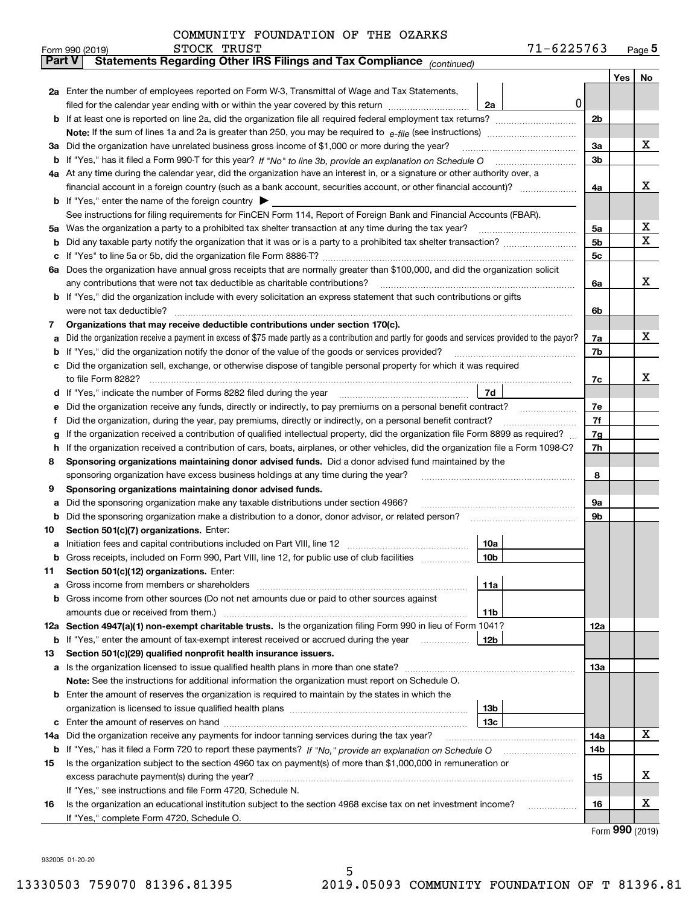|        | 71-6225763<br>STOCK TRUST<br>Form 990 (2019)                                                                                                    |                |     | $Page$ <sup>5</sup> |
|--------|-------------------------------------------------------------------------------------------------------------------------------------------------|----------------|-----|---------------------|
| Part V | Statements Regarding Other IRS Filings and Tax Compliance (continued)                                                                           |                |     |                     |
|        |                                                                                                                                                 |                | Yes | No                  |
|        | 2a Enter the number of employees reported on Form W-3, Transmittal of Wage and Tax Statements,                                                  |                |     |                     |
|        | 0<br>filed for the calendar year ending with or within the year covered by this return <i>manumumumum</i><br>2a                                 |                |     |                     |
|        |                                                                                                                                                 | 2b             |     |                     |
|        |                                                                                                                                                 |                |     |                     |
| За     | Did the organization have unrelated business gross income of \$1,000 or more during the year?                                                   | 3a             |     | х                   |
|        |                                                                                                                                                 | 3b             |     |                     |
|        | 4a At any time during the calendar year, did the organization have an interest in, or a signature or other authority over, a                    |                |     |                     |
|        |                                                                                                                                                 | 4a             |     | х                   |
|        | <b>b</b> If "Yes," enter the name of the foreign country $\blacktriangleright$                                                                  |                |     |                     |
|        | See instructions for filing requirements for FinCEN Form 114, Report of Foreign Bank and Financial Accounts (FBAR).                             |                |     |                     |
| 5a     | Was the organization a party to a prohibited tax shelter transaction at any time during the tax year?                                           | 5a             |     | x                   |
| b      |                                                                                                                                                 | 5 <sub>b</sub> |     | х                   |
| с      |                                                                                                                                                 | 5c             |     |                     |
|        | 6a Does the organization have annual gross receipts that are normally greater than \$100,000, and did the organization solicit                  |                |     |                     |
|        | any contributions that were not tax deductible as charitable contributions?                                                                     | 6a             |     | x                   |
|        | b If "Yes," did the organization include with every solicitation an express statement that such contributions or gifts                          |                |     |                     |
|        | were not tax deductible?                                                                                                                        | 6b             |     |                     |
| 7      | Organizations that may receive deductible contributions under section 170(c).                                                                   |                |     |                     |
| а      | Did the organization receive a payment in excess of \$75 made partly as a contribution and partly for goods and services provided to the payor? | 7a             |     | х                   |
| b      | If "Yes," did the organization notify the donor of the value of the goods or services provided?                                                 | 7b             |     |                     |
| c      | Did the organization sell, exchange, or otherwise dispose of tangible personal property for which it was required                               |                |     |                     |
|        |                                                                                                                                                 | 7c             |     | x                   |
| d      | 7d                                                                                                                                              |                |     |                     |
| е      | Did the organization receive any funds, directly or indirectly, to pay premiums on a personal benefit contract?                                 | 7e             |     |                     |
| f      | Did the organization, during the year, pay premiums, directly or indirectly, on a personal benefit contract?                                    | 7f             |     |                     |
| g      | If the organization received a contribution of qualified intellectual property, did the organization file Form 8899 as required?                | 7g             |     |                     |
| h      | If the organization received a contribution of cars, boats, airplanes, or other vehicles, did the organization file a Form 1098-C?              | 7h             |     |                     |
| 8      | Sponsoring organizations maintaining donor advised funds. Did a donor advised fund maintained by the                                            |                |     |                     |
|        | sponsoring organization have excess business holdings at any time during the year?                                                              | 8              |     |                     |
| 9      | Sponsoring organizations maintaining donor advised funds.                                                                                       |                |     |                     |
| а      | Did the sponsoring organization make any taxable distributions under section 4966?                                                              | 9а             |     |                     |
| b      | Did the sponsoring organization make a distribution to a donor, donor advisor, or related person?                                               | 9b             |     |                     |
| 10     | Section 501(c)(7) organizations. Enter:                                                                                                         |                |     |                     |
| а      | 10a                                                                                                                                             |                |     |                     |
|        | 10b <br>Gross receipts, included on Form 990, Part VIII, line 12, for public use of club facilities                                             |                |     |                     |
| 11     | Section 501(c)(12) organizations. Enter:                                                                                                        |                |     |                     |
| а      | Gross income from members or shareholders<br>11a                                                                                                |                |     |                     |
| b      | Gross income from other sources (Do not net amounts due or paid to other sources against                                                        |                |     |                     |
|        | 11 <sub>b</sub>                                                                                                                                 |                |     |                     |
|        | 12a Section 4947(a)(1) non-exempt charitable trusts. Is the organization filing Form 990 in lieu of Form 1041?                                  | 12a            |     |                     |
|        | <b>b</b> If "Yes," enter the amount of tax-exempt interest received or accrued during the year<br>12b                                           |                |     |                     |
| 13     | Section 501(c)(29) qualified nonprofit health insurance issuers.                                                                                |                |     |                     |
| a      | Is the organization licensed to issue qualified health plans in more than one state?                                                            | <b>13a</b>     |     |                     |
|        | Note: See the instructions for additional information the organization must report on Schedule O.                                               |                |     |                     |
| b      | Enter the amount of reserves the organization is required to maintain by the states in which the                                                |                |     |                     |
|        | 13b                                                                                                                                             |                |     |                     |
| с      | 13с                                                                                                                                             |                |     |                     |
| 14a    | Did the organization receive any payments for indoor tanning services during the tax year?                                                      | 14a            |     | x                   |
|        | <b>b</b> If "Yes," has it filed a Form 720 to report these payments? If "No," provide an explanation on Schedule O                              | 14b            |     |                     |
| 15     | Is the organization subject to the section 4960 tax on payment(s) of more than \$1,000,000 in remuneration or                                   |                |     |                     |
|        |                                                                                                                                                 | 15             |     | X                   |
|        | If "Yes," see instructions and file Form 4720, Schedule N.                                                                                      |                |     |                     |
| 16     | Is the organization an educational institution subject to the section 4968 excise tax on net investment income?                                 | 16             |     | X                   |
|        | If "Yes," complete Form 4720, Schedule O.                                                                                                       |                |     |                     |

5

Form (2019) **990**

932005 01-20-20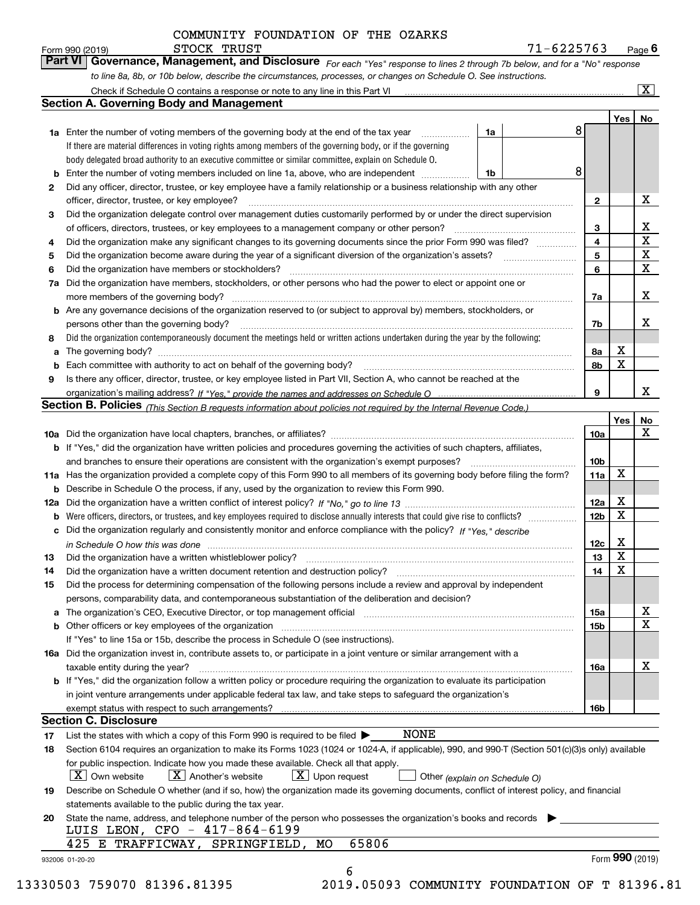**Yes No 1a1a** Enter the number of voting members of the governing body at the end of the tax year  $\ldots$ *For each "Yes" response to lines 2 through 7b below, and for a "No" response to line 8a, 8b, or 10b below, describe the circumstances, processes, or changes on Schedule O. See instructions.* If there are material differences in voting rights among members of the governing body, or if the governing Form 990 (2019) **CONVICT EXECT BRUST**<br>**Part VI Governance, Management, and Disclosure** For each "Yes" response to lines 2 through 7b below, and for a "No" response Check if Schedule O contains a response or note to any line in this Part VI **Section A. Governing Body and Management**  $\boxed{\text{X}}$ 8

|              | body delegated broad authority to an executive committee or similar committee, explain on Schedule O.                             |    |    |   |   |  |
|--------------|-----------------------------------------------------------------------------------------------------------------------------------|----|----|---|---|--|
|              | <b>b</b> Enter the number of voting members included on line 1a, above, who are independent                                       | 1b |    |   |   |  |
| $\mathbf{2}$ | Did any officer, director, trustee, or key employee have a family relationship or a business relationship with any other          |    |    |   |   |  |
|              | officer, director, trustee, or key employee?                                                                                      |    | 2  |   | х |  |
| 3            | Did the organization delegate control over management duties customarily performed by or under the direct supervision             |    |    |   |   |  |
|              | of officers, directors, trustees, or key employees to a management company or other person?                                       |    | з  |   | x |  |
| 4            | Did the organization make any significant changes to its governing documents since the prior Form 990 was filed?                  |    | 4  |   | X |  |
| 5            | Did the organization become aware during the year of a significant diversion of the organization's assets?                        |    | 5  |   | х |  |
| 6            | Did the organization have members or stockholders?                                                                                |    | 6  |   | x |  |
| 7a           | Did the organization have members, stockholders, or other persons who had the power to elect or appoint one or                    |    |    |   |   |  |
|              | more members of the governing body?                                                                                               |    | 7a |   | х |  |
|              | <b>b</b> Are any governance decisions of the organization reserved to (or subject to approval by) members, stockholders, or       |    |    |   |   |  |
|              | persons other than the governing body?                                                                                            |    | 7b |   | x |  |
| 8            | Did the organization contemporaneously document the meetings held or written actions undertaken during the year by the following: |    |    |   |   |  |
|              | <b>a</b> The governing body?                                                                                                      |    | 8а | x |   |  |
| b            | Each committee with authority to act on behalf of the governing body?                                                             |    | 8b | х |   |  |
| 9            | Is there any officer, director, trustee, or key employee listed in Part VII, Section A, who cannot be reached at the              |    |    |   |   |  |
|              |                                                                                                                                   |    | 9  |   | x |  |

|  |  | <b>Section B. Policies</b> (This Section B requests information about policies not required by the Internal Revenue Code.) |  |
|--|--|----------------------------------------------------------------------------------------------------------------------------|--|
|  |  |                                                                                                                            |  |

|     |                                                                                                                                                                                                       |                 | Yes | No |
|-----|-------------------------------------------------------------------------------------------------------------------------------------------------------------------------------------------------------|-----------------|-----|----|
|     |                                                                                                                                                                                                       | 10a             |     | x  |
|     | b If "Yes," did the organization have written policies and procedures governing the activities of such chapters, affiliates,                                                                          |                 |     |    |
|     | and branches to ensure their operations are consistent with the organization's exempt purposes?                                                                                                       | 10 <sub>b</sub> |     |    |
|     | 11a Has the organization provided a complete copy of this Form 990 to all members of its governing body before filing the form?                                                                       | 11a             | Χ   |    |
| b   | Describe in Schedule O the process, if any, used by the organization to review this Form 990.                                                                                                         |                 |     |    |
| 12a |                                                                                                                                                                                                       | 12a             | Χ   |    |
| b   |                                                                                                                                                                                                       | 12 <sub>b</sub> | X   |    |
| с   | Did the organization regularly and consistently monitor and enforce compliance with the policy? If "Yes," describe                                                                                    |                 |     |    |
|     | in Schedule O how this was done                                                                                                                                                                       | 12c             | х   |    |
| 13  | Did the organization have a written whistleblower policy?                                                                                                                                             | 13              | x   |    |
| 14  | Did the organization have a written document retention and destruction policy?                                                                                                                        | 14              | X   |    |
| 15  | Did the process for determining compensation of the following persons include a review and approval by independent                                                                                    |                 |     |    |
|     | persons, comparability data, and contemporaneous substantiation of the deliberation and decision?                                                                                                     |                 |     |    |
| a   | The organization's CEO, Executive Director, or top management official manufactured contains and contained a manufactured with the organization's CEO, Executive Director, or top management official | <b>15a</b>      |     | x  |
| b   | Other officers or key employees of the organization                                                                                                                                                   | 15 <sub>b</sub> |     | X  |
|     | If "Yes" to line 15a or 15b, describe the process in Schedule O (see instructions).                                                                                                                   |                 |     |    |
|     | <b>16a</b> Did the organization invest in, contribute assets to, or participate in a joint venture or similar arrangement with a                                                                      |                 |     |    |
|     | taxable entity during the year?                                                                                                                                                                       | <b>16a</b>      |     | x  |
|     | <b>b</b> If "Yes," did the organization follow a written policy or procedure requiring the organization to evaluate its participation                                                                 |                 |     |    |
|     | in joint venture arrangements under applicable federal tax law, and take steps to safeguard the organization's                                                                                        |                 |     |    |
|     |                                                                                                                                                                                                       | 16 <sub>b</sub> |     |    |
|     | <b>Section C. Disclosure</b>                                                                                                                                                                          |                 |     |    |
| 17  | <b>NONE</b><br>List the states with which a copy of this Form 990 is required to be filed $\blacktriangleright$                                                                                       |                 |     |    |
| 18  | Section 6104 requires an organization to make its Forms 1023 (1024 or 1024-A, if applicable), 990, and 990-T (Section 501(c)(3)s only) available                                                      |                 |     |    |
|     | for public inspection. Indicate how you made these available. Check all that apply.                                                                                                                   |                 |     |    |
|     | $\lfloor x \rfloor$ Another's website<br>$X$ Upon request<br>$X \mid$ Own website<br>Other (explain on Schedule O)                                                                                    |                 |     |    |

| 19 Describe on Schedule O whether (and if so, how) the organization made its governing documents, conflict of interest policy, and financial |  |
|----------------------------------------------------------------------------------------------------------------------------------------------|--|
| statements available to the public during the tax year.                                                                                      |  |

| 20 State the name, address, and telephone number of the person who possesses the organization's books and records |  |
|-------------------------------------------------------------------------------------------------------------------|--|
| LUIS LEON, CFO - 417-864-6199                                                                                     |  |
| 425 E TRAFFICWAY, SPRINGFIELD, MO 65806                                                                           |  |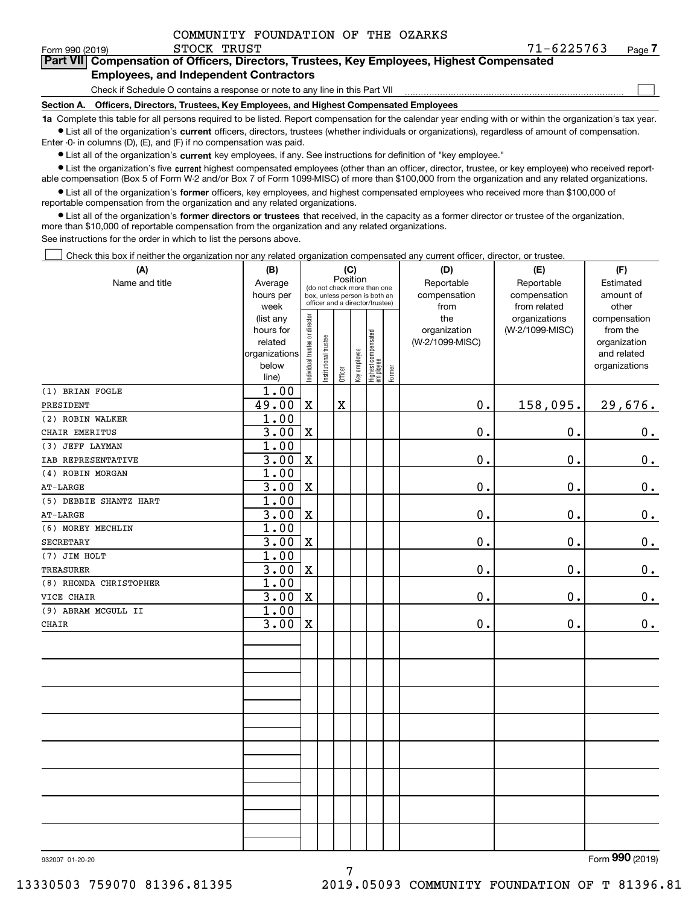| COMMUNITY FOUNDATION OF THE OZARKS |
|------------------------------------|
|------------------------------------|

Form 990 (2019) STOCK TRUST 71-6 2 2 5 7 6 3 <sub>Page</sub> **7Part VII Compensation of Officers, Directors, Trustees, Key Employees, Highest Compensated Employees, and Independent Contractors**

### Check if Schedule O contains a response or note to any line in this Part VII

**Section A. Officers, Directors, Trustees, Key Employees, and Highest Compensated Employees**

**1a**  Complete this table for all persons required to be listed. Report compensation for the calendar year ending with or within the organization's tax year. **•** List all of the organization's current officers, directors, trustees (whether individuals or organizations), regardless of amount of compensation.

Enter -0- in columns (D), (E), and (F) if no compensation was paid.

 $\bullet$  List all of the organization's  $\,$ current key employees, if any. See instructions for definition of "key employee."

**•** List the organization's five current highest compensated employees (other than an officer, director, trustee, or key employee) who received reportable compensation (Box 5 of Form W-2 and/or Box 7 of Form 1099-MISC) of more than \$100,000 from the organization and any related organizations.

**•** List all of the organization's former officers, key employees, and highest compensated employees who received more than \$100,000 of reportable compensation from the organization and any related organizations.

**former directors or trustees**  ¥ List all of the organization's that received, in the capacity as a former director or trustee of the organization, more than \$10,000 of reportable compensation from the organization and any related organizations.

See instructions for the order in which to list the persons above.

Check this box if neither the organization nor any related organization compensated any current officer, director, or trustee.  $\mathcal{L}^{\text{max}}$ 

| (A)                    | (B)            |                                |                       |             | (C)          |                                  |        | (D)             | (E)             | (F)           |
|------------------------|----------------|--------------------------------|-----------------------|-------------|--------------|----------------------------------|--------|-----------------|-----------------|---------------|
| Name and title         | Average        |                                |                       | Position    |              | (do not check more than one      |        | Reportable      | Reportable      | Estimated     |
|                        | hours per      |                                |                       |             |              | box, unless person is both an    |        | compensation    | compensation    | amount of     |
|                        | week           |                                |                       |             |              | officer and a director/trustee)  |        | from            | from related    | other         |
|                        | (list any      |                                |                       |             |              |                                  |        | the             | organizations   | compensation  |
|                        | hours for      |                                |                       |             |              |                                  |        | organization    | (W-2/1099-MISC) | from the      |
|                        | related        |                                |                       |             |              |                                  |        | (W-2/1099-MISC) |                 | organization  |
|                        | organizations  |                                |                       |             |              |                                  |        |                 |                 | and related   |
|                        | below<br>line) | Individual trustee or director | Institutional trustee | Officer     | Key employee | Highest compensated<br> employee | Former |                 |                 | organizations |
| (1) BRIAN FOGLE        | 1.00           |                                |                       |             |              |                                  |        |                 |                 |               |
| PRESIDENT              | 49.00          | $\mathbf X$                    |                       | $\mathbf x$ |              |                                  |        | 0.              | 158,095.        | 29,676.       |
| (2) ROBIN WALKER       | 1.00           |                                |                       |             |              |                                  |        |                 |                 |               |
| CHAIR EMERITUS         | 3.00           | $\mathbf x$                    |                       |             |              |                                  |        | $0$ .           | 0.              | $\mathbf 0$ . |
| (3) JEFF LAYMAN        | 1.00           |                                |                       |             |              |                                  |        |                 |                 |               |
| IAB REPRESENTATIVE     | 3.00           | $\mathbf X$                    |                       |             |              |                                  |        | 0.              | 0.              | $\mathbf 0$ . |
| (4) ROBIN MORGAN       | 1.00           |                                |                       |             |              |                                  |        |                 |                 |               |
| $AT-LARGE$             | 3.00           | $\mathbf X$                    |                       |             |              |                                  |        | 0.              | 0.              | $\mathbf 0$ . |
| (5) DEBBIE SHANTZ HART | 1.00           |                                |                       |             |              |                                  |        |                 |                 |               |
| $AT-LARGE$             | 3.00           | $\mathbf X$                    |                       |             |              |                                  |        | 0.              | $\mathbf 0$ .   | $\mathbf 0$ . |
| (6) MOREY MECHLIN      | 1.00           |                                |                       |             |              |                                  |        |                 |                 |               |
| <b>SECRETARY</b>       | 3.00           | $\mathbf X$                    |                       |             |              |                                  |        | $\mathbf 0$ .   | 0.              | $0_{.}$       |
| (7) JIM HOLT           | 1.00           |                                |                       |             |              |                                  |        |                 |                 |               |
| TREASURER              | 3.00           | $\mathbf X$                    |                       |             |              |                                  |        | 0.              | $\mathbf 0$ .   | $0_{.}$       |
| (8) RHONDA CHRISTOPHER | 1.00           |                                |                       |             |              |                                  |        |                 |                 |               |
| VICE CHAIR             | 3.00           | $\mathbf X$                    |                       |             |              |                                  |        | $\mathbf 0$ .   | 0.              | 0.            |
| (9) ABRAM MCGULL II    | 1.00           |                                |                       |             |              |                                  |        |                 |                 |               |
| CHAIR                  | 3.00           | $\mathbf X$                    |                       |             |              |                                  |        | $0$ .           | 0.              | $0_{.}$       |
|                        |                |                                |                       |             |              |                                  |        |                 |                 |               |
|                        |                |                                |                       |             |              |                                  |        |                 |                 |               |
|                        |                |                                |                       |             |              |                                  |        |                 |                 |               |
|                        |                |                                |                       |             |              |                                  |        |                 |                 |               |
|                        |                |                                |                       |             |              |                                  |        |                 |                 |               |
|                        |                |                                |                       |             |              |                                  |        |                 |                 |               |
|                        |                |                                |                       |             |              |                                  |        |                 |                 |               |
|                        |                |                                |                       |             |              |                                  |        |                 |                 |               |
|                        |                |                                |                       |             |              |                                  |        |                 |                 |               |
|                        |                |                                |                       |             |              |                                  |        |                 |                 |               |
|                        |                |                                |                       |             |              |                                  |        |                 |                 |               |
|                        |                |                                |                       |             |              |                                  |        |                 |                 |               |
|                        |                |                                |                       |             |              |                                  |        |                 |                 |               |

932007 01-20-20

Form (2019) **990**

13330503 759070 81396.81395 2019.05093 COMMUNITY FOUNDATION OF T 81396.81

 $\mathcal{L}^{\text{max}}$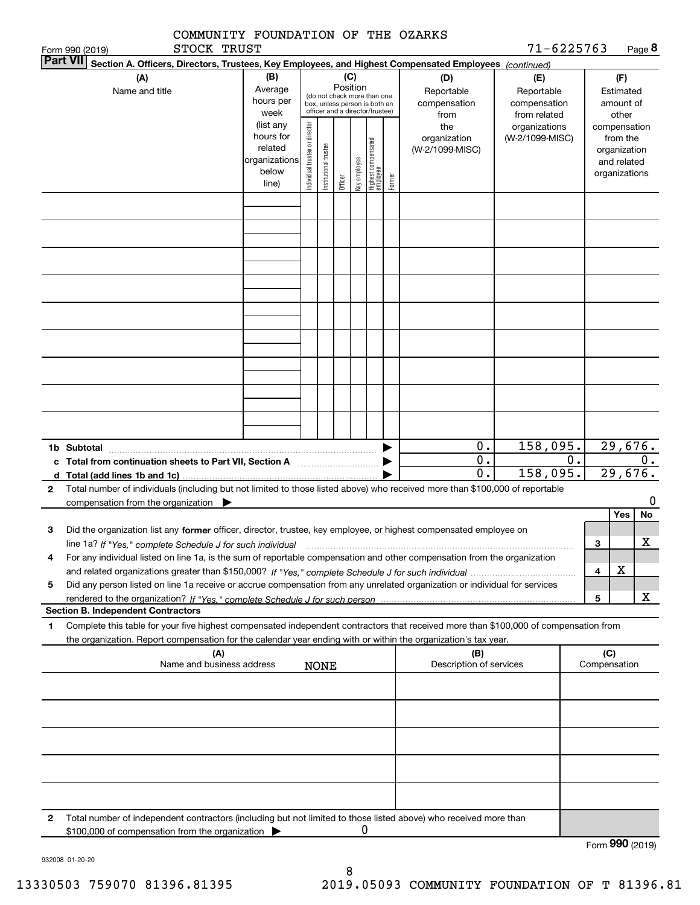| COMMUNITY FOUNDATION OF THE OZARKS                                                                                                                                                                                                                                             |                                                                      |                                |                       |          |              |                                                                                                 |        |                                           |                                                   |    |                                               |                                        |        |
|--------------------------------------------------------------------------------------------------------------------------------------------------------------------------------------------------------------------------------------------------------------------------------|----------------------------------------------------------------------|--------------------------------|-----------------------|----------|--------------|-------------------------------------------------------------------------------------------------|--------|-------------------------------------------|---------------------------------------------------|----|-----------------------------------------------|----------------------------------------|--------|
| STOCK TRUST<br>Form 990 (2019)<br><b>Part VII</b>                                                                                                                                                                                                                              |                                                                      |                                |                       |          |              |                                                                                                 |        |                                           | 71-6225763                                        |    |                                               |                                        | Page 8 |
| Section A. Officers, Directors, Trustees, Key Employees, and Highest Compensated Employees (continued)<br>(A)<br>Name and title                                                                                                                                                | (B)<br>Average<br>hours per<br>week                                  |                                |                       | Position | (C)          | (do not check more than one<br>box, unless person is both an<br>officer and a director/trustee) |        | (D)<br>Reportable<br>compensation<br>from | (E)<br>Reportable<br>compensation<br>from related |    |                                               | (F)<br>Estimated<br>amount of<br>other |        |
|                                                                                                                                                                                                                                                                                | (list any<br>hours for<br>related<br>organizations<br>below<br>line) | Individual trustee or director | Institutional trustee | Officer  | Key employee | Highest compensated<br>employee                                                                 | Former | the<br>organization<br>(W-2/1099-MISC)    | organizations<br>(W-2/1099-MISC)                  |    | compensation<br>organization<br>organizations | from the<br>and related                |        |
|                                                                                                                                                                                                                                                                                |                                                                      |                                |                       |          |              |                                                                                                 |        |                                           |                                                   |    |                                               |                                        |        |
|                                                                                                                                                                                                                                                                                |                                                                      |                                |                       |          |              |                                                                                                 |        |                                           |                                                   |    |                                               |                                        |        |
|                                                                                                                                                                                                                                                                                |                                                                      |                                |                       |          |              |                                                                                                 |        |                                           |                                                   |    |                                               |                                        |        |
|                                                                                                                                                                                                                                                                                |                                                                      |                                |                       |          |              |                                                                                                 |        |                                           |                                                   |    |                                               |                                        |        |
| 1b Subtotal                                                                                                                                                                                                                                                                    |                                                                      |                                |                       |          |              |                                                                                                 |        | 0.                                        | 158,095.                                          |    |                                               | 29,676.                                |        |
| c Total from continuation sheets to Part VII, Section A [111] [12] Total from continuation sheets to Part VII, Section A                                                                                                                                                       |                                                                      |                                |                       |          |              |                                                                                                 |        | $\overline{0}$ .                          |                                                   | 0. |                                               |                                        | 0.     |
| d Total (add lines 1b and 1c) $\ldots$<br>Total number of individuals (including but not limited to those listed above) who received more than \$100,000 of reportable<br>2                                                                                                    |                                                                      |                                |                       |          |              |                                                                                                 |        | $\overline{0}$ .                          | 158,095.                                          |    |                                               | 29,676.                                |        |
| compensation from the organization                                                                                                                                                                                                                                             |                                                                      |                                |                       |          |              |                                                                                                 |        |                                           |                                                   |    |                                               |                                        | 0      |
|                                                                                                                                                                                                                                                                                |                                                                      |                                |                       |          |              |                                                                                                 |        |                                           |                                                   |    |                                               | Yes                                    | No     |
| Did the organization list any former officer, director, trustee, key employee, or highest compensated employee on<br>З<br>line 1a? If "Yes," complete Schedule J for such individual manufactured contained and the line 1a? If "Yes," complete Schedule J for such individual |                                                                      |                                |                       |          |              |                                                                                                 |        |                                           |                                                   |    | з                                             |                                        | X      |
| For any individual listed on line 1a, is the sum of reportable compensation and other compensation from the organization<br>4                                                                                                                                                  |                                                                      |                                |                       |          |              |                                                                                                 |        |                                           |                                                   |    |                                               |                                        |        |
| Did any person listed on line 1a receive or accrue compensation from any unrelated organization or individual for services<br>5                                                                                                                                                |                                                                      |                                |                       |          |              |                                                                                                 |        |                                           |                                                   |    | 4                                             | х                                      |        |
|                                                                                                                                                                                                                                                                                |                                                                      |                                |                       |          |              |                                                                                                 |        |                                           |                                                   |    | 5                                             |                                        | x      |
| <b>Section B. Independent Contractors</b>                                                                                                                                                                                                                                      |                                                                      |                                |                       |          |              |                                                                                                 |        |                                           |                                                   |    |                                               |                                        |        |
| Complete this table for your five highest compensated independent contractors that received more than \$100,000 of compensation from<br>1<br>the organization. Report compensation for the calendar year ending with or within the organization's tax year.                    |                                                                      |                                |                       |          |              |                                                                                                 |        |                                           |                                                   |    |                                               |                                        |        |
| (A)<br>Name and business address                                                                                                                                                                                                                                               |                                                                      |                                | <b>NONE</b>           |          |              |                                                                                                 |        | (B)<br>Description of services            |                                                   |    | (C)<br>Compensation                           |                                        |        |
|                                                                                                                                                                                                                                                                                |                                                                      |                                |                       |          |              |                                                                                                 |        |                                           |                                                   |    |                                               |                                        |        |
|                                                                                                                                                                                                                                                                                |                                                                      |                                |                       |          |              |                                                                                                 |        |                                           |                                                   |    |                                               |                                        |        |
|                                                                                                                                                                                                                                                                                |                                                                      |                                |                       |          |              |                                                                                                 |        |                                           |                                                   |    |                                               |                                        |        |
|                                                                                                                                                                                                                                                                                |                                                                      |                                |                       |          |              |                                                                                                 |        |                                           |                                                   |    |                                               |                                        |        |
| 2<br>Total number of independent contractors (including but not limited to those listed above) who received more than                                                                                                                                                          |                                                                      |                                |                       |          |              |                                                                                                 |        |                                           |                                                   |    |                                               |                                        |        |
| \$100,000 of compensation from the organization                                                                                                                                                                                                                                |                                                                      |                                |                       |          | 0            |                                                                                                 |        |                                           |                                                   |    | Form 990 (2019)                               |                                        |        |

932008 01-20-20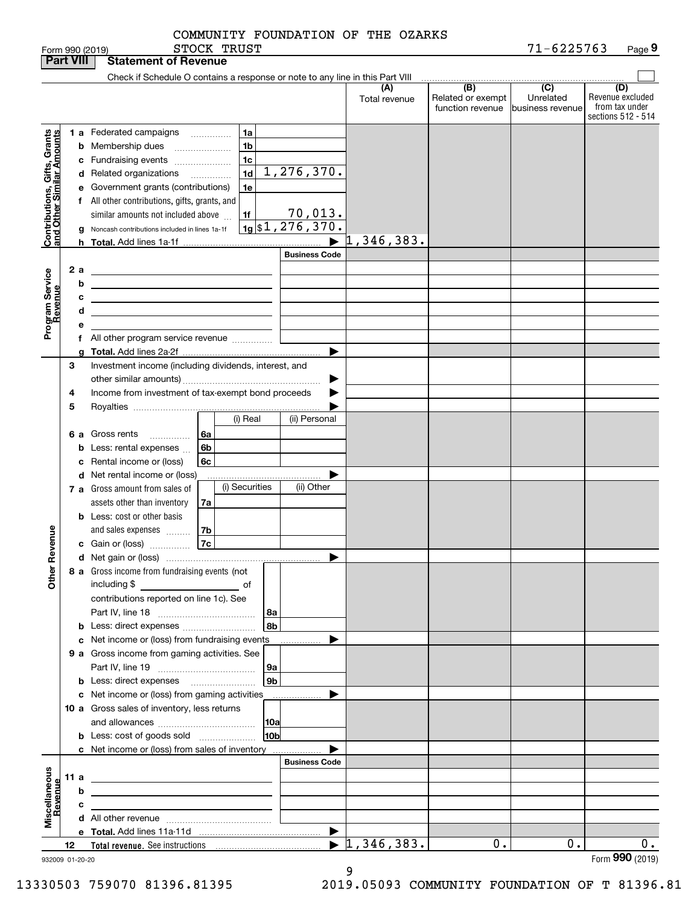| COMMUNITY FOUNDATION OF THE OZARKS |  |  |
|------------------------------------|--|--|
|                                    |  |  |
|                                    |  |  |

| <b>Part VIII</b>                                          |    |      | <b>Statement of Revenue</b>                                                                                           |    |                 |                       |                      |                                              |                                                 |                                                                 |
|-----------------------------------------------------------|----|------|-----------------------------------------------------------------------------------------------------------------------|----|-----------------|-----------------------|----------------------|----------------------------------------------|-------------------------------------------------|-----------------------------------------------------------------|
|                                                           |    |      | Check if Schedule O contains a response or note to any line in this Part VIII                                         |    |                 |                       |                      |                                              |                                                 |                                                                 |
|                                                           |    |      |                                                                                                                       |    |                 |                       | (A)<br>Total revenue | (B)<br>Related or exempt<br>function revenue | $\overline{C}$<br>Unrelated<br>business revenue | (D)<br>Revenue excluded<br>from tax under<br>sections 512 - 514 |
|                                                           |    |      | <b>1 a</b> Federated campaigns                                                                                        | .  | 1a              |                       |                      |                                              |                                                 |                                                                 |
| Contributions, Gifts, Grants<br>and Other Similar Amounts |    |      | <b>b</b> Membership dues                                                                                              |    | 1 <sub>b</sub>  |                       |                      |                                              |                                                 |                                                                 |
|                                                           |    |      | c Fundraising events                                                                                                  |    | 1 <sub>c</sub>  |                       |                      |                                              |                                                 |                                                                 |
|                                                           |    |      | d Related organizations                                                                                               | .  | 1 <sub>d</sub>  | 1, 276, 370.          |                      |                                              |                                                 |                                                                 |
|                                                           |    |      | e Government grants (contributions)                                                                                   |    | 1e              |                       |                      |                                              |                                                 |                                                                 |
|                                                           |    |      | f All other contributions, gifts, grants, and                                                                         |    |                 |                       |                      |                                              |                                                 |                                                                 |
|                                                           |    |      | similar amounts not included above                                                                                    |    | 1f              | <u>70,013.</u>        |                      |                                              |                                                 |                                                                 |
|                                                           |    |      | Noncash contributions included in lines 1a-1f                                                                         |    |                 | $19$ \$1,276,370.     |                      |                                              |                                                 |                                                                 |
|                                                           |    | h.   |                                                                                                                       |    |                 | $\blacktriangleright$ | 1,346,383.           |                                              |                                                 |                                                                 |
|                                                           |    |      |                                                                                                                       |    |                 | <b>Business Code</b>  |                      |                                              |                                                 |                                                                 |
|                                                           |    | 2 a  | <u> 1989 - Johann Barn, amerikansk politiker (</u>                                                                    |    |                 |                       |                      |                                              |                                                 |                                                                 |
|                                                           |    | b    | <u> 1989 - Johann Barbara, martin amerikan basar dan berasal dalam basar dalam basar dalam basar dalam basar dala</u> |    |                 |                       |                      |                                              |                                                 |                                                                 |
|                                                           |    | с    | <u> 1989 - Johann Stein, marwolaethau a bhann an t-Amhain an t-Amhain an t-Amhain an t-Amhain an t-Amhain an t-A</u>  |    |                 |                       |                      |                                              |                                                 |                                                                 |
|                                                           |    | d    | <u> 1989 - Johann Stein, marwolaethau a bhann an t-Amhain an t-Amhain an t-Amhain an t-Amhain an t-Amhain an t-A</u>  |    |                 |                       |                      |                                              |                                                 |                                                                 |
| Program Service<br>Revenue                                |    | е    |                                                                                                                       |    |                 |                       |                      |                                              |                                                 |                                                                 |
|                                                           |    |      | f All other program service revenue                                                                                   |    |                 |                       |                      |                                              |                                                 |                                                                 |
|                                                           |    |      |                                                                                                                       |    |                 | ▶                     |                      |                                              |                                                 |                                                                 |
|                                                           | З  |      | Investment income (including dividends, interest, and                                                                 |    |                 |                       |                      |                                              |                                                 |                                                                 |
|                                                           |    |      |                                                                                                                       |    |                 |                       |                      |                                              |                                                 |                                                                 |
|                                                           | 4  |      | Income from investment of tax-exempt bond proceeds                                                                    |    |                 |                       |                      |                                              |                                                 |                                                                 |
|                                                           | 5  |      |                                                                                                                       |    |                 |                       |                      |                                              |                                                 |                                                                 |
|                                                           |    |      |                                                                                                                       |    | (i) Real        | (ii) Personal         |                      |                                              |                                                 |                                                                 |
|                                                           |    |      | 6 a Gross rents<br>.                                                                                                  | 6а |                 |                       |                      |                                              |                                                 |                                                                 |
|                                                           |    | b    | Less: rental expenses                                                                                                 | 6b |                 |                       |                      |                                              |                                                 |                                                                 |
|                                                           |    | c    | Rental income or (loss)                                                                                               | 6c |                 |                       |                      |                                              |                                                 |                                                                 |
|                                                           |    |      | d Net rental income or (loss)                                                                                         |    |                 |                       |                      |                                              |                                                 |                                                                 |
|                                                           |    |      | 7 a Gross amount from sales of                                                                                        |    | (i) Securities  | (ii) Other            |                      |                                              |                                                 |                                                                 |
|                                                           |    |      | assets other than inventory                                                                                           | 7a |                 |                       |                      |                                              |                                                 |                                                                 |
|                                                           |    |      | <b>b</b> Less: cost or other basis<br>and sales expenses                                                              | 7b |                 |                       |                      |                                              |                                                 |                                                                 |
| Revenue                                                   |    |      | c Gain or (loss)                                                                                                      | 7c |                 |                       |                      |                                              |                                                 |                                                                 |
|                                                           |    |      |                                                                                                                       |    |                 | ▶                     |                      |                                              |                                                 |                                                                 |
|                                                           |    |      | 8 a Gross income from fundraising events (not                                                                         |    |                 |                       |                      |                                              |                                                 |                                                                 |
| Other                                                     |    |      | including \$                                                                                                          |    |                 |                       |                      |                                              |                                                 |                                                                 |
|                                                           |    |      | contributions reported on line 1c). See                                                                               |    |                 |                       |                      |                                              |                                                 |                                                                 |
|                                                           |    |      |                                                                                                                       |    | 8а              |                       |                      |                                              |                                                 |                                                                 |
|                                                           |    |      | <b>b</b> Less: direct expenses                                                                                        |    | 8b              |                       |                      |                                              |                                                 |                                                                 |
|                                                           |    |      | c Net income or (loss) from fundraising events                                                                        |    |                 | .                     |                      |                                              |                                                 |                                                                 |
|                                                           |    |      | 9 a Gross income from gaming activities. See                                                                          |    |                 |                       |                      |                                              |                                                 |                                                                 |
|                                                           |    |      |                                                                                                                       |    | 9а              |                       |                      |                                              |                                                 |                                                                 |
|                                                           |    |      |                                                                                                                       |    | 9 <sub>b</sub>  |                       |                      |                                              |                                                 |                                                                 |
|                                                           |    |      | c Net income or (loss) from gaming activities                                                                         |    |                 | .                     |                      |                                              |                                                 |                                                                 |
|                                                           |    |      | 10 a Gross sales of inventory, less returns                                                                           |    |                 |                       |                      |                                              |                                                 |                                                                 |
|                                                           |    |      |                                                                                                                       |    | 10a             |                       |                      |                                              |                                                 |                                                                 |
|                                                           |    |      | <b>b</b> Less: cost of goods sold                                                                                     |    | 10 <sub>b</sub> |                       |                      |                                              |                                                 |                                                                 |
|                                                           |    |      | c Net income or (loss) from sales of inventory                                                                        |    |                 |                       |                      |                                              |                                                 |                                                                 |
|                                                           |    |      |                                                                                                                       |    |                 | <b>Business Code</b>  |                      |                                              |                                                 |                                                                 |
|                                                           |    | 11 a | the contract of the contract of the contract of the contract of the                                                   |    |                 |                       |                      |                                              |                                                 |                                                                 |
|                                                           |    | b    |                                                                                                                       |    |                 |                       |                      |                                              |                                                 |                                                                 |
| Miscellaneous<br>Revenue                                  |    | с    | the control of the control of the control of the control of the control of                                            |    |                 |                       |                      |                                              |                                                 |                                                                 |
|                                                           |    |      |                                                                                                                       |    |                 | $\blacktriangleright$ |                      |                                              |                                                 |                                                                 |
|                                                           | 12 |      |                                                                                                                       |    |                 | $\blacktriangleright$ | 1,346,383.           | 0.                                           | 0.                                              | 0.                                                              |
| 932009 01-20-20                                           |    |      |                                                                                                                       |    |                 |                       |                      |                                              |                                                 | Form 990 (2019)                                                 |

932009 01-20-20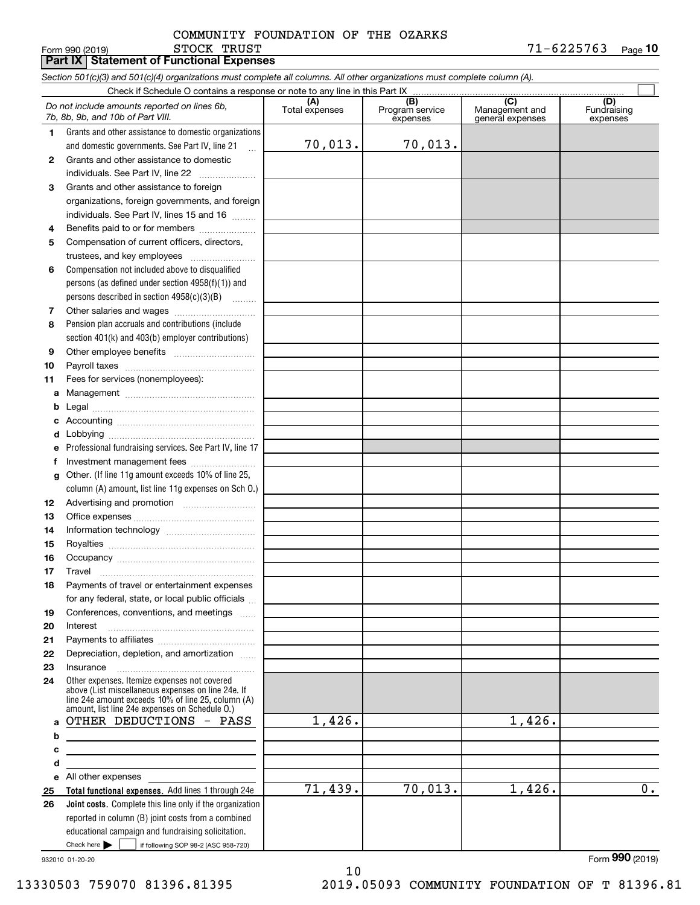### STOCK TRUST COMMUNITY FOUNDATION OF THE OZARKS

 $\blacksquare$  Form 990 (2019)  $\blacksquare$   $\blacksquare$   $\blacksquare$   $\blacksquare$   $\blacksquare$   $\blacksquare$   $\blacksquare$   $\blacksquare$   $\blacksquare$   $\blacksquare$   $\blacksquare$   $\blacksquare$   $\blacksquare$   $\blacksquare$   $\blacksquare$   $\blacksquare$   $\blacksquare$   $\blacksquare$   $\blacksquare$   $\blacksquare$   $\blacksquare$   $\blacksquare$   $\blacksquare$   $\blacksquare$   $\blacksquare$   $\blacksquare$   $\blacksquare$   $\blacksquare$   $\$ **10**

**(A)**<br>Total expenses **(B) (C) (D) 1234567891011abcdefg12131415161718192021222324***Section 501(c)(3) and 501(c)(4) organizations must complete all columns. All other organizations must complete column (A).* Grants and other assistance to domestic organizations and domestic governments. See Part IV, line 21 Compensation not included above to disqualified persons (as defined under section 4958(f)(1)) and persons described in section 4958(c)(3)(B)  $\quad \ldots \ldots \ldots$ Pension plan accruals and contributions (include section 401(k) and 403(b) employer contributions) Professional fundraising services. See Part IV, line 17 Other. (If line 11g amount exceeds 10% of line 25, column (A) amount, list line 11g expenses on Sch O.) Other expenses. Itemize expenses not covered above (List miscellaneous expenses on line 24e. If Check if Schedule O contains a response or note to any line in this Part IX (C) (C) (C) (C) (C) (C) Program service expensesManagement and general expenses Fundraising expensesGrants and other assistance to domestic individuals. See Part IV, line 22 ~~~~~~~ Grants and other assistance to foreign organizations, foreign governments, and foreign individuals. See Part IV, lines 15 and 16  $\ldots$ Benefits paid to or for members .................... Compensation of current officers, directors, trustees, and key employees  $\ldots$   $\ldots$   $\ldots$   $\ldots$   $\ldots$   $\ldots$ Other salaries and wages ~~~~~~~~~~ Other employee benefits ~~~~~~~~~~ Payroll taxes ~~~~~~~~~~~~~~~~ Fees for services (nonemployees): Management ~~~~~~~~~~~~~~~~ Legal ~~~~~~~~~~~~~~~~~~~~Accounting ~~~~~~~~~~~~~~~~~ Lobbying ~~~~~~~~~~~~~~~~~~ lnvestment management fees ....................... Advertising and promotion \_\_\_\_\_\_\_\_\_\_\_\_\_\_\_\_\_\_\_ Office expenses ~~~~~~~~~~~~~~~ Information technology ~~~~~~~~~~~ Royalties ~~~~~~~~~~~~~~~~~~ Occupancy ~~~~~~~~~~~~~~~~~ Travel ……………………………………………… Payments of travel or entertainment expenses for any federal, state, or local public officials ... Conferences, conventions, and meetings Interest Payments to affiliates ~~~~~~~~~~~~ Depreciation, depletion, and amortization  $\,\,\ldots\,\,$ Insurance~~~~~~~~~~~~~~~~~*Do not include amounts reported on lines 6b, 7b, 8b, 9b, and 10b of Part VIII.* **Part IX Statement of Functional Expenses**  $\mathcal{L}^{\text{max}}$ 70,013. 70,013.

1,426.

71,439.

932010 01-20-20

**abcde2526**

All other expenses

 $Check here$   $\blacktriangleright$ 

Check here  $\bullet$  if following SOP 98-2 (ASC 958-720)

reported in column (B) joint costs from a combined educational campaign and fundraising solicitation.

**Total functional expenses.**  Add lines 1 through 24e **Joint costs.** Complete this line only if the organization

line 24e amount exceeds 10% of line 25, column (A) amount, list line 24e expenses on Schedule O.)

OTHER DEDUCTIONS - PASS

Form (2019) **990**

1,426.

70,013. 1,426. 0.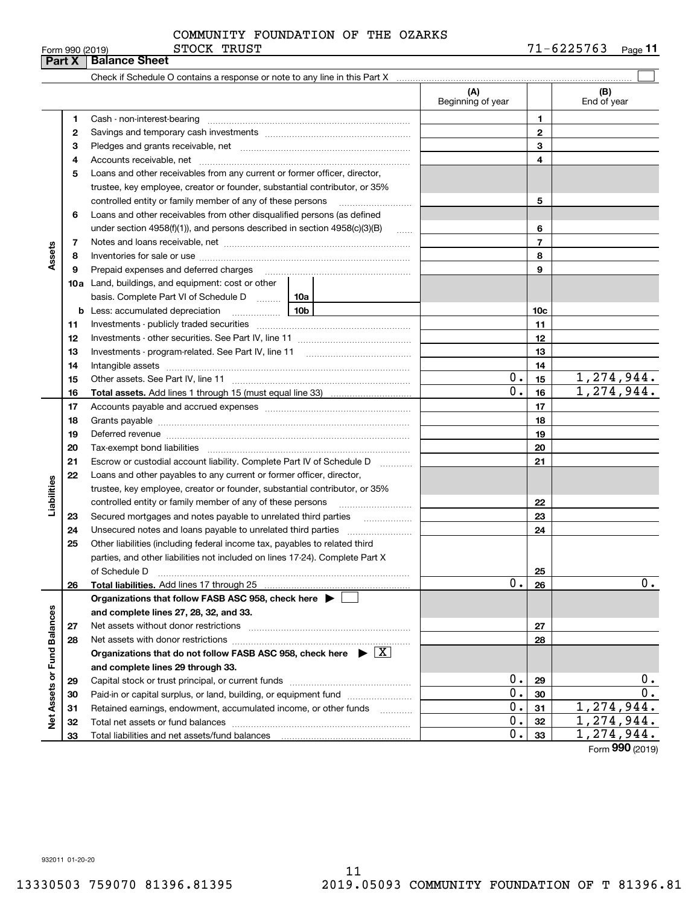|  | Form 990 (2019) |  |
|--|-----------------|--|

### STOCK TRUST COMMUNITY FOUNDATION OF THE OZARKS

|                      | Part X       | ופו טגי טפפ ווווט<br>~~~~~<br><b>Balance Sheet</b>                                                                                                                                                                             |                          |                          | ,,,,,,,,,<br>raye • •             |
|----------------------|--------------|--------------------------------------------------------------------------------------------------------------------------------------------------------------------------------------------------------------------------------|--------------------------|--------------------------|-----------------------------------|
|                      |              | Check if Schedule O contains a response or note to any line in this Part X manufactured contains and contains a manufactured contains are contained as the contains and contains a response or note to any line in this Part X |                          |                          |                                   |
|                      |              |                                                                                                                                                                                                                                | (A)<br>Beginning of year |                          | (B)<br>End of year                |
|                      | 1            |                                                                                                                                                                                                                                |                          | 1                        |                                   |
|                      | $\mathbf{2}$ |                                                                                                                                                                                                                                |                          | $\mathbf{2}$             |                                   |
|                      | З            |                                                                                                                                                                                                                                |                          | 3                        |                                   |
|                      | 4            |                                                                                                                                                                                                                                |                          | 4                        |                                   |
|                      | 5            | Loans and other receivables from any current or former officer, director,                                                                                                                                                      |                          |                          |                                   |
|                      |              | trustee, key employee, creator or founder, substantial contributor, or 35%                                                                                                                                                     |                          |                          |                                   |
|                      |              | controlled entity or family member of any of these persons                                                                                                                                                                     |                          | 5                        |                                   |
|                      | 6            | Loans and other receivables from other disqualified persons (as defined                                                                                                                                                        |                          |                          |                                   |
|                      |              | under section $4958(f)(1)$ , and persons described in section $4958(c)(3)(B)$                                                                                                                                                  | $\sim$                   | 6                        |                                   |
|                      | 7            |                                                                                                                                                                                                                                |                          | $\overline{\phantom{a}}$ |                                   |
| Assets               | 8            |                                                                                                                                                                                                                                |                          | 8                        |                                   |
|                      | 9            | Prepaid expenses and deferred charges [11] [11] Prepaid expenses and deferred charges [11] [11] Martin Martin Martin Martin Martin Martin Martin Martin Martin Martin Martin Martin Martin Martin Martin Martin Martin Martin  |                          | 9                        |                                   |
|                      |              | <b>10a</b> Land, buildings, and equipment: cost or other                                                                                                                                                                       |                          |                          |                                   |
|                      |              | basis. Complete Part VI of Schedule D  10a                                                                                                                                                                                     |                          |                          |                                   |
|                      |              | 10b<br><b>b</b> Less: accumulated depreciation                                                                                                                                                                                 |                          | 10 <sub>c</sub>          |                                   |
|                      | 11           |                                                                                                                                                                                                                                |                          | 11                       |                                   |
|                      | 12           |                                                                                                                                                                                                                                |                          | 12                       |                                   |
|                      | 13           |                                                                                                                                                                                                                                |                          | 13                       |                                   |
|                      | 14           |                                                                                                                                                                                                                                |                          | 14                       |                                   |
|                      | 15           |                                                                                                                                                                                                                                | $0$ .                    | 15                       | 1, 274, 944.                      |
|                      | 16           |                                                                                                                                                                                                                                | $0$ .                    | 16                       | 1,274,944.                        |
|                      | 17           |                                                                                                                                                                                                                                |                          | 17                       |                                   |
|                      | 18           |                                                                                                                                                                                                                                |                          | 18                       |                                   |
|                      | 19           | Deferred revenue material contracts and the contracts of the contracts and the contracts of the contracts of the contracts of the contracts of the contracts of the contracts of the contracts of the contracts of the contrac |                          | 19                       |                                   |
|                      | 20           |                                                                                                                                                                                                                                |                          | 20                       |                                   |
|                      | 21           | Escrow or custodial account liability. Complete Part IV of Schedule D<br>1.1.1.1.1.1.1.1.1.1                                                                                                                                   |                          | 21                       |                                   |
|                      | 22           | Loans and other payables to any current or former officer, director,                                                                                                                                                           |                          |                          |                                   |
|                      |              | trustee, key employee, creator or founder, substantial contributor, or 35%                                                                                                                                                     |                          |                          |                                   |
| Liabilities          |              | controlled entity or family member of any of these persons                                                                                                                                                                     |                          | 22                       |                                   |
|                      | 23           | Secured mortgages and notes payable to unrelated third parties                                                                                                                                                                 |                          | 23                       |                                   |
|                      | 24           |                                                                                                                                                                                                                                |                          | 24                       |                                   |
|                      | 25           | Other liabilities (including federal income tax, payables to related third                                                                                                                                                     |                          |                          |                                   |
|                      |              | parties, and other liabilities not included on lines 17-24). Complete Part X                                                                                                                                                   |                          |                          |                                   |
|                      |              | of Schedule D                                                                                                                                                                                                                  |                          | 25                       |                                   |
|                      | 26           |                                                                                                                                                                                                                                | $0$ .                    | 26                       | $0$ .                             |
|                      |              | Organizations that follow FASB ASC 958, check here ▶ │                                                                                                                                                                         |                          |                          |                                   |
|                      |              | and complete lines 27, 28, 32, and 33.                                                                                                                                                                                         |                          |                          |                                   |
| <b>Fund Balances</b> | 27           |                                                                                                                                                                                                                                |                          | 27                       |                                   |
|                      | 28           |                                                                                                                                                                                                                                |                          | 28                       |                                   |
|                      |              | Organizations that do not follow FASB ASC 958, check here $\triangleright \lfloor X \rfloor$                                                                                                                                   |                          |                          |                                   |
|                      |              | and complete lines 29 through 33.                                                                                                                                                                                              |                          |                          |                                   |
|                      | 29           |                                                                                                                                                                                                                                | 0.                       | 29                       | 0.                                |
|                      | 30           | Paid-in or capital surplus, or land, building, or equipment fund                                                                                                                                                               | $0$ .                    | 30                       | 0.                                |
| Net Assets or        | 31           | Retained earnings, endowment, accumulated income, or other funds                                                                                                                                                               | $0$ .                    | 31                       | 1,274,944.                        |
|                      | 32           |                                                                                                                                                                                                                                | $0$ .                    | 32                       | 1,274,944.                        |
|                      | 33           |                                                                                                                                                                                                                                | 0.                       | 33                       | 1,274,944.<br>$000 \text{ years}$ |

Form (2019) **990**

932011 01-20-20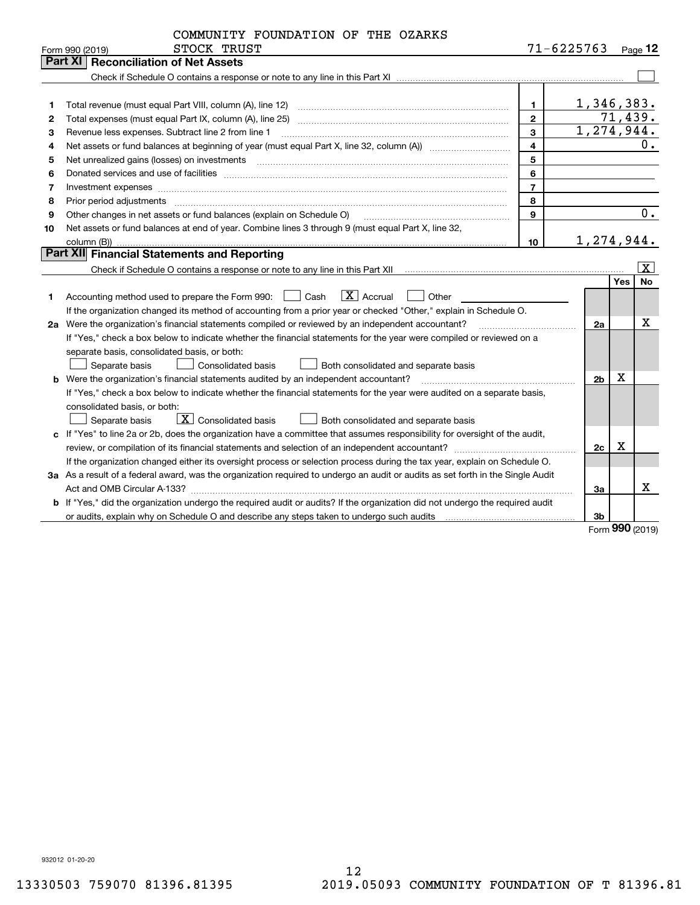|    | COMMUNITY FOUNDATION OF THE OZARKS                                                                                              |                         |                         |      |                     |
|----|---------------------------------------------------------------------------------------------------------------------------------|-------------------------|-------------------------|------|---------------------|
|    | STOCK TRUST<br>Form 990 (2019)                                                                                                  |                         | $71 - 6225763$          |      | $P_{\text{aqe}}$ 12 |
|    | <b>Part XI   Reconciliation of Net Assets</b>                                                                                   |                         |                         |      |                     |
|    |                                                                                                                                 |                         |                         |      |                     |
|    |                                                                                                                                 |                         |                         |      |                     |
| 1  | Total revenue (must equal Part VIII, column (A), line 12)                                                                       | 1.                      | 1,346,383.              |      |                     |
| 2  | Total expenses (must equal Part IX, column (A), line 25)                                                                        | $\overline{2}$          |                         |      | 71,439.             |
| з  | Revenue less expenses. Subtract line 2 from line 1                                                                              | $\mathbf{3}$            | $\overline{1,274,944.}$ |      |                     |
| 4  |                                                                                                                                 | $\overline{\mathbf{4}}$ |                         |      | 0.                  |
| 5  |                                                                                                                                 | 5                       |                         |      |                     |
| 6  |                                                                                                                                 | 6                       |                         |      |                     |
| 7  | Investment expenses www.communication.com/www.communication.com/www.communication.com/www.com                                   | $\overline{7}$          |                         |      |                     |
| 8  | Prior period adjustments                                                                                                        | 8                       |                         |      |                     |
| 9  | Other changes in net assets or fund balances (explain on Schedule O)                                                            | 9                       |                         |      | $\overline{0}$ .    |
| 10 | Net assets or fund balances at end of year. Combine lines 3 through 9 (must equal Part X, line 32,                              |                         |                         |      |                     |
|    |                                                                                                                                 | 10 <sup>10</sup>        | 1,274,944.              |      |                     |
|    | Part XII Financial Statements and Reporting                                                                                     |                         |                         |      |                     |
|    |                                                                                                                                 |                         |                         |      | $ \mathbf{X} $      |
|    |                                                                                                                                 |                         |                         | Yes  | No                  |
| 1  | $ X $ Accrual<br>Accounting method used to prepare the Form 990: <u>II</u> Cash<br>Other                                        |                         |                         |      |                     |
|    | If the organization changed its method of accounting from a prior year or checked "Other," explain in Schedule O.               |                         |                         |      |                     |
|    | 2a Were the organization's financial statements compiled or reviewed by an independent accountant?                              |                         | 2a                      |      | х                   |
|    | If "Yes," check a box below to indicate whether the financial statements for the year were compiled or reviewed on a            |                         |                         |      |                     |
|    | separate basis, consolidated basis, or both:                                                                                    |                         |                         |      |                     |
|    | <b>Consolidated basis</b><br>Separate basis<br>Both consolidated and separate basis                                             |                         |                         |      |                     |
|    | <b>b</b> Were the organization's financial statements audited by an independent accountant?                                     |                         | 2 <sub>b</sub>          | Х    |                     |
|    | If "Yes," check a box below to indicate whether the financial statements for the year were audited on a separate basis,         |                         |                         |      |                     |
|    | consolidated basis, or both:                                                                                                    |                         |                         |      |                     |
|    | X Consolidated basis<br>Separate basis<br>Both consolidated and separate basis                                                  |                         |                         |      |                     |
|    | c If "Yes" to line 2a or 2b, does the organization have a committee that assumes responsibility for oversight of the audit,     |                         |                         |      |                     |
|    |                                                                                                                                 |                         | 2c                      | X    |                     |
|    | If the organization changed either its oversight process or selection process during the tax year, explain on Schedule O.       |                         |                         |      |                     |
|    | 3a As a result of a federal award, was the organization required to undergo an audit or audits as set forth in the Single Audit |                         |                         |      |                     |
|    |                                                                                                                                 |                         | За                      |      | х                   |
|    | b If "Yes," did the organization undergo the required audit or audits? If the organization did not undergo the required audit   |                         |                         |      |                     |
|    | or audits, explain why on Schedule O and describe any steps taken to undergo such audits manuming contains an                   |                         | 3b                      |      |                     |
|    |                                                                                                                                 |                         |                         | nnn. |                     |

Form (2019) **990**

932012 01-20-20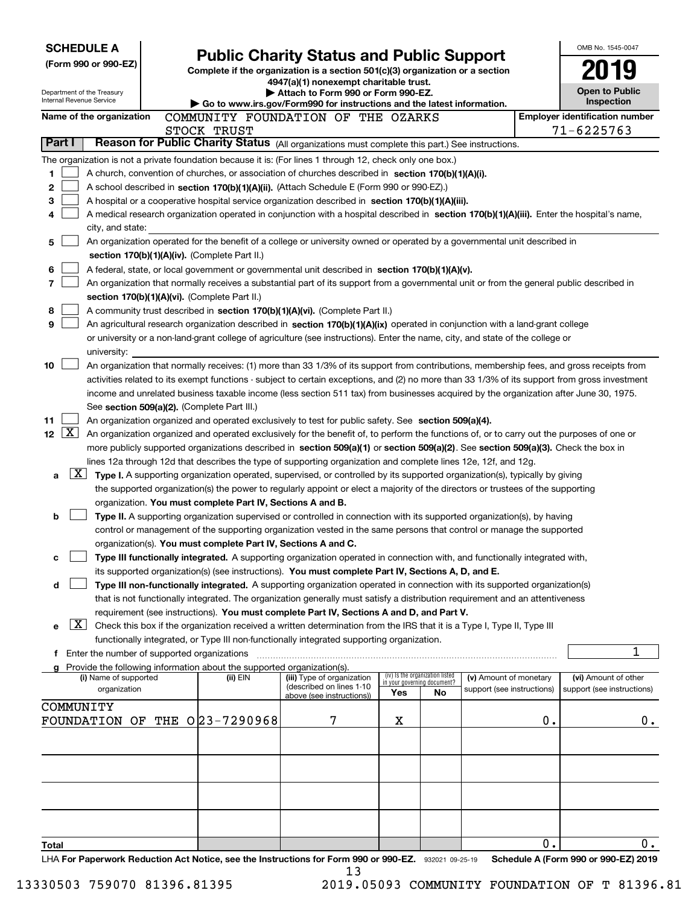| <b>SCHEDULE A</b>                                                                                         |                                                                                    |                                                                                                                                                                                                                                                                |     |                                                                |                            |    | OMB No. 1545-0047                     |
|-----------------------------------------------------------------------------------------------------------|------------------------------------------------------------------------------------|----------------------------------------------------------------------------------------------------------------------------------------------------------------------------------------------------------------------------------------------------------------|-----|----------------------------------------------------------------|----------------------------|----|---------------------------------------|
| (Form 990 or 990-EZ)                                                                                      |                                                                                    | <b>Public Charity Status and Public Support</b><br>Complete if the organization is a section $501(c)(3)$ organization or a section                                                                                                                             |     |                                                                |                            |    |                                       |
|                                                                                                           |                                                                                    | 4947(a)(1) nonexempt charitable trust.                                                                                                                                                                                                                         |     |                                                                |                            |    |                                       |
| Department of the Treasury<br>Internal Revenue Service                                                    |                                                                                    | Attach to Form 990 or Form 990-EZ.                                                                                                                                                                                                                             |     |                                                                |                            |    | <b>Open to Public</b><br>Inspection   |
| Name of the organization                                                                                  |                                                                                    | Go to www.irs.gov/Form990 for instructions and the latest information.<br>COMMUNITY FOUNDATION OF THE OZARKS                                                                                                                                                   |     |                                                                |                            |    | <b>Employer identification number</b> |
|                                                                                                           | STOCK TRUST                                                                        |                                                                                                                                                                                                                                                                |     |                                                                |                            |    | 71-6225763                            |
| Part I                                                                                                    |                                                                                    | Reason for Public Charity Status (All organizations must complete this part.) See instructions.                                                                                                                                                                |     |                                                                |                            |    |                                       |
| The organization is not a private foundation because it is: (For lines 1 through 12, check only one box.) |                                                                                    |                                                                                                                                                                                                                                                                |     |                                                                |                            |    |                                       |
| 1                                                                                                         |                                                                                    | A church, convention of churches, or association of churches described in section 170(b)(1)(A)(i).                                                                                                                                                             |     |                                                                |                            |    |                                       |
| 2                                                                                                         |                                                                                    | A school described in section 170(b)(1)(A)(ii). (Attach Schedule E (Form 990 or 990-EZ).)                                                                                                                                                                      |     |                                                                |                            |    |                                       |
| 3                                                                                                         |                                                                                    | A hospital or a cooperative hospital service organization described in section $170(b)(1)(A)(iii)$ .                                                                                                                                                           |     |                                                                |                            |    |                                       |
| 4                                                                                                         |                                                                                    | A medical research organization operated in conjunction with a hospital described in section 170(b)(1)(A)(iii). Enter the hospital's name,                                                                                                                     |     |                                                                |                            |    |                                       |
| city, and state:                                                                                          |                                                                                    |                                                                                                                                                                                                                                                                |     |                                                                |                            |    |                                       |
| 5                                                                                                         |                                                                                    | An organization operated for the benefit of a college or university owned or operated by a governmental unit described in                                                                                                                                      |     |                                                                |                            |    |                                       |
|                                                                                                           | section 170(b)(1)(A)(iv). (Complete Part II.)                                      |                                                                                                                                                                                                                                                                |     |                                                                |                            |    |                                       |
| 6                                                                                                         |                                                                                    | A federal, state, or local government or governmental unit described in section 170(b)(1)(A)(v).                                                                                                                                                               |     |                                                                |                            |    |                                       |
| 7                                                                                                         |                                                                                    | An organization that normally receives a substantial part of its support from a governmental unit or from the general public described in                                                                                                                      |     |                                                                |                            |    |                                       |
| 8                                                                                                         | section 170(b)(1)(A)(vi). (Complete Part II.)                                      | A community trust described in section 170(b)(1)(A)(vi). (Complete Part II.)                                                                                                                                                                                   |     |                                                                |                            |    |                                       |
| 9                                                                                                         |                                                                                    | An agricultural research organization described in section 170(b)(1)(A)(ix) operated in conjunction with a land-grant college                                                                                                                                  |     |                                                                |                            |    |                                       |
|                                                                                                           |                                                                                    | or university or a non-land-grant college of agriculture (see instructions). Enter the name, city, and state of the college or                                                                                                                                 |     |                                                                |                            |    |                                       |
| university:                                                                                               |                                                                                    |                                                                                                                                                                                                                                                                |     |                                                                |                            |    |                                       |
| 10                                                                                                        |                                                                                    | An organization that normally receives: (1) more than 33 1/3% of its support from contributions, membership fees, and gross receipts from                                                                                                                      |     |                                                                |                            |    |                                       |
|                                                                                                           |                                                                                    | activities related to its exempt functions - subject to certain exceptions, and (2) no more than 33 1/3% of its support from gross investment                                                                                                                  |     |                                                                |                            |    |                                       |
|                                                                                                           |                                                                                    | income and unrelated business taxable income (less section 511 tax) from businesses acquired by the organization after June 30, 1975.                                                                                                                          |     |                                                                |                            |    |                                       |
|                                                                                                           | See section 509(a)(2). (Complete Part III.)                                        |                                                                                                                                                                                                                                                                |     |                                                                |                            |    |                                       |
| 11                                                                                                        |                                                                                    | An organization organized and operated exclusively to test for public safety. See section 509(a)(4).                                                                                                                                                           |     |                                                                |                            |    |                                       |
| $\mathbf{X}$<br>12 <sub>2</sub>                                                                           |                                                                                    | An organization organized and operated exclusively for the benefit of, to perform the functions of, or to carry out the purposes of one or                                                                                                                     |     |                                                                |                            |    |                                       |
|                                                                                                           |                                                                                    | more publicly supported organizations described in section 509(a)(1) or section 509(a)(2). See section 509(a)(3). Check the box in                                                                                                                             |     |                                                                |                            |    |                                       |
| $\lfloor x \rfloor$                                                                                       |                                                                                    | lines 12a through 12d that describes the type of supporting organization and complete lines 12e, 12f, and 12g.                                                                                                                                                 |     |                                                                |                            |    |                                       |
| a                                                                                                         |                                                                                    | Type I. A supporting organization operated, supervised, or controlled by its supported organization(s), typically by giving<br>the supported organization(s) the power to regularly appoint or elect a majority of the directors or trustees of the supporting |     |                                                                |                            |    |                                       |
|                                                                                                           | organization. You must complete Part IV, Sections A and B.                         |                                                                                                                                                                                                                                                                |     |                                                                |                            |    |                                       |
| b                                                                                                         |                                                                                    | Type II. A supporting organization supervised or controlled in connection with its supported organization(s), by having                                                                                                                                        |     |                                                                |                            |    |                                       |
|                                                                                                           |                                                                                    | control or management of the supporting organization vested in the same persons that control or manage the supported                                                                                                                                           |     |                                                                |                            |    |                                       |
|                                                                                                           | organization(s). You must complete Part IV, Sections A and C.                      |                                                                                                                                                                                                                                                                |     |                                                                |                            |    |                                       |
| c                                                                                                         |                                                                                    | Type III functionally integrated. A supporting organization operated in connection with, and functionally integrated with,                                                                                                                                     |     |                                                                |                            |    |                                       |
|                                                                                                           |                                                                                    | its supported organization(s) (see instructions). You must complete Part IV, Sections A, D, and E.                                                                                                                                                             |     |                                                                |                            |    |                                       |
| d                                                                                                         |                                                                                    | Type III non-functionally integrated. A supporting organization operated in connection with its supported organization(s)                                                                                                                                      |     |                                                                |                            |    |                                       |
|                                                                                                           |                                                                                    | that is not functionally integrated. The organization generally must satisfy a distribution requirement and an attentiveness                                                                                                                                   |     |                                                                |                            |    |                                       |
|                                                                                                           |                                                                                    | requirement (see instructions). You must complete Part IV, Sections A and D, and Part V.                                                                                                                                                                       |     |                                                                |                            |    |                                       |
| $\lfloor x \rfloor$<br>е                                                                                  |                                                                                    | Check this box if the organization received a written determination from the IRS that it is a Type I, Type II, Type III                                                                                                                                        |     |                                                                |                            |    |                                       |
|                                                                                                           |                                                                                    | functionally integrated, or Type III non-functionally integrated supporting organization.                                                                                                                                                                      |     |                                                                |                            |    | 1                                     |
| f Enter the number of supported organizations                                                             |                                                                                    |                                                                                                                                                                                                                                                                |     |                                                                |                            |    |                                       |
| (i) Name of supported                                                                                     | Provide the following information about the supported organization(s).<br>(ii) EIN | (iii) Type of organization                                                                                                                                                                                                                                     |     | (iv) Is the organization listed<br>in your governing document? | (v) Amount of monetary     |    | (vi) Amount of other                  |
| organization                                                                                              |                                                                                    | (described on lines 1-10<br>above (see instructions))                                                                                                                                                                                                          | Yes | No                                                             | support (see instructions) |    | support (see instructions)            |
| COMMUNITY                                                                                                 |                                                                                    |                                                                                                                                                                                                                                                                |     |                                                                |                            |    |                                       |
| FOUNDATION OF THE 023-7290968                                                                             |                                                                                    | 7                                                                                                                                                                                                                                                              | х   |                                                                |                            | 0. | $0$ .                                 |
|                                                                                                           |                                                                                    |                                                                                                                                                                                                                                                                |     |                                                                |                            |    |                                       |
|                                                                                                           |                                                                                    |                                                                                                                                                                                                                                                                |     |                                                                |                            |    |                                       |
|                                                                                                           |                                                                                    |                                                                                                                                                                                                                                                                |     |                                                                |                            |    |                                       |
|                                                                                                           |                                                                                    |                                                                                                                                                                                                                                                                |     |                                                                |                            |    |                                       |
|                                                                                                           |                                                                                    |                                                                                                                                                                                                                                                                |     |                                                                |                            |    |                                       |
|                                                                                                           |                                                                                    |                                                                                                                                                                                                                                                                |     |                                                                |                            |    |                                       |
|                                                                                                           |                                                                                    |                                                                                                                                                                                                                                                                |     |                                                                |                            |    |                                       |
| <b>Total</b>                                                                                              |                                                                                    |                                                                                                                                                                                                                                                                |     |                                                                |                            | О. | 0.                                    |
| LHA For Paperwork Reduction Act Notice, see the Instructions for Form 990 or 990-EZ. 932021 09-25-19      |                                                                                    |                                                                                                                                                                                                                                                                |     |                                                                |                            |    | Schedule A (Form 990 or 990-EZ) 2019  |
|                                                                                                           |                                                                                    | 13                                                                                                                                                                                                                                                             |     |                                                                |                            |    |                                       |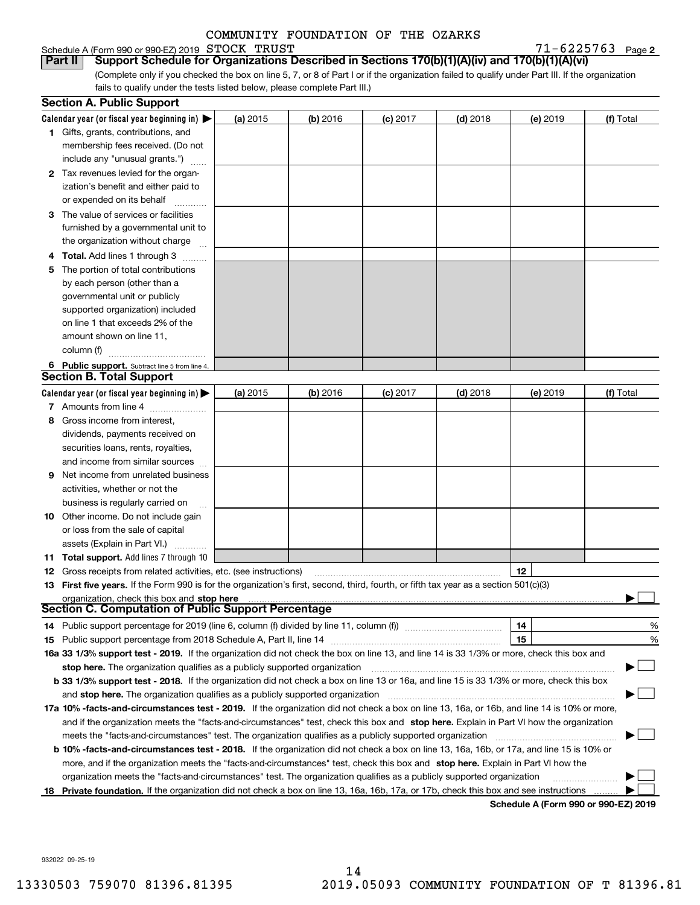## Schedule A (Form 990 or 990-EZ) 2019 Page STOCK TRUST 71-6225763

 $71 - 6225763$  Page 2

(Complete only if you checked the box on line 5, 7, or 8 of Part I or if the organization failed to qualify under Part III. If the organization fails to qualify under the tests listed below, please complete Part III.) **Part II Support Schedule for Organizations Described in Sections 170(b)(1)(A)(iv) and 170(b)(1)(A)(vi)**

|    | <b>Section A. Public Support</b>                                                                                                                                                                                               |          |            |            |            |          |                                             |
|----|--------------------------------------------------------------------------------------------------------------------------------------------------------------------------------------------------------------------------------|----------|------------|------------|------------|----------|---------------------------------------------|
|    | Calendar year (or fiscal year beginning in) $\blacktriangleright$                                                                                                                                                              | (a) 2015 | $(b)$ 2016 | $(c)$ 2017 | $(d)$ 2018 | (e) 2019 | (f) Total                                   |
|    | <b>1</b> Gifts, grants, contributions, and                                                                                                                                                                                     |          |            |            |            |          |                                             |
|    | membership fees received. (Do not                                                                                                                                                                                              |          |            |            |            |          |                                             |
|    | include any "unusual grants.")                                                                                                                                                                                                 |          |            |            |            |          |                                             |
|    | 2 Tax revenues levied for the organ-                                                                                                                                                                                           |          |            |            |            |          |                                             |
|    | ization's benefit and either paid to                                                                                                                                                                                           |          |            |            |            |          |                                             |
|    | or expended on its behalf                                                                                                                                                                                                      |          |            |            |            |          |                                             |
|    | 3 The value of services or facilities                                                                                                                                                                                          |          |            |            |            |          |                                             |
|    | furnished by a governmental unit to                                                                                                                                                                                            |          |            |            |            |          |                                             |
|    | the organization without charge                                                                                                                                                                                                |          |            |            |            |          |                                             |
|    | 4 Total. Add lines 1 through 3                                                                                                                                                                                                 |          |            |            |            |          |                                             |
| 5  | The portion of total contributions                                                                                                                                                                                             |          |            |            |            |          |                                             |
|    | by each person (other than a                                                                                                                                                                                                   |          |            |            |            |          |                                             |
|    | governmental unit or publicly                                                                                                                                                                                                  |          |            |            |            |          |                                             |
|    | supported organization) included                                                                                                                                                                                               |          |            |            |            |          |                                             |
|    | on line 1 that exceeds 2% of the                                                                                                                                                                                               |          |            |            |            |          |                                             |
|    | amount shown on line 11,                                                                                                                                                                                                       |          |            |            |            |          |                                             |
|    | column (f)                                                                                                                                                                                                                     |          |            |            |            |          |                                             |
|    | 6 Public support. Subtract line 5 from line 4.                                                                                                                                                                                 |          |            |            |            |          |                                             |
|    | <b>Section B. Total Support</b>                                                                                                                                                                                                |          |            |            |            |          |                                             |
|    | Calendar year (or fiscal year beginning in)                                                                                                                                                                                    | (a) 2015 | $(b)$ 2016 | $(c)$ 2017 | $(d)$ 2018 | (e) 2019 | (f) Total                                   |
|    | 7 Amounts from line 4                                                                                                                                                                                                          |          |            |            |            |          |                                             |
| 8  | Gross income from interest,                                                                                                                                                                                                    |          |            |            |            |          |                                             |
|    | dividends, payments received on                                                                                                                                                                                                |          |            |            |            |          |                                             |
|    | securities loans, rents, royalties,                                                                                                                                                                                            |          |            |            |            |          |                                             |
|    | and income from similar sources                                                                                                                                                                                                |          |            |            |            |          |                                             |
| 9  | Net income from unrelated business                                                                                                                                                                                             |          |            |            |            |          |                                             |
|    | activities, whether or not the                                                                                                                                                                                                 |          |            |            |            |          |                                             |
|    | business is regularly carried on                                                                                                                                                                                               |          |            |            |            |          |                                             |
|    | <b>10</b> Other income. Do not include gain                                                                                                                                                                                    |          |            |            |            |          |                                             |
|    | or loss from the sale of capital                                                                                                                                                                                               |          |            |            |            |          |                                             |
|    | assets (Explain in Part VI.)                                                                                                                                                                                                   |          |            |            |            |          |                                             |
|    | <b>11 Total support.</b> Add lines 7 through 10                                                                                                                                                                                |          |            |            |            |          |                                             |
|    | 12 Gross receipts from related activities, etc. (see instructions)                                                                                                                                                             |          |            |            |            | 12       |                                             |
|    | 13 First five years. If the Form 990 is for the organization's first, second, third, fourth, or fifth tax year as a section 501(c)(3)                                                                                          |          |            |            |            |          |                                             |
|    | organization, check this box and stop here manufactured and according to the state of the state of the state of the state of the state of the state of the state of the state of the state of the state of the state of the st |          |            |            |            |          |                                             |
|    | <b>Section C. Computation of Public Support Percentage</b>                                                                                                                                                                     |          |            |            |            |          |                                             |
|    | 14 Public support percentage for 2019 (line 6, column (f) divided by line 11, column (f) <i>mummention</i>                                                                                                                     |          |            |            |            | 14       | %                                           |
|    | 15 Public support percentage from 2018 Schedule A, Part II, line 14 [11] [11] Current manufacture in the Public support percentage from 2018 Schedule A, Part II, line 14 [11] [12] Manufacture in the Public support of the P |          |            |            |            | 15       | %                                           |
|    | 16a 33 1/3% support test - 2019. If the organization did not check the box on line 13, and line 14 is 33 1/3% or more, check this box and                                                                                      |          |            |            |            |          |                                             |
|    | stop here. The organization qualifies as a publicly supported organization                                                                                                                                                     |          |            |            |            |          |                                             |
|    | b 33 1/3% support test - 2018. If the organization did not check a box on line 13 or 16a, and line 15 is 33 1/3% or more, check this box                                                                                       |          |            |            |            |          |                                             |
|    | and stop here. The organization qualifies as a publicly supported organization                                                                                                                                                 |          |            |            |            |          |                                             |
|    | 17a 10% -facts-and-circumstances test - 2019. If the organization did not check a box on line 13, 16a, or 16b, and line 14 is 10% or more,                                                                                     |          |            |            |            |          |                                             |
|    | and if the organization meets the "facts-and-circumstances" test, check this box and stop here. Explain in Part VI how the organization                                                                                        |          |            |            |            |          |                                             |
|    | meets the "facts-and-circumstances" test. The organization qualifies as a publicly supported organization                                                                                                                      |          |            |            |            |          |                                             |
|    | <b>b 10% -facts-and-circumstances test - 2018.</b> If the organization did not check a box on line 13, 16a, 16b, or 17a, and line 15 is 10% or                                                                                 |          |            |            |            |          |                                             |
|    | more, and if the organization meets the "facts-and-circumstances" test, check this box and stop here. Explain in Part VI how the                                                                                               |          |            |            |            |          |                                             |
|    | organization meets the "facts-and-circumstances" test. The organization qualifies as a publicly supported organization                                                                                                         |          |            |            |            |          |                                             |
| 18 | Private foundation. If the organization did not check a box on line 13, 16a, 16b, 17a, or 17b, check this box and see instructions                                                                                             |          |            |            |            |          |                                             |
|    |                                                                                                                                                                                                                                |          |            |            |            |          | <b>Cabadula A (Faum 000 av 000 EZ) 0040</b> |

**Schedule A (Form 990 or 990-EZ) 2019**

932022 09-25-19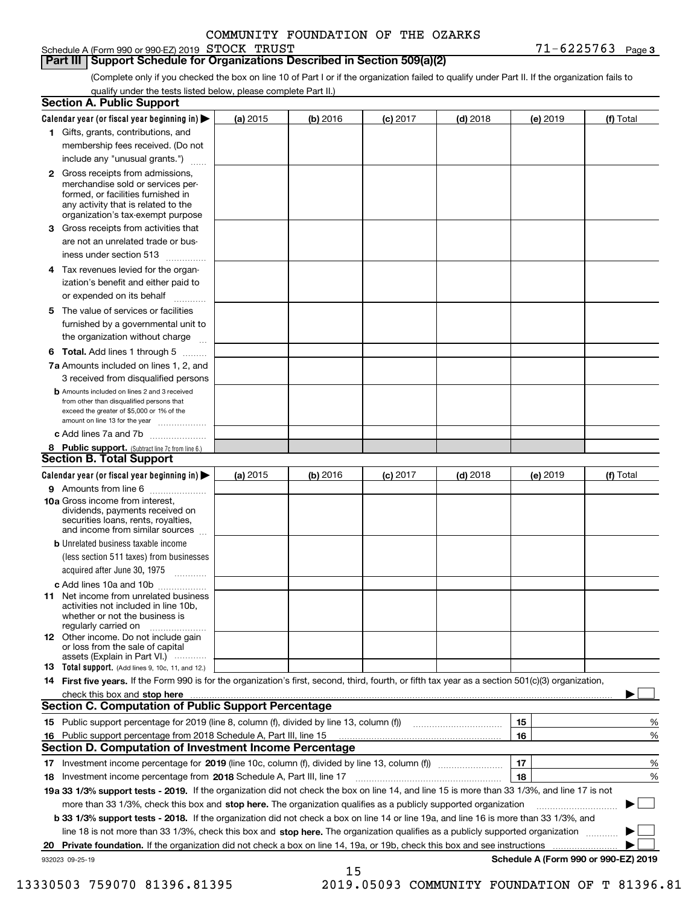Schedule A (Form 990 or 990-EZ) 2019 Page STOCK TRUST 71-6225763

(Complete only if you checked the box on line 10 of Part I or if the organization failed to qualify under Part II. If the organization fails to qualify under the tests listed below, please complete Part II.)

|    | <b>Section A. Public Support</b>                                                                                                                                                                |            |          |            |            |          |                                      |
|----|-------------------------------------------------------------------------------------------------------------------------------------------------------------------------------------------------|------------|----------|------------|------------|----------|--------------------------------------|
|    | Calendar year (or fiscal year beginning in) $\blacktriangleright$                                                                                                                               | (a) 2015   | (b) 2016 | $(c)$ 2017 | $(d)$ 2018 | (e) 2019 | (f) Total                            |
|    | 1 Gifts, grants, contributions, and                                                                                                                                                             |            |          |            |            |          |                                      |
|    | membership fees received. (Do not                                                                                                                                                               |            |          |            |            |          |                                      |
|    | include any "unusual grants.")                                                                                                                                                                  |            |          |            |            |          |                                      |
|    | <b>2</b> Gross receipts from admissions,<br>merchandise sold or services per-<br>formed, or facilities furnished in<br>any activity that is related to the<br>organization's tax-exempt purpose |            |          |            |            |          |                                      |
|    | 3 Gross receipts from activities that<br>are not an unrelated trade or bus-                                                                                                                     |            |          |            |            |          |                                      |
|    | iness under section 513                                                                                                                                                                         |            |          |            |            |          |                                      |
|    | 4 Tax revenues levied for the organ-                                                                                                                                                            |            |          |            |            |          |                                      |
|    | ization's benefit and either paid to<br>or expended on its behalf<br>.                                                                                                                          |            |          |            |            |          |                                      |
|    | 5 The value of services or facilities<br>furnished by a governmental unit to<br>the organization without charge                                                                                 |            |          |            |            |          |                                      |
|    |                                                                                                                                                                                                 |            |          |            |            |          |                                      |
|    | <b>6 Total.</b> Add lines 1 through 5<br>7a Amounts included on lines 1, 2, and                                                                                                                 |            |          |            |            |          |                                      |
|    | 3 received from disqualified persons                                                                                                                                                            |            |          |            |            |          |                                      |
|    | <b>b</b> Amounts included on lines 2 and 3 received<br>from other than disqualified persons that<br>exceed the greater of \$5,000 or 1% of the<br>amount on line 13 for the year                |            |          |            |            |          |                                      |
|    | c Add lines 7a and 7b                                                                                                                                                                           |            |          |            |            |          |                                      |
|    | 8 Public support. (Subtract line 7c from line 6.)<br>Section B. Total Support                                                                                                                   |            |          |            |            |          |                                      |
|    | Calendar year (or fiscal year beginning in)                                                                                                                                                     | (a) $2015$ | (b) 2016 | $(c)$ 2017 | $(d)$ 2018 | (e) 2019 | (f) Total                            |
|    | 9 Amounts from line 6                                                                                                                                                                           |            |          |            |            |          |                                      |
|    | <b>10a</b> Gross income from interest,<br>dividends, payments received on<br>securities loans, rents, royalties,<br>and income from similar sources                                             |            |          |            |            |          |                                      |
|    | <b>b</b> Unrelated business taxable income<br>(less section 511 taxes) from businesses<br>acquired after June 30, 1975                                                                          |            |          |            |            |          |                                      |
|    | c Add lines 10a and 10b                                                                                                                                                                         |            |          |            |            |          |                                      |
|    | 11 Net income from unrelated business<br>activities not included in line 10b,<br>whether or not the business is<br>regularly carried on                                                         |            |          |            |            |          |                                      |
|    | 12 Other income. Do not include gain<br>or loss from the sale of capital<br>assets (Explain in Part VI.)                                                                                        |            |          |            |            |          |                                      |
|    | <b>13</b> Total support. (Add lines 9, 10c, 11, and 12.)                                                                                                                                        |            |          |            |            |          |                                      |
|    | 14 First five years. If the Form 990 is for the organization's first, second, third, fourth, or fifth tax year as a section 501(c)(3) organization,                                             |            |          |            |            |          |                                      |
|    | check this <u>box and stop here manual construction control to the state of the state of the state of the state of</u><br><b>Section C. Computation of Public Support Percentage</b>            |            |          |            |            |          |                                      |
|    | 15 Public support percentage for 2019 (line 8, column (f), divided by line 13, column (f))                                                                                                      |            |          |            |            | 15       | %                                    |
|    | 16 Public support percentage from 2018 Schedule A, Part III, line 15                                                                                                                            |            |          |            |            | 16       | %                                    |
|    | <b>Section D. Computation of Investment Income Percentage</b>                                                                                                                                   |            |          |            |            |          |                                      |
|    | 17 Investment income percentage for 2019 (line 10c, column (f), divided by line 13, column (f))                                                                                                 |            |          |            |            | 17       | %                                    |
|    | 18 Investment income percentage from 2018 Schedule A, Part III, line 17                                                                                                                         |            |          |            |            | 18       | %                                    |
|    | 19a 33 1/3% support tests - 2019. If the organization did not check the box on line 14, and line 15 is more than 33 1/3%, and line 17 is not                                                    |            |          |            |            |          |                                      |
|    | more than 33 1/3%, check this box and stop here. The organization qualifies as a publicly supported organization                                                                                |            |          |            |            |          | $\sim$ 1                             |
|    | b 33 1/3% support tests - 2018. If the organization did not check a box on line 14 or line 19a, and line 16 is more than 33 1/3%, and                                                           |            |          |            |            |          |                                      |
|    | line 18 is not more than 33 1/3%, check this box and stop here. The organization qualifies as a publicly supported organization                                                                 |            |          |            |            |          |                                      |
| 20 | Private foundation. If the organization did not check a box on line 14, 19a, or 19b, check this box and see instructions                                                                        |            |          |            |            |          |                                      |
|    | 932023 09-25-19                                                                                                                                                                                 |            | 15       |            |            |          | Schedule A (Form 990 or 990-EZ) 2019 |

13330503 759070 81396.81395 2019.05093 COMMUNITY FOUNDATION OF T 81396.81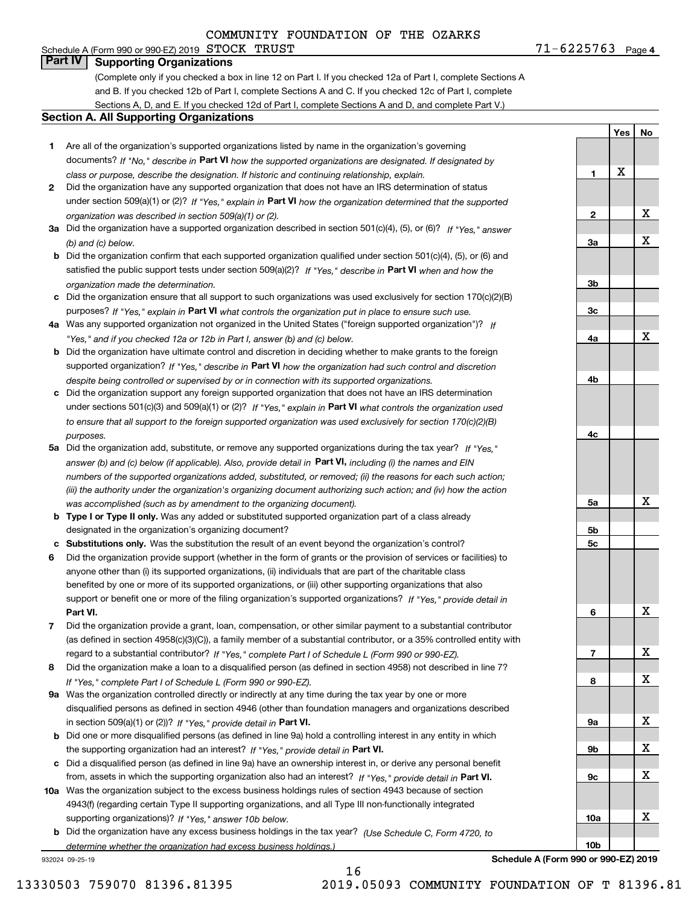# **Part IV Supporting Organizations**

(Complete only if you checked a box in line 12 on Part I. If you checked 12a of Part I, complete Sections A and B. If you checked 12b of Part I, complete Sections A and C. If you checked 12c of Part I, complete Sections A, D, and E. If you checked 12d of Part I, complete Sections A and D, and complete Part V.)

### **Section A. All Supporting Organizations**

- **1** Are all of the organization's supported organizations listed by name in the organization's governing documents? If "No," describe in **Part VI** how the supported organizations are designated. If designated by *class or purpose, describe the designation. If historic and continuing relationship, explain.*
- **2** Did the organization have any supported organization that does not have an IRS determination of status under section 509(a)(1) or (2)? If "Yes," explain in Part VI how the organization determined that the supported *organization was described in section 509(a)(1) or (2).*
- **3a** Did the organization have a supported organization described in section 501(c)(4), (5), or (6)? If "Yes," answer *(b) and (c) below.*
- **b** Did the organization confirm that each supported organization qualified under section 501(c)(4), (5), or (6) and satisfied the public support tests under section 509(a)(2)? If "Yes," describe in **Part VI** when and how the *organization made the determination.*
- **c**Did the organization ensure that all support to such organizations was used exclusively for section 170(c)(2)(B) purposes? If "Yes," explain in **Part VI** what controls the organization put in place to ensure such use.
- **4a***If* Was any supported organization not organized in the United States ("foreign supported organization")? *"Yes," and if you checked 12a or 12b in Part I, answer (b) and (c) below.*
- **b** Did the organization have ultimate control and discretion in deciding whether to make grants to the foreign supported organization? If "Yes," describe in **Part VI** how the organization had such control and discretion *despite being controlled or supervised by or in connection with its supported organizations.*
- **c** Did the organization support any foreign supported organization that does not have an IRS determination under sections 501(c)(3) and 509(a)(1) or (2)? If "Yes," explain in **Part VI** what controls the organization used *to ensure that all support to the foreign supported organization was used exclusively for section 170(c)(2)(B) purposes.*
- **5a** Did the organization add, substitute, or remove any supported organizations during the tax year? If "Yes," answer (b) and (c) below (if applicable). Also, provide detail in **Part VI,** including (i) the names and EIN *numbers of the supported organizations added, substituted, or removed; (ii) the reasons for each such action; (iii) the authority under the organization's organizing document authorizing such action; and (iv) how the action was accomplished (such as by amendment to the organizing document).*
- **b** Type I or Type II only. Was any added or substituted supported organization part of a class already designated in the organization's organizing document?
- **cSubstitutions only.**  Was the substitution the result of an event beyond the organization's control?
- **6** Did the organization provide support (whether in the form of grants or the provision of services or facilities) to **Part VI.** *If "Yes," provide detail in* support or benefit one or more of the filing organization's supported organizations? anyone other than (i) its supported organizations, (ii) individuals that are part of the charitable class benefited by one or more of its supported organizations, or (iii) other supporting organizations that also
- **7**Did the organization provide a grant, loan, compensation, or other similar payment to a substantial contributor *If "Yes," complete Part I of Schedule L (Form 990 or 990-EZ).* regard to a substantial contributor? (as defined in section 4958(c)(3)(C)), a family member of a substantial contributor, or a 35% controlled entity with
- **8** Did the organization make a loan to a disqualified person (as defined in section 4958) not described in line 7? *If "Yes," complete Part I of Schedule L (Form 990 or 990-EZ).*
- **9a** Was the organization controlled directly or indirectly at any time during the tax year by one or more in section 509(a)(1) or (2))? If "Yes," *provide detail in* <code>Part VI.</code> disqualified persons as defined in section 4946 (other than foundation managers and organizations described
- **b**the supporting organization had an interest? If "Yes," provide detail in P**art VI**. Did one or more disqualified persons (as defined in line 9a) hold a controlling interest in any entity in which
- **c**Did a disqualified person (as defined in line 9a) have an ownership interest in, or derive any personal benefit from, assets in which the supporting organization also had an interest? If "Yes," provide detail in P**art VI.**
- **10a** Was the organization subject to the excess business holdings rules of section 4943 because of section supporting organizations)? If "Yes," answer 10b below. 4943(f) (regarding certain Type II supporting organizations, and all Type III non-functionally integrated
- **b** Did the organization have any excess business holdings in the tax year? (Use Schedule C, Form 4720, to *determine whether the organization had excess business holdings.)*

16

932024 09-25-19

**10bSchedule A (Form 990 or 990-EZ) 2019**

13330503 759070 81396.81395 2019.05093 COMMUNITY FOUNDATION OF T 81396.81

X

# **3c4a4b4c5a 5b5c6789a 9b9c10a**X X X X X X X X X

**3a**

**3b**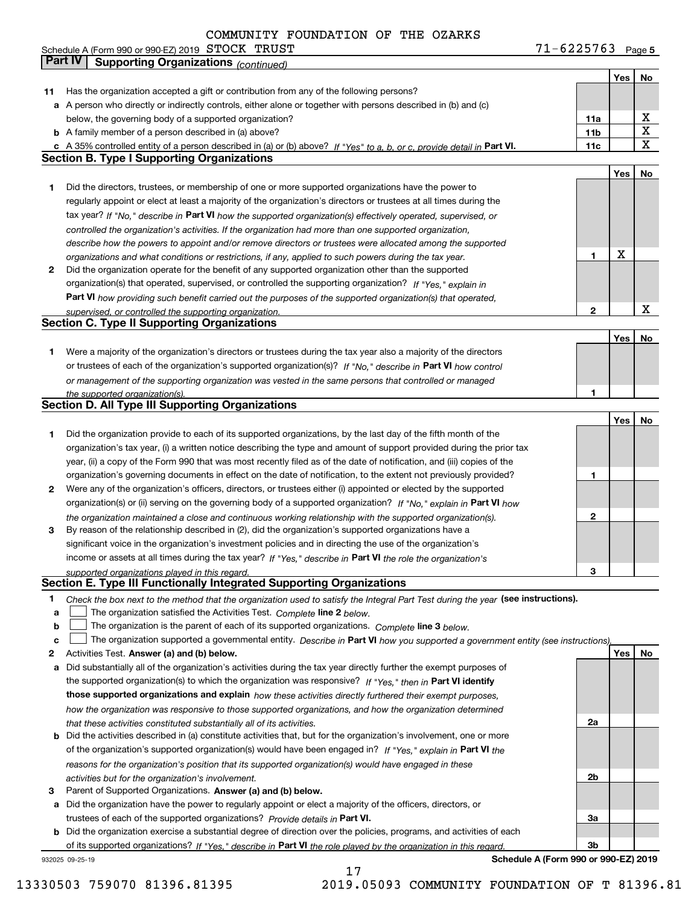|    | Schedule A (Form 990 or 990-EZ) 2019 $\,$ $\rm STOCK$ $\,$ $\rm TRUST$                                                                                                                                               | 71-6225763      |     | Page 5 |
|----|----------------------------------------------------------------------------------------------------------------------------------------------------------------------------------------------------------------------|-----------------|-----|--------|
|    | Part IV<br><b>Supporting Organizations (continued)</b>                                                                                                                                                               |                 |     |        |
|    |                                                                                                                                                                                                                      |                 | Yes | No     |
| 11 | Has the organization accepted a gift or contribution from any of the following persons?                                                                                                                              |                 |     |        |
|    | a A person who directly or indirectly controls, either alone or together with persons described in (b) and (c)                                                                                                       |                 |     |        |
|    | below, the governing body of a supported organization?                                                                                                                                                               | 11a             |     | x      |
|    | <b>b</b> A family member of a person described in (a) above?                                                                                                                                                         | 11 <sub>b</sub> |     | X      |
|    | c A 35% controlled entity of a person described in (a) or (b) above? If "Yes" to a, b, or c, provide detail in Part VI.                                                                                              | 11c             |     | x      |
|    | <b>Section B. Type I Supporting Organizations</b>                                                                                                                                                                    |                 |     |        |
|    |                                                                                                                                                                                                                      |                 | Yes | No     |
| 1. | Did the directors, trustees, or membership of one or more supported organizations have the power to                                                                                                                  |                 |     |        |
|    | regularly appoint or elect at least a majority of the organization's directors or trustees at all times during the                                                                                                   |                 |     |        |
|    | tax year? If "No," describe in Part VI how the supported organization(s) effectively operated, supervised, or                                                                                                        |                 |     |        |
|    | controlled the organization's activities. If the organization had more than one supported organization,                                                                                                              |                 |     |        |
|    | describe how the powers to appoint and/or remove directors or trustees were allocated among the supported                                                                                                            |                 |     |        |
|    | organizations and what conditions or restrictions, if any, applied to such powers during the tax year.                                                                                                               | 1               | X   |        |
| 2  | Did the organization operate for the benefit of any supported organization other than the supported                                                                                                                  |                 |     |        |
|    | organization(s) that operated, supervised, or controlled the supporting organization? If "Yes," explain in                                                                                                           |                 |     |        |
|    | Part VI how providing such benefit carried out the purposes of the supported organization(s) that operated,                                                                                                          |                 |     |        |
|    | supervised, or controlled the supporting organization.                                                                                                                                                               | $\mathbf{2}$    |     | X      |
|    | Section C. Type II Supporting Organizations                                                                                                                                                                          |                 |     |        |
|    |                                                                                                                                                                                                                      |                 | Yes | No     |
| 1. | Were a majority of the organization's directors or trustees during the tax year also a majority of the directors                                                                                                     |                 |     |        |
|    | or trustees of each of the organization's supported organization(s)? If "No," describe in Part VI how control                                                                                                        |                 |     |        |
|    | or management of the supporting organization was vested in the same persons that controlled or managed                                                                                                               |                 |     |        |
|    | the supported organization(s).<br>Section D. All Type III Supporting Organizations                                                                                                                                   | 1               |     |        |
|    |                                                                                                                                                                                                                      |                 |     |        |
|    |                                                                                                                                                                                                                      |                 | Yes | No     |
| 1  | Did the organization provide to each of its supported organizations, by the last day of the fifth month of the                                                                                                       |                 |     |        |
|    | organization's tax year, (i) a written notice describing the type and amount of support provided during the prior tax                                                                                                |                 |     |        |
|    | year, (ii) a copy of the Form 990 that was most recently filed as of the date of notification, and (iii) copies of the                                                                                               |                 |     |        |
|    | organization's governing documents in effect on the date of notification, to the extent not previously provided?                                                                                                     | 1               |     |        |
| 2  | Were any of the organization's officers, directors, or trustees either (i) appointed or elected by the supported                                                                                                     |                 |     |        |
|    | organization(s) or (ii) serving on the governing body of a supported organization? If "No," explain in Part VI how                                                                                                   | $\mathbf{2}$    |     |        |
| 3  | the organization maintained a close and continuous working relationship with the supported organization(s).<br>By reason of the relationship described in (2), did the organization's supported organizations have a |                 |     |        |
|    | significant voice in the organization's investment policies and in directing the use of the organization's                                                                                                           |                 |     |        |
|    | income or assets at all times during the tax year? If "Yes," describe in Part VI the role the organization's                                                                                                         |                 |     |        |
|    | supported organizations played in this regard.                                                                                                                                                                       | З               |     |        |
|    | <b>Section E. Type III Functionally Integrated Supporting Organizations</b>                                                                                                                                          |                 |     |        |
| 1  | Check the box next to the method that the organization used to satisfy the Integral Part Test during the year (see instructions).                                                                                    |                 |     |        |
| a  | The organization satisfied the Activities Test. Complete line 2 below.                                                                                                                                               |                 |     |        |
| b  | The organization is the parent of each of its supported organizations. Complete line 3 below.                                                                                                                        |                 |     |        |
| c  | The organization supported a governmental entity. Describe in Part VI how you supported a government entity (see instructions),                                                                                      |                 |     |        |
| 2  | Activities Test. Answer (a) and (b) below.                                                                                                                                                                           |                 | Yes | No     |
| а  | Did substantially all of the organization's activities during the tax year directly further the exempt purposes of                                                                                                   |                 |     |        |
|    | the supported organization(s) to which the organization was responsive? If "Yes." then in Part VI identify                                                                                                           |                 |     |        |
|    | those supported organizations and explain how these activities directly furthered their exempt purposes,                                                                                                             |                 |     |        |
|    | how the organization was responsive to those supported organizations, and how the organization determined                                                                                                            |                 |     |        |
|    | that these activities constituted substantially all of its activities.                                                                                                                                               | 2a              |     |        |
| b  | Did the activities described in (a) constitute activities that, but for the organization's involvement, one or more                                                                                                  |                 |     |        |
|    | of the organization's supported organization(s) would have been engaged in? If "Yes," explain in Part VI the                                                                                                         |                 |     |        |
|    | reasons for the organization's position that its supported organization(s) would have engaged in these                                                                                                               |                 |     |        |
|    | activities but for the organization's involvement.                                                                                                                                                                   | 2b              |     |        |
| 3  | Parent of Supported Organizations. Answer (a) and (b) below.                                                                                                                                                         |                 |     |        |
|    | a Did the organization have the power to regularly appoint or elect a majority of the officers, directors, or                                                                                                        |                 |     |        |
|    | trustees of each of the supported organizations? Provide details in Part VI.                                                                                                                                         | За              |     |        |
|    | <b>b</b> Did the organization exercise a substantial degree of direction over the policies programs, and activities of each                                                                                          |                 |     |        |

**b**of its supported organizations? If "Yes," describe in Part VI the role played by the organization in this regard. Did the organization exercise a substantial degree of direction over the policies, programs, and activities of each

17

932025 09-25-19

**Schedule A (Form 990 or 990-EZ) 2019**

**3b**

13330503 759070 81396.81395 2019.05093 COMMUNITY FOUNDATION OF T 81396.81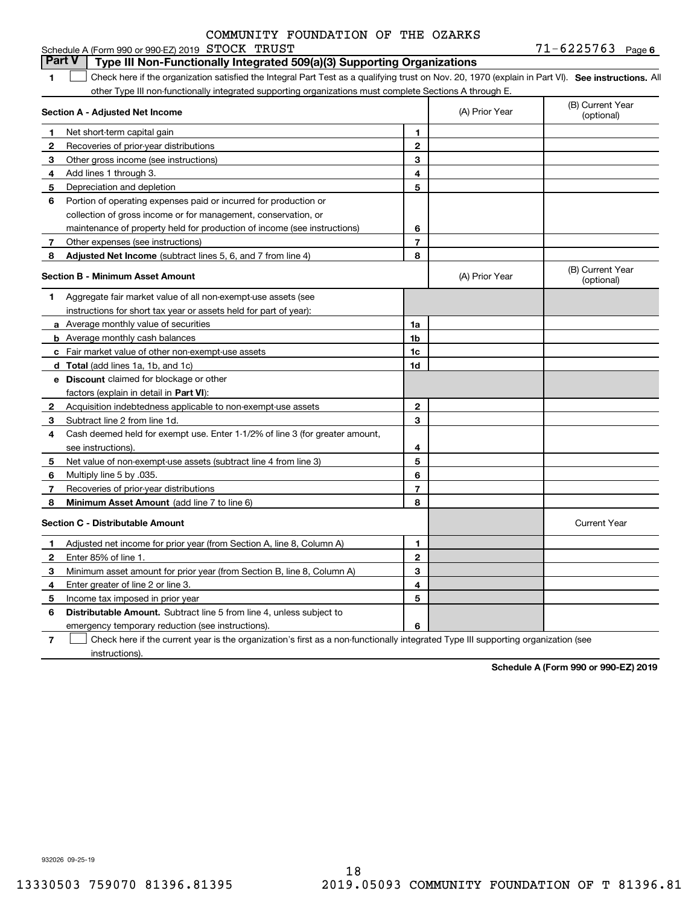| COMMUNITY FOUNDATION OF THE OZARKS |
|------------------------------------|
|------------------------------------|

|              | <b>Part V</b><br>Type III Non-Functionally Integrated 509(a)(3) Supporting Organizations                                                          |                |                |                                |
|--------------|---------------------------------------------------------------------------------------------------------------------------------------------------|----------------|----------------|--------------------------------|
| 1.           | Check here if the organization satisfied the Integral Part Test as a qualifying trust on Nov. 20, 1970 (explain in Part VI). See instructions. Al |                |                |                                |
|              | other Type III non-functionally integrated supporting organizations must complete Sections A through E.                                           |                |                |                                |
|              | Section A - Adjusted Net Income                                                                                                                   |                | (A) Prior Year | (B) Current Year<br>(optional) |
| 1            | Net short-term capital gain                                                                                                                       | 1              |                |                                |
| $\mathbf{2}$ | Recoveries of prior-year distributions                                                                                                            | $\mathbf{2}$   |                |                                |
| 3            | Other gross income (see instructions)                                                                                                             | 3              |                |                                |
| 4            | Add lines 1 through 3.                                                                                                                            | 4              |                |                                |
| 5            | Depreciation and depletion                                                                                                                        | 5              |                |                                |
| 6            | Portion of operating expenses paid or incurred for production or                                                                                  |                |                |                                |
|              | collection of gross income or for management, conservation, or                                                                                    |                |                |                                |
|              | maintenance of property held for production of income (see instructions)                                                                          | 6              |                |                                |
| 7            | Other expenses (see instructions)                                                                                                                 | $\overline{7}$ |                |                                |
| 8            | Adjusted Net Income (subtract lines 5, 6, and 7 from line 4)                                                                                      | 8              |                |                                |
|              | <b>Section B - Minimum Asset Amount</b>                                                                                                           |                | (A) Prior Year | (B) Current Year<br>(optional) |
| 1            | Aggregate fair market value of all non-exempt-use assets (see                                                                                     |                |                |                                |
|              | instructions for short tax year or assets held for part of year):                                                                                 |                |                |                                |
|              | <b>a</b> Average monthly value of securities                                                                                                      | 1a             |                |                                |
|              | <b>b</b> Average monthly cash balances                                                                                                            | 1 <sub>b</sub> |                |                                |
|              | c Fair market value of other non-exempt-use assets                                                                                                | 1 <sub>c</sub> |                |                                |
|              | d Total (add lines 1a, 1b, and 1c)                                                                                                                | 1d             |                |                                |
|              | <b>e</b> Discount claimed for blockage or other                                                                                                   |                |                |                                |
|              | factors (explain in detail in Part VI):                                                                                                           |                |                |                                |
| $\mathbf{2}$ | Acquisition indebtedness applicable to non-exempt-use assets                                                                                      | $\mathbf{2}$   |                |                                |
| 3            | Subtract line 2 from line 1d.                                                                                                                     | 3              |                |                                |
| 4            | Cash deemed held for exempt use. Enter 1-1/2% of line 3 (for greater amount,                                                                      |                |                |                                |
|              | see instructions).                                                                                                                                | 4              |                |                                |
| 5            | Net value of non-exempt-use assets (subtract line 4 from line 3)                                                                                  | 5              |                |                                |
| 6            | Multiply line 5 by .035.                                                                                                                          | 6              |                |                                |
| 7            | Recoveries of prior-year distributions                                                                                                            | $\overline{7}$ |                |                                |
| 8            | Minimum Asset Amount (add line 7 to line 6)                                                                                                       | 8              |                |                                |
|              | <b>Section C - Distributable Amount</b>                                                                                                           |                |                | <b>Current Year</b>            |
| 1            | Adjusted net income for prior year (from Section A, line 8, Column A)                                                                             | 1              |                |                                |
| 2            | Enter 85% of line 1.                                                                                                                              | $\mathbf{2}$   |                |                                |
| З            | Minimum asset amount for prior year (from Section B, line 8, Column A)                                                                            | 3              |                |                                |
| 4            | Enter greater of line 2 or line 3.                                                                                                                | 4              |                |                                |
| 5            | Income tax imposed in prior year                                                                                                                  | 5              |                |                                |
| 6            | <b>Distributable Amount.</b> Subtract line 5 from line 4, unless subject to                                                                       |                |                |                                |
|              | emergency temporary reduction (see instructions).                                                                                                 | 6              |                |                                |

**7**Check here if the current year is the organization's first as a non-functionally integrated Type III supporting organization (see instructions).

**Schedule A (Form 990 or 990-EZ) 2019**

932026 09-25-19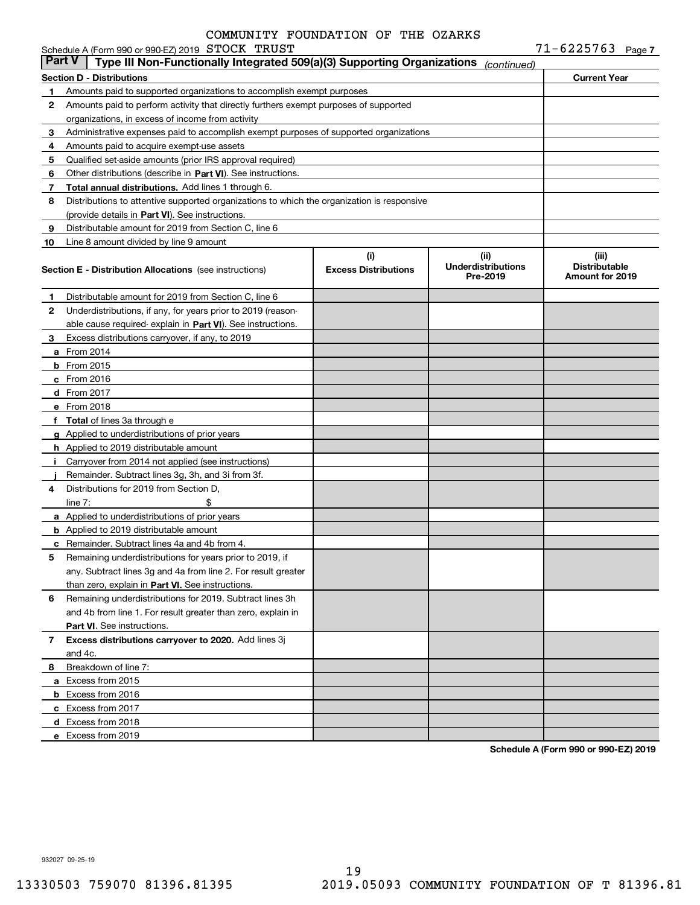|               | Schedule A (Form 990 or 990-EZ) 2019 STOCK TRUST                                           |                                    |                                               | $71 - 6225763$ Page 7                                   |  |
|---------------|--------------------------------------------------------------------------------------------|------------------------------------|-----------------------------------------------|---------------------------------------------------------|--|
| <b>Part V</b> | Type III Non-Functionally Integrated 509(a)(3) Supporting Organizations                    |                                    | (continued)                                   |                                                         |  |
|               | <b>Section D - Distributions</b>                                                           |                                    |                                               | <b>Current Year</b>                                     |  |
| 1             | Amounts paid to supported organizations to accomplish exempt purposes                      |                                    |                                               |                                                         |  |
| 2             | Amounts paid to perform activity that directly furthers exempt purposes of supported       |                                    |                                               |                                                         |  |
|               | organizations, in excess of income from activity                                           |                                    |                                               |                                                         |  |
| 3             | Administrative expenses paid to accomplish exempt purposes of supported organizations      |                                    |                                               |                                                         |  |
| 4             | Amounts paid to acquire exempt-use assets                                                  |                                    |                                               |                                                         |  |
| 5             | Qualified set-aside amounts (prior IRS approval required)                                  |                                    |                                               |                                                         |  |
| 6             | Other distributions (describe in Part VI). See instructions.                               |                                    |                                               |                                                         |  |
| 7             | Total annual distributions. Add lines 1 through 6.                                         |                                    |                                               |                                                         |  |
| 8             | Distributions to attentive supported organizations to which the organization is responsive |                                    |                                               |                                                         |  |
|               | (provide details in Part VI). See instructions.                                            |                                    |                                               |                                                         |  |
| 9             | Distributable amount for 2019 from Section C, line 6                                       |                                    |                                               |                                                         |  |
| 10            | Line 8 amount divided by line 9 amount                                                     |                                    |                                               |                                                         |  |
|               | <b>Section E - Distribution Allocations</b> (see instructions)                             | (i)<br><b>Excess Distributions</b> | (ii)<br><b>Underdistributions</b><br>Pre-2019 | (iii)<br><b>Distributable</b><br><b>Amount for 2019</b> |  |
| 1             | Distributable amount for 2019 from Section C, line 6                                       |                                    |                                               |                                                         |  |
| 2             | Underdistributions, if any, for years prior to 2019 (reason-                               |                                    |                                               |                                                         |  |
|               | able cause required-explain in Part VI). See instructions.                                 |                                    |                                               |                                                         |  |
| З.            | Excess distributions carryover, if any, to 2019                                            |                                    |                                               |                                                         |  |
|               | <b>a</b> From 2014                                                                         |                                    |                                               |                                                         |  |
|               | $b$ From 2015                                                                              |                                    |                                               |                                                         |  |
|               | $c$ From 2016                                                                              |                                    |                                               |                                                         |  |
|               | d From 2017                                                                                |                                    |                                               |                                                         |  |
|               | e From 2018                                                                                |                                    |                                               |                                                         |  |
|               | f Total of lines 3a through e                                                              |                                    |                                               |                                                         |  |
|               | g Applied to underdistributions of prior years                                             |                                    |                                               |                                                         |  |
|               | <b>h</b> Applied to 2019 distributable amount                                              |                                    |                                               |                                                         |  |
|               | Carryover from 2014 not applied (see instructions)                                         |                                    |                                               |                                                         |  |
|               | Remainder. Subtract lines 3g, 3h, and 3i from 3f.                                          |                                    |                                               |                                                         |  |
| 4             | Distributions for 2019 from Section D.                                                     |                                    |                                               |                                                         |  |
|               | \$<br>line $7:$                                                                            |                                    |                                               |                                                         |  |
|               | <b>a</b> Applied to underdistributions of prior years                                      |                                    |                                               |                                                         |  |
|               | <b>b</b> Applied to 2019 distributable amount                                              |                                    |                                               |                                                         |  |
|               | <b>c</b> Remainder. Subtract lines 4a and 4b from 4.                                       |                                    |                                               |                                                         |  |
|               | Remaining underdistributions for years prior to 2019, if                                   |                                    |                                               |                                                         |  |
|               | any. Subtract lines 3q and 4a from line 2. For result greater                              |                                    |                                               |                                                         |  |
|               | than zero, explain in Part VI. See instructions.                                           |                                    |                                               |                                                         |  |
| 6             | Remaining underdistributions for 2019. Subtract lines 3h                                   |                                    |                                               |                                                         |  |
|               | and 4b from line 1. For result greater than zero, explain in                               |                                    |                                               |                                                         |  |
|               | Part VI. See instructions.                                                                 |                                    |                                               |                                                         |  |
| 7             | Excess distributions carryover to 2020. Add lines 3j                                       |                                    |                                               |                                                         |  |
|               | and 4c.                                                                                    |                                    |                                               |                                                         |  |
| 8             | Breakdown of line 7:                                                                       |                                    |                                               |                                                         |  |
|               | a Excess from 2015                                                                         |                                    |                                               |                                                         |  |
|               | <b>b</b> Excess from 2016                                                                  |                                    |                                               |                                                         |  |
|               | c Excess from 2017                                                                         |                                    |                                               |                                                         |  |
|               | d Excess from 2018                                                                         |                                    |                                               |                                                         |  |
|               | e Excess from 2019                                                                         |                                    |                                               |                                                         |  |
|               |                                                                                            |                                    |                                               |                                                         |  |

**Schedule A (Form 990 or 990-EZ) 2019**

932027 09-25-19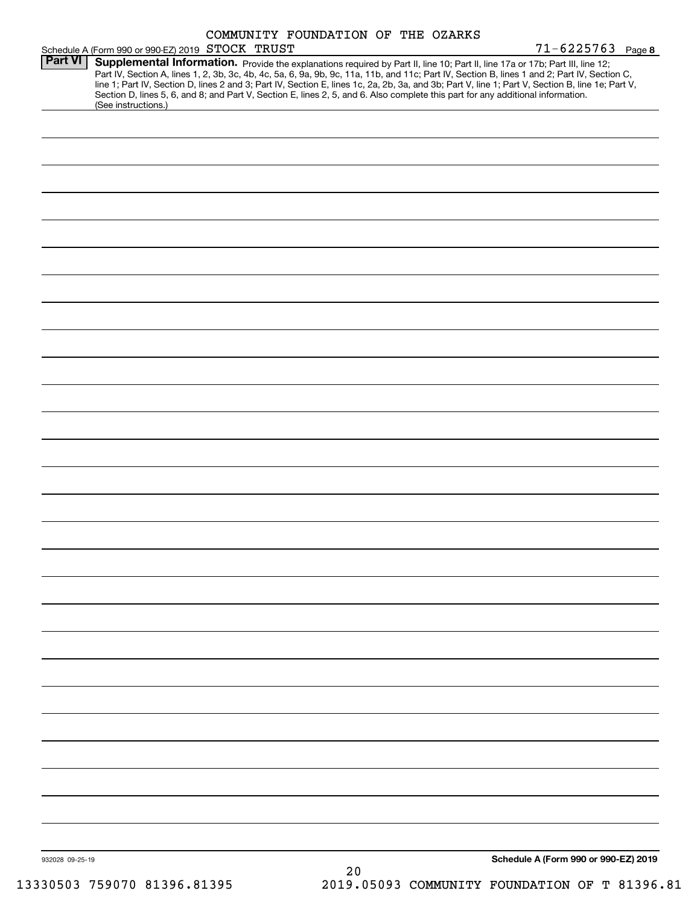|                 |                                                  |                                                                                                                                 | COMMUNITY FOUNDATION OF THE OZARKS |                                                                                                                                                                                                                                                                                                                                                                                                                                   |  |
|-----------------|--------------------------------------------------|---------------------------------------------------------------------------------------------------------------------------------|------------------------------------|-----------------------------------------------------------------------------------------------------------------------------------------------------------------------------------------------------------------------------------------------------------------------------------------------------------------------------------------------------------------------------------------------------------------------------------|--|
|                 | Schedule A (Form 990 or 990-EZ) 2019 STOCK TRUST |                                                                                                                                 |                                    | $71 - 6225763$ Page 8                                                                                                                                                                                                                                                                                                                                                                                                             |  |
| <b>Part VI</b>  |                                                  | Section D, lines 5, 6, and 8; and Part V, Section E, lines 2, 5, and 6. Also complete this part for any additional information. |                                    | Supplemental Information. Provide the explanations required by Part II, line 10; Part II, line 17a or 17b; Part III, line 12;<br>Part IV, Section A, lines 1, 2, 3b, 3c, 4b, 4c, 5a, 6, 9a, 9b, 9c, 11a, 11b, and 11c; Part IV, Section B, lines 1 and 2; Part IV, Section C,<br>line 1; Part IV, Section D, lines 2 and 3; Part IV, Section E, lines 1c, 2a, 2b, 3a, and 3b; Part V, line 1; Part V, Section B, line 1e; Part V, |  |
|                 | (See instructions.)                              |                                                                                                                                 |                                    |                                                                                                                                                                                                                                                                                                                                                                                                                                   |  |
|                 |                                                  |                                                                                                                                 |                                    |                                                                                                                                                                                                                                                                                                                                                                                                                                   |  |
|                 |                                                  |                                                                                                                                 |                                    |                                                                                                                                                                                                                                                                                                                                                                                                                                   |  |
|                 |                                                  |                                                                                                                                 |                                    |                                                                                                                                                                                                                                                                                                                                                                                                                                   |  |
|                 |                                                  |                                                                                                                                 |                                    |                                                                                                                                                                                                                                                                                                                                                                                                                                   |  |
|                 |                                                  |                                                                                                                                 |                                    |                                                                                                                                                                                                                                                                                                                                                                                                                                   |  |
|                 |                                                  |                                                                                                                                 |                                    |                                                                                                                                                                                                                                                                                                                                                                                                                                   |  |
|                 |                                                  |                                                                                                                                 |                                    |                                                                                                                                                                                                                                                                                                                                                                                                                                   |  |
|                 |                                                  |                                                                                                                                 |                                    |                                                                                                                                                                                                                                                                                                                                                                                                                                   |  |
|                 |                                                  |                                                                                                                                 |                                    |                                                                                                                                                                                                                                                                                                                                                                                                                                   |  |
|                 |                                                  |                                                                                                                                 |                                    |                                                                                                                                                                                                                                                                                                                                                                                                                                   |  |
|                 |                                                  |                                                                                                                                 |                                    |                                                                                                                                                                                                                                                                                                                                                                                                                                   |  |
|                 |                                                  |                                                                                                                                 |                                    |                                                                                                                                                                                                                                                                                                                                                                                                                                   |  |
|                 |                                                  |                                                                                                                                 |                                    |                                                                                                                                                                                                                                                                                                                                                                                                                                   |  |
|                 |                                                  |                                                                                                                                 |                                    |                                                                                                                                                                                                                                                                                                                                                                                                                                   |  |
|                 |                                                  |                                                                                                                                 |                                    |                                                                                                                                                                                                                                                                                                                                                                                                                                   |  |
|                 |                                                  |                                                                                                                                 |                                    |                                                                                                                                                                                                                                                                                                                                                                                                                                   |  |
|                 |                                                  |                                                                                                                                 |                                    |                                                                                                                                                                                                                                                                                                                                                                                                                                   |  |
|                 |                                                  |                                                                                                                                 |                                    |                                                                                                                                                                                                                                                                                                                                                                                                                                   |  |
|                 |                                                  |                                                                                                                                 |                                    |                                                                                                                                                                                                                                                                                                                                                                                                                                   |  |
|                 |                                                  |                                                                                                                                 |                                    |                                                                                                                                                                                                                                                                                                                                                                                                                                   |  |
|                 |                                                  |                                                                                                                                 |                                    |                                                                                                                                                                                                                                                                                                                                                                                                                                   |  |
|                 |                                                  |                                                                                                                                 |                                    |                                                                                                                                                                                                                                                                                                                                                                                                                                   |  |
|                 |                                                  |                                                                                                                                 |                                    |                                                                                                                                                                                                                                                                                                                                                                                                                                   |  |
|                 |                                                  |                                                                                                                                 |                                    |                                                                                                                                                                                                                                                                                                                                                                                                                                   |  |
|                 |                                                  |                                                                                                                                 |                                    |                                                                                                                                                                                                                                                                                                                                                                                                                                   |  |
|                 |                                                  |                                                                                                                                 |                                    |                                                                                                                                                                                                                                                                                                                                                                                                                                   |  |
|                 |                                                  |                                                                                                                                 |                                    |                                                                                                                                                                                                                                                                                                                                                                                                                                   |  |
|                 |                                                  |                                                                                                                                 |                                    |                                                                                                                                                                                                                                                                                                                                                                                                                                   |  |
|                 |                                                  |                                                                                                                                 |                                    |                                                                                                                                                                                                                                                                                                                                                                                                                                   |  |
|                 |                                                  |                                                                                                                                 |                                    |                                                                                                                                                                                                                                                                                                                                                                                                                                   |  |
|                 |                                                  |                                                                                                                                 |                                    |                                                                                                                                                                                                                                                                                                                                                                                                                                   |  |
| 932028 09-25-19 |                                                  |                                                                                                                                 |                                    | Schedule A (Form 990 or 990-EZ) 2019                                                                                                                                                                                                                                                                                                                                                                                              |  |
|                 |                                                  |                                                                                                                                 | $20$                               |                                                                                                                                                                                                                                                                                                                                                                                                                                   |  |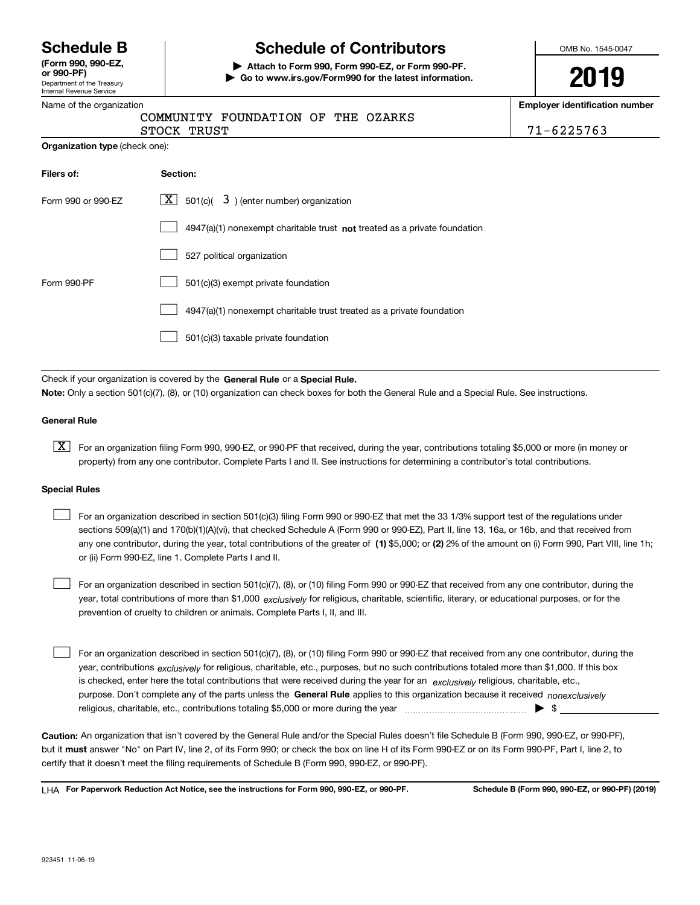Department of the Treasury Internal Revenue Service **(Form 990, 990-EZ, or 990-PF)**

# **Schedule B Schedule of Contributors**

**| Attach to Form 990, Form 990-EZ, or Form 990-PF. | Go to www.irs.gov/Form990 for the latest information.** OMB No. 1545-0047

# **2019**

**n** number

|  |  | Name of the organization |
|--|--|--------------------------|
|  |  |                          |

| Name of the organization              |                                                                           | <b>Employer identification</b> |
|---------------------------------------|---------------------------------------------------------------------------|--------------------------------|
|                                       | COMMUNITY FOUNDATION OF THE OZARKS                                        |                                |
|                                       | STOCK TRUST                                                               | $71 - 6225763$                 |
| <b>Organization type (check one):</b> |                                                                           |                                |
| Filers of:                            | Section:                                                                  |                                |
| Form 990 or 990-EZ                    | $ \mathbf{X} $ 501(c)( 3) (enter number) organization                     |                                |
|                                       | 4947(a)(1) nonexempt charitable trust not treated as a private foundation |                                |
|                                       | 527 political organization                                                |                                |
| Form 990-PF                           | 501(c)(3) exempt private foundation                                       |                                |
|                                       | 4947(a)(1) nonexempt charitable trust treated as a private foundation     |                                |
|                                       | 501(c)(3) taxable private foundation                                      |                                |
|                                       |                                                                           |                                |

Check if your organization is covered by the **General Rule** or a **Special Rule. Note:**  Only a section 501(c)(7), (8), or (10) organization can check boxes for both the General Rule and a Special Rule. See instructions.

### **General Rule**

 $\boxed{\textbf{X}}$  For an organization filing Form 990, 990-EZ, or 990-PF that received, during the year, contributions totaling \$5,000 or more (in money or property) from any one contributor. Complete Parts I and II. See instructions for determining a contributor's total contributions.

### **Special Rules**

any one contributor, during the year, total contributions of the greater of  $\,$  (1) \$5,000; or **(2)** 2% of the amount on (i) Form 990, Part VIII, line 1h; For an organization described in section 501(c)(3) filing Form 990 or 990-EZ that met the 33 1/3% support test of the regulations under sections 509(a)(1) and 170(b)(1)(A)(vi), that checked Schedule A (Form 990 or 990-EZ), Part II, line 13, 16a, or 16b, and that received from or (ii) Form 990-EZ, line 1. Complete Parts I and II.  $\mathcal{L}^{\text{max}}$ 

year, total contributions of more than \$1,000 *exclusively* for religious, charitable, scientific, literary, or educational purposes, or for the For an organization described in section 501(c)(7), (8), or (10) filing Form 990 or 990-EZ that received from any one contributor, during the prevention of cruelty to children or animals. Complete Parts I, II, and III.  $\mathcal{L}^{\text{max}}$ 

purpose. Don't complete any of the parts unless the **General Rule** applies to this organization because it received *nonexclusively* year, contributions <sub>exclusively</sub> for religious, charitable, etc., purposes, but no such contributions totaled more than \$1,000. If this box is checked, enter here the total contributions that were received during the year for an  $\;$ exclusively religious, charitable, etc., For an organization described in section 501(c)(7), (8), or (10) filing Form 990 or 990-EZ that received from any one contributor, during the religious, charitable, etc., contributions totaling \$5,000 or more during the year  $\Box$ — $\Box$   $\Box$  $\mathcal{L}^{\text{max}}$ 

**Caution:**  An organization that isn't covered by the General Rule and/or the Special Rules doesn't file Schedule B (Form 990, 990-EZ, or 990-PF),  **must** but it answer "No" on Part IV, line 2, of its Form 990; or check the box on line H of its Form 990-EZ or on its Form 990-PF, Part I, line 2, to certify that it doesn't meet the filing requirements of Schedule B (Form 990, 990-EZ, or 990-PF).

**For Paperwork Reduction Act Notice, see the instructions for Form 990, 990-EZ, or 990-PF. Schedule B (Form 990, 990-EZ, or 990-PF) (2019)** LHA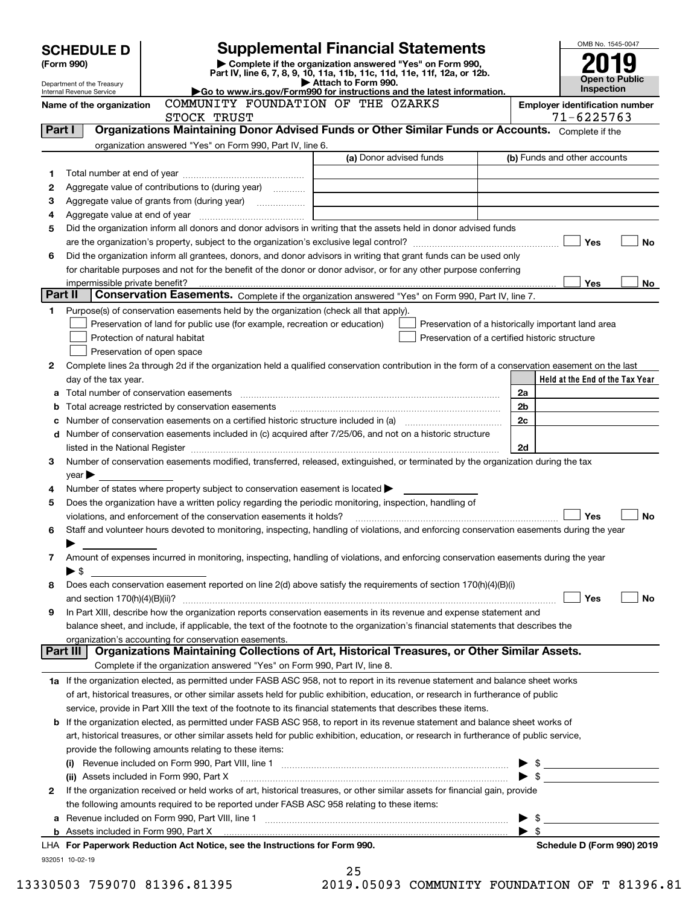|         | <b>SCHEDULE D</b>                                                                                                                    |                                                                                                                                                                                                                               | <b>Supplemental Financial Statements</b>           |  |                          | OMB No. 1545-0047               |  |
|---------|--------------------------------------------------------------------------------------------------------------------------------------|-------------------------------------------------------------------------------------------------------------------------------------------------------------------------------------------------------------------------------|----------------------------------------------------|--|--------------------------|---------------------------------|--|
|         | Complete if the organization answered "Yes" on Form 990,<br>(Form 990)                                                               |                                                                                                                                                                                                                               |                                                    |  |                          |                                 |  |
|         | Part IV, line 6, 7, 8, 9, 10, 11a, 11b, 11c, 11d, 11e, 11f, 12a, or 12b.<br>Attach to Form 990.<br>Department of the Treasury        |                                                                                                                                                                                                                               |                                                    |  |                          |                                 |  |
|         | Go to www.irs.gov/Form990 for instructions and the latest information.<br>Internal Revenue Service                                   |                                                                                                                                                                                                                               |                                                    |  |                          |                                 |  |
|         | COMMUNITY FOUNDATION OF THE OZARKS<br><b>Employer identification number</b><br>Name of the organization<br>71-6225763<br>STOCK TRUST |                                                                                                                                                                                                                               |                                                    |  |                          |                                 |  |
| Part I  |                                                                                                                                      | Organizations Maintaining Donor Advised Funds or Other Similar Funds or Accounts. Complete if the                                                                                                                             |                                                    |  |                          |                                 |  |
|         |                                                                                                                                      | organization answered "Yes" on Form 990, Part IV, line 6.                                                                                                                                                                     |                                                    |  |                          |                                 |  |
|         |                                                                                                                                      |                                                                                                                                                                                                                               | (a) Donor advised funds                            |  |                          | (b) Funds and other accounts    |  |
| 1       |                                                                                                                                      |                                                                                                                                                                                                                               |                                                    |  |                          |                                 |  |
| 2       |                                                                                                                                      | Aggregate value of contributions to (during year)                                                                                                                                                                             |                                                    |  |                          |                                 |  |
| з       |                                                                                                                                      |                                                                                                                                                                                                                               |                                                    |  |                          |                                 |  |
| 4       |                                                                                                                                      |                                                                                                                                                                                                                               |                                                    |  |                          |                                 |  |
| 5       |                                                                                                                                      | Did the organization inform all donors and donor advisors in writing that the assets held in donor advised funds                                                                                                              |                                                    |  |                          |                                 |  |
|         |                                                                                                                                      |                                                                                                                                                                                                                               |                                                    |  |                          | Yes<br>No                       |  |
| 6       |                                                                                                                                      | Did the organization inform all grantees, donors, and donor advisors in writing that grant funds can be used only                                                                                                             |                                                    |  |                          |                                 |  |
|         |                                                                                                                                      | for charitable purposes and not for the benefit of the donor or donor advisor, or for any other purpose conferring                                                                                                            |                                                    |  |                          |                                 |  |
| Part II | impermissible private benefit?                                                                                                       | Conservation Easements. Complete if the organization answered "Yes" on Form 990, Part IV, line 7.                                                                                                                             |                                                    |  |                          | Yes<br>No                       |  |
| 1.      |                                                                                                                                      | Purpose(s) of conservation easements held by the organization (check all that apply).                                                                                                                                         |                                                    |  |                          |                                 |  |
|         |                                                                                                                                      | Preservation of land for public use (for example, recreation or education)                                                                                                                                                    | Preservation of a historically important land area |  |                          |                                 |  |
|         |                                                                                                                                      | Protection of natural habitat                                                                                                                                                                                                 | Preservation of a certified historic structure     |  |                          |                                 |  |
|         |                                                                                                                                      | Preservation of open space                                                                                                                                                                                                    |                                                    |  |                          |                                 |  |
| 2       |                                                                                                                                      | Complete lines 2a through 2d if the organization held a qualified conservation contribution in the form of a conservation easement on the last                                                                                |                                                    |  |                          |                                 |  |
|         | day of the tax year.                                                                                                                 |                                                                                                                                                                                                                               |                                                    |  |                          | Held at the End of the Tax Year |  |
| a       |                                                                                                                                      |                                                                                                                                                                                                                               |                                                    |  | 2a                       |                                 |  |
| b       |                                                                                                                                      | Total acreage restricted by conservation easements                                                                                                                                                                            |                                                    |  | 2 <sub>b</sub>           |                                 |  |
| с       |                                                                                                                                      |                                                                                                                                                                                                                               |                                                    |  | 2c                       |                                 |  |
| d       |                                                                                                                                      | Number of conservation easements included in (c) acquired after 7/25/06, and not on a historic structure                                                                                                                      |                                                    |  |                          |                                 |  |
|         |                                                                                                                                      | listed in the National Register [11, 1200] [12] The National Register [11, 1200] [12] The National Register [11, 1200] [12] The National Register [11, 1200] [12] The National Register [11, 1200] [12] The National Register |                                                    |  | 2d                       |                                 |  |
| 3       |                                                                                                                                      | Number of conservation easements modified, transferred, released, extinguished, or terminated by the organization during the tax                                                                                              |                                                    |  |                          |                                 |  |
|         | $\mathsf{year}$                                                                                                                      |                                                                                                                                                                                                                               |                                                    |  |                          |                                 |  |
| 4       |                                                                                                                                      | Number of states where property subject to conservation easement is located >                                                                                                                                                 |                                                    |  |                          |                                 |  |
| 5       |                                                                                                                                      | Does the organization have a written policy regarding the periodic monitoring, inspection, handling of                                                                                                                        |                                                    |  |                          |                                 |  |
|         |                                                                                                                                      | violations, and enforcement of the conservation easements it holds?                                                                                                                                                           |                                                    |  |                          | <b>No</b><br>Yes                |  |
| 6       |                                                                                                                                      | Staff and volunteer hours devoted to monitoring, inspecting, handling of violations, and enforcing conservation easements during the year                                                                                     |                                                    |  |                          |                                 |  |
|         |                                                                                                                                      |                                                                                                                                                                                                                               |                                                    |  |                          |                                 |  |
| 7       |                                                                                                                                      | Amount of expenses incurred in monitoring, inspecting, handling of violations, and enforcing conservation easements during the year                                                                                           |                                                    |  |                          |                                 |  |
|         | $\blacktriangleright$ \$                                                                                                             |                                                                                                                                                                                                                               |                                                    |  |                          |                                 |  |
| 8       |                                                                                                                                      | Does each conservation easement reported on line 2(d) above satisfy the requirements of section 170(h)(4)(B)(i)                                                                                                               |                                                    |  |                          |                                 |  |
| 9       |                                                                                                                                      | In Part XIII, describe how the organization reports conservation easements in its revenue and expense statement and                                                                                                           |                                                    |  |                          | Yes<br>No                       |  |
|         |                                                                                                                                      | balance sheet, and include, if applicable, the text of the footnote to the organization's financial statements that describes the                                                                                             |                                                    |  |                          |                                 |  |
|         |                                                                                                                                      | organization's accounting for conservation easements.                                                                                                                                                                         |                                                    |  |                          |                                 |  |
|         | Part III                                                                                                                             | Organizations Maintaining Collections of Art, Historical Treasures, or Other Similar Assets.                                                                                                                                  |                                                    |  |                          |                                 |  |
|         |                                                                                                                                      | Complete if the organization answered "Yes" on Form 990, Part IV, line 8.                                                                                                                                                     |                                                    |  |                          |                                 |  |
|         |                                                                                                                                      | 1a If the organization elected, as permitted under FASB ASC 958, not to report in its revenue statement and balance sheet works                                                                                               |                                                    |  |                          |                                 |  |
|         |                                                                                                                                      | of art, historical treasures, or other similar assets held for public exhibition, education, or research in furtherance of public                                                                                             |                                                    |  |                          |                                 |  |
|         |                                                                                                                                      | service, provide in Part XIII the text of the footnote to its financial statements that describes these items.                                                                                                                |                                                    |  |                          |                                 |  |
| b       |                                                                                                                                      | If the organization elected, as permitted under FASB ASC 958, to report in its revenue statement and balance sheet works of                                                                                                   |                                                    |  |                          |                                 |  |
|         |                                                                                                                                      | art, historical treasures, or other similar assets held for public exhibition, education, or research in furtherance of public service,                                                                                       |                                                    |  |                          |                                 |  |
|         |                                                                                                                                      | provide the following amounts relating to these items:                                                                                                                                                                        |                                                    |  |                          |                                 |  |
|         |                                                                                                                                      |                                                                                                                                                                                                                               |                                                    |  |                          | $\frac{1}{2}$                   |  |
|         |                                                                                                                                      | (ii) Assets included in Form 990, Part X                                                                                                                                                                                      |                                                    |  | $\blacktriangleright$ \$ |                                 |  |
| 2       |                                                                                                                                      | If the organization received or held works of art, historical treasures, or other similar assets for financial gain, provide                                                                                                  |                                                    |  |                          |                                 |  |
|         |                                                                                                                                      | the following amounts required to be reported under FASB ASC 958 relating to these items:                                                                                                                                     |                                                    |  |                          |                                 |  |
| a       |                                                                                                                                      |                                                                                                                                                                                                                               |                                                    |  | \$                       |                                 |  |
|         |                                                                                                                                      |                                                                                                                                                                                                                               |                                                    |  | $\blacktriangleright$ s  |                                 |  |
|         |                                                                                                                                      | LHA For Paperwork Reduction Act Notice, see the Instructions for Form 990.                                                                                                                                                    |                                                    |  |                          | Schedule D (Form 990) 2019      |  |
|         | 932051 10-02-19                                                                                                                      |                                                                                                                                                                                                                               |                                                    |  |                          |                                 |  |

| 25 |                  |  |
|----|------------------|--|
|    | $10.05093$ $C_1$ |  |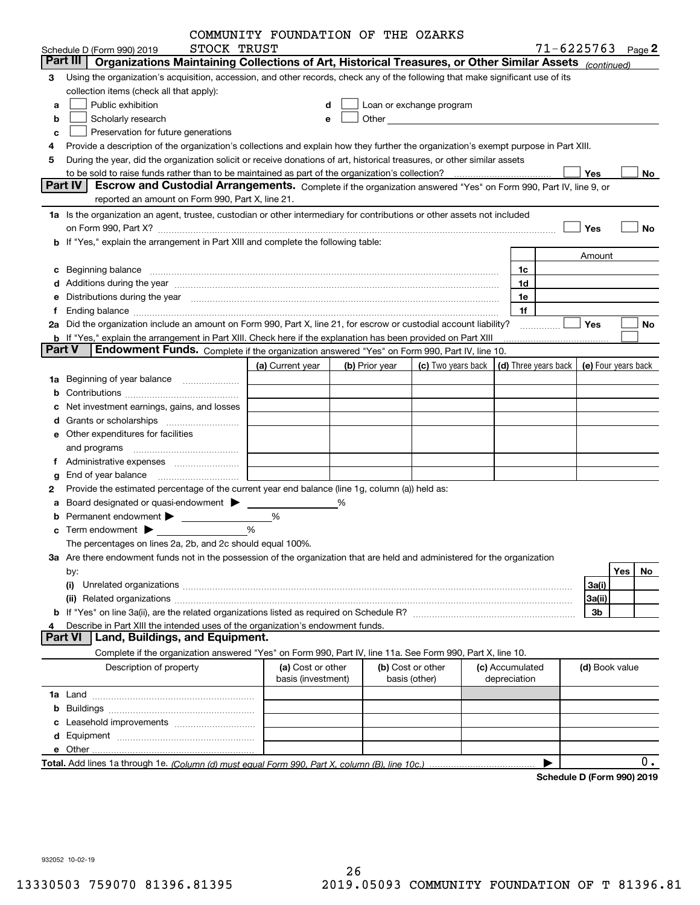|               |                                                                                                                                                                                                                                | COMMUNITY FOUNDATION OF THE OZARKS |   |                |                                                                                                                                                                                                                                |                 |              |                                            |                |     |    |
|---------------|--------------------------------------------------------------------------------------------------------------------------------------------------------------------------------------------------------------------------------|------------------------------------|---|----------------|--------------------------------------------------------------------------------------------------------------------------------------------------------------------------------------------------------------------------------|-----------------|--------------|--------------------------------------------|----------------|-----|----|
|               | STOCK TRUST<br>Schedule D (Form 990) 2019                                                                                                                                                                                      |                                    |   |                |                                                                                                                                                                                                                                |                 |              | $71 - 6225763$ Page 2                      |                |     |    |
|               | Organizations Maintaining Collections of Art, Historical Treasures, or Other Similar Assets (continued)<br>Part III                                                                                                            |                                    |   |                |                                                                                                                                                                                                                                |                 |              |                                            |                |     |    |
| 3             | Using the organization's acquisition, accession, and other records, check any of the following that make significant use of its                                                                                                |                                    |   |                |                                                                                                                                                                                                                                |                 |              |                                            |                |     |    |
|               | collection items (check all that apply):                                                                                                                                                                                       |                                    |   |                |                                                                                                                                                                                                                                |                 |              |                                            |                |     |    |
| a             | Public exhibition                                                                                                                                                                                                              |                                    | d |                | Loan or exchange program                                                                                                                                                                                                       |                 |              |                                            |                |     |    |
| b             | Scholarly research                                                                                                                                                                                                             |                                    | е |                | Other and the control of the control of the control of the control of the control of the control of the control of the control of the control of the control of the control of the control of the control of the control of th |                 |              |                                            |                |     |    |
| c             | Preservation for future generations                                                                                                                                                                                            |                                    |   |                |                                                                                                                                                                                                                                |                 |              |                                            |                |     |    |
|               | Provide a description of the organization's collections and explain how they further the organization's exempt purpose in Part XIII.                                                                                           |                                    |   |                |                                                                                                                                                                                                                                |                 |              |                                            |                |     |    |
| 5             | During the year, did the organization solicit or receive donations of art, historical treasures, or other similar assets                                                                                                       |                                    |   |                |                                                                                                                                                                                                                                |                 |              |                                            |                |     |    |
|               | Part IV<br>Escrow and Custodial Arrangements. Complete if the organization answered "Yes" on Form 990, Part IV, line 9, or                                                                                                     |                                    |   |                |                                                                                                                                                                                                                                |                 |              |                                            | Yes            |     | No |
|               | reported an amount on Form 990, Part X, line 21.                                                                                                                                                                               |                                    |   |                |                                                                                                                                                                                                                                |                 |              |                                            |                |     |    |
|               | 1a Is the organization an agent, trustee, custodian or other intermediary for contributions or other assets not included                                                                                                       |                                    |   |                |                                                                                                                                                                                                                                |                 |              |                                            |                |     |    |
|               |                                                                                                                                                                                                                                |                                    |   |                |                                                                                                                                                                                                                                |                 |              |                                            | Yes            |     | No |
|               | on Form 990, Part X? [11] matter contracts and contracts and contracts are contracted as a form 990, Part X?<br>b If "Yes," explain the arrangement in Part XIII and complete the following table:                             |                                    |   |                |                                                                                                                                                                                                                                |                 |              |                                            |                |     |    |
|               |                                                                                                                                                                                                                                |                                    |   |                |                                                                                                                                                                                                                                |                 |              |                                            | Amount         |     |    |
|               |                                                                                                                                                                                                                                |                                    |   |                |                                                                                                                                                                                                                                |                 | 1c           |                                            |                |     |    |
|               | c Beginning balance measurements and the contract of the contract of the contract of the contract of the contract of the contract of the contract of the contract of the contract of the contract of the contract of the contr |                                    |   |                |                                                                                                                                                                                                                                |                 | 1d           |                                            |                |     |    |
|               |                                                                                                                                                                                                                                |                                    |   |                |                                                                                                                                                                                                                                |                 |              |                                            |                |     |    |
|               | Distributions during the year manufactured and continuum and the year manufactured and the year manufactured and the year manufactured and the year manufactured and the year manufactured and the year manufactured and the y |                                    |   |                |                                                                                                                                                                                                                                |                 | 1e<br>1f     |                                            |                |     |    |
|               | 2a Did the organization include an amount on Form 990, Part X, line 21, for escrow or custodial account liability?                                                                                                             |                                    |   |                |                                                                                                                                                                                                                                |                 |              |                                            | Yes            |     | No |
|               | <b>b</b> If "Yes," explain the arrangement in Part XIII. Check here if the explanation has been provided on Part XIII                                                                                                          |                                    |   |                |                                                                                                                                                                                                                                |                 |              | .                                          |                |     |    |
| <b>Part V</b> | <b>Endowment Funds.</b> Complete if the organization answered "Yes" on Form 990, Part IV, line 10.                                                                                                                             |                                    |   |                |                                                                                                                                                                                                                                |                 |              |                                            |                |     |    |
|               |                                                                                                                                                                                                                                | (a) Current year                   |   | (b) Prior year | (c) Two years back                                                                                                                                                                                                             |                 |              | (d) Three years back   (e) Four years back |                |     |    |
| 1a            | Beginning of year balance                                                                                                                                                                                                      |                                    |   |                |                                                                                                                                                                                                                                |                 |              |                                            |                |     |    |
|               |                                                                                                                                                                                                                                |                                    |   |                |                                                                                                                                                                                                                                |                 |              |                                            |                |     |    |
|               | Net investment earnings, gains, and losses                                                                                                                                                                                     |                                    |   |                |                                                                                                                                                                                                                                |                 |              |                                            |                |     |    |
|               |                                                                                                                                                                                                                                |                                    |   |                |                                                                                                                                                                                                                                |                 |              |                                            |                |     |    |
|               | e Other expenditures for facilities                                                                                                                                                                                            |                                    |   |                |                                                                                                                                                                                                                                |                 |              |                                            |                |     |    |
|               |                                                                                                                                                                                                                                |                                    |   |                |                                                                                                                                                                                                                                |                 |              |                                            |                |     |    |
|               |                                                                                                                                                                                                                                |                                    |   |                |                                                                                                                                                                                                                                |                 |              |                                            |                |     |    |
|               | End of year balance                                                                                                                                                                                                            |                                    |   |                |                                                                                                                                                                                                                                |                 |              |                                            |                |     |    |
| 2             | Provide the estimated percentage of the current year end balance (line 1g, column (a)) held as:                                                                                                                                |                                    |   |                |                                                                                                                                                                                                                                |                 |              |                                            |                |     |    |
|               | Board designated or quasi-endowment >                                                                                                                                                                                          |                                    | % |                |                                                                                                                                                                                                                                |                 |              |                                            |                |     |    |
|               | Permanent endowment > 1                                                                                                                                                                                                        | %                                  |   |                |                                                                                                                                                                                                                                |                 |              |                                            |                |     |    |
|               | $\mathbf c$ Term endowment $\blacktriangleright$                                                                                                                                                                               | %                                  |   |                |                                                                                                                                                                                                                                |                 |              |                                            |                |     |    |
|               | The percentages on lines 2a, 2b, and 2c should equal 100%.                                                                                                                                                                     |                                    |   |                |                                                                                                                                                                                                                                |                 |              |                                            |                |     |    |
|               | 3a Are there endowment funds not in the possession of the organization that are held and administered for the organization                                                                                                     |                                    |   |                |                                                                                                                                                                                                                                |                 |              |                                            |                |     |    |
|               |                                                                                                                                                                                                                                |                                    |   |                |                                                                                                                                                                                                                                |                 |              |                                            |                | Yes | No |
|               | by:<br>(i)                                                                                                                                                                                                                     |                                    |   |                |                                                                                                                                                                                                                                |                 |              |                                            | 3a(i)          |     |    |
|               |                                                                                                                                                                                                                                |                                    |   |                |                                                                                                                                                                                                                                |                 |              |                                            | 3a(ii)         |     |    |
|               |                                                                                                                                                                                                                                |                                    |   |                |                                                                                                                                                                                                                                |                 |              |                                            | 3b             |     |    |
| 4             | Describe in Part XIII the intended uses of the organization's endowment funds.                                                                                                                                                 |                                    |   |                |                                                                                                                                                                                                                                |                 |              |                                            |                |     |    |
|               | Land, Buildings, and Equipment.<br><b>Part VI</b>                                                                                                                                                                              |                                    |   |                |                                                                                                                                                                                                                                |                 |              |                                            |                |     |    |
|               | Complete if the organization answered "Yes" on Form 990, Part IV, line 11a. See Form 990, Part X, line 10.                                                                                                                     |                                    |   |                |                                                                                                                                                                                                                                |                 |              |                                            |                |     |    |
|               | Description of property                                                                                                                                                                                                        | (a) Cost or other                  |   |                | (b) Cost or other                                                                                                                                                                                                              | (c) Accumulated |              |                                            | (d) Book value |     |    |
|               |                                                                                                                                                                                                                                | basis (investment)                 |   |                | basis (other)                                                                                                                                                                                                                  |                 | depreciation |                                            |                |     |    |
|               |                                                                                                                                                                                                                                |                                    |   |                |                                                                                                                                                                                                                                |                 |              |                                            |                |     |    |
| b             |                                                                                                                                                                                                                                |                                    |   |                |                                                                                                                                                                                                                                |                 |              |                                            |                |     |    |
|               |                                                                                                                                                                                                                                |                                    |   |                |                                                                                                                                                                                                                                |                 |              |                                            |                |     |    |
| d             |                                                                                                                                                                                                                                |                                    |   |                |                                                                                                                                                                                                                                |                 |              |                                            |                |     |    |
|               |                                                                                                                                                                                                                                |                                    |   |                |                                                                                                                                                                                                                                |                 |              |                                            |                |     |    |
|               |                                                                                                                                                                                                                                |                                    |   |                |                                                                                                                                                                                                                                |                 |              |                                            |                |     | 0. |
|               |                                                                                                                                                                                                                                |                                    |   |                |                                                                                                                                                                                                                                |                 |              | Schedule D (Form 990) 2019                 |                |     |    |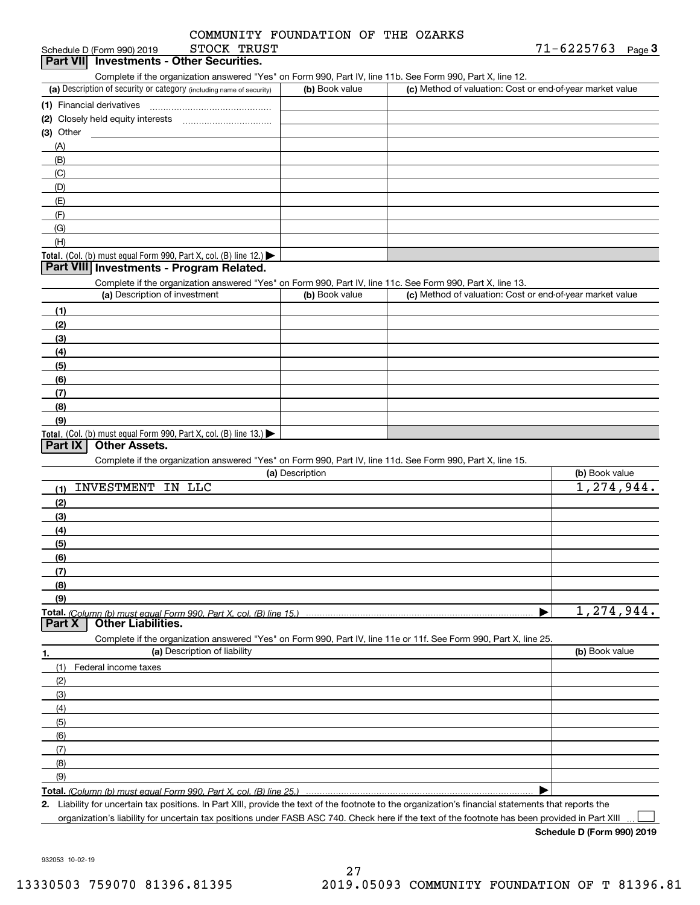|             | COMMUNITY FOUNDATION OF THE OZARKS |  |  |
|-------------|------------------------------------|--|--|
| STOCK TRUST |                                    |  |  |

| Schedule D (Form 990) 2019                      | STOCK | TRUST | '-6225763' | Page |
|-------------------------------------------------|-------|-------|------------|------|
| <b>Part VII</b> Investments - Other Securities. |       |       |            |      |

Complete if the organization answered "Yes" on Form 990, Part IV, line 11b. See Form 990, Part X, line 12.

| (a) Description of security or category (including name of security)                   | (b) Book value | (c) Method of valuation: Cost or end-of-year market value |
|----------------------------------------------------------------------------------------|----------------|-----------------------------------------------------------|
| (1) Financial derivatives                                                              |                |                                                           |
| (2) Closely held equity interests                                                      |                |                                                           |
| $(3)$ Other                                                                            |                |                                                           |
| (A)                                                                                    |                |                                                           |
| (B)                                                                                    |                |                                                           |
| (C)                                                                                    |                |                                                           |
| (D)                                                                                    |                |                                                           |
| (E)                                                                                    |                |                                                           |
| (F)                                                                                    |                |                                                           |
| (G)                                                                                    |                |                                                           |
| (H)                                                                                    |                |                                                           |
| Total. (Col. (b) must equal Form 990, Part X, col. (B) line 12.) $\blacktriangleright$ |                |                                                           |

### **Part VIII Investments - Program Related.**

Complete if the organization answered "Yes" on Form 990, Part IV, line 11c. See Form 990, Part X, line 13.

| (a) Description of investment                                                          | (b) Book value | (c) Method of valuation: Cost or end-of-year market value |
|----------------------------------------------------------------------------------------|----------------|-----------------------------------------------------------|
| (1)                                                                                    |                |                                                           |
| (2)                                                                                    |                |                                                           |
| $\frac{1}{2}$                                                                          |                |                                                           |
| (4)                                                                                    |                |                                                           |
| (5)                                                                                    |                |                                                           |
| (6)                                                                                    |                |                                                           |
| (7)                                                                                    |                |                                                           |
| (8)                                                                                    |                |                                                           |
| (9)                                                                                    |                |                                                           |
| Total. (Col. (b) must equal Form 990, Part X, col. (B) line 13.) $\blacktriangleright$ |                |                                                           |

### **Part IX Other Assets.**

Complete if the organization answered "Yes" on Form 990, Part IV, line 11d. See Form 990, Part X, line 15.

|        | (a) Description                                                                                                   | (b) Book value |
|--------|-------------------------------------------------------------------------------------------------------------------|----------------|
| (1)    | <b>INVESTMENT</b><br>IN LLC                                                                                       | 1,274,944.     |
| (2)    |                                                                                                                   |                |
| (3)    |                                                                                                                   |                |
| (4)    |                                                                                                                   |                |
| (5)    |                                                                                                                   |                |
| (6)    |                                                                                                                   |                |
| (7)    |                                                                                                                   |                |
| (8)    |                                                                                                                   |                |
| (9)    |                                                                                                                   |                |
|        | Total. (Column (b) must equal Form 990, Part X, col. (B) line 15.)                                                | 1,274,944.     |
| Part X | <b>Other Liabilities.</b>                                                                                         |                |
|        |                                                                                                                   |                |
|        | Complete if the organization answered "Yes" on Form 990, Part IV, line 11e or 11f. See Form 990, Part X, line 25. |                |
| 1.     | (a) Description of liability                                                                                      | (b) Book value |
| (1)    | Federal income taxes                                                                                              |                |
| (2)    |                                                                                                                   |                |
| (3)    |                                                                                                                   |                |
| (4)    |                                                                                                                   |                |
| (5)    |                                                                                                                   |                |
| (6)    |                                                                                                                   |                |
| (7)    |                                                                                                                   |                |
| (8)    |                                                                                                                   |                |
| (9)    |                                                                                                                   |                |

**Total.**  *(Column (b) must equal Form 990, Part X, col. (B) line 25.)* 

**2.** Liability for uncertain tax positions. In Part XIII, provide the text of the footnote to the organization's financial statements that reports the organization's liability for uncertain tax positions under FASB ASC 740. Check here if the text of the footnote has been provided in Part XIII

**Schedule D (Form 990) 2019**

 $\mathcal{L}^{\text{max}}$ 

932053 10-02-19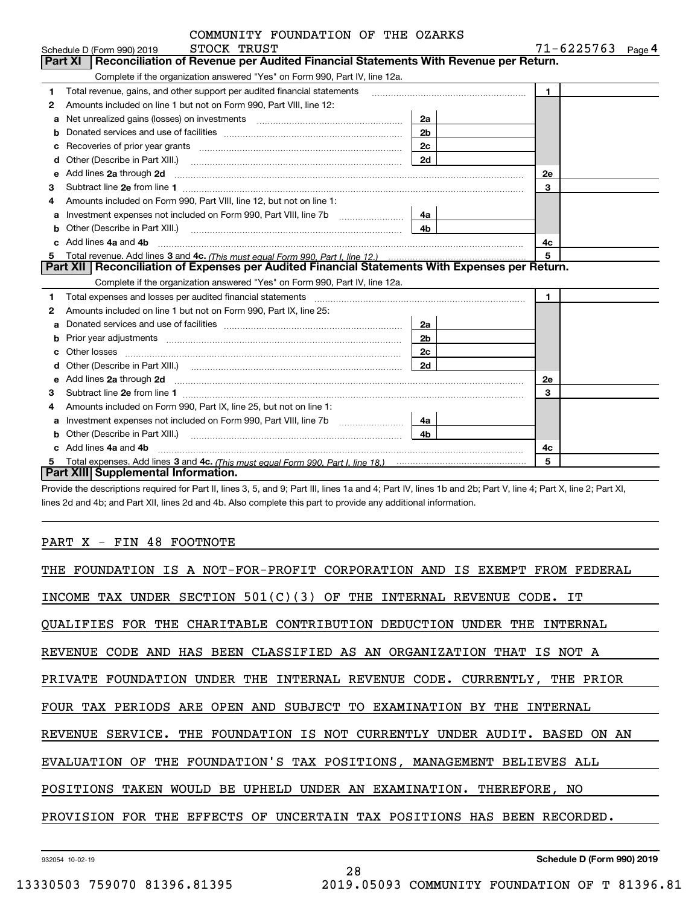|              | COMMUNITY FOUNDATION OF THE OZARKS |  |                |
|--------------|------------------------------------|--|----------------|
| CTOCK TOIICT |                                    |  | $71 - 6225763$ |

|   | Schedule D (Form 990) 2019<br>STOCK TRUST                                                                                                                                                                                           |                | 71-6225763<br>Page 4 |
|---|-------------------------------------------------------------------------------------------------------------------------------------------------------------------------------------------------------------------------------------|----------------|----------------------|
|   | <b>Part XI</b><br>Reconciliation of Revenue per Audited Financial Statements With Revenue per Return.                                                                                                                               |                |                      |
|   | Complete if the organization answered "Yes" on Form 990, Part IV, line 12a.                                                                                                                                                         |                |                      |
| 1 | Total revenue, gains, and other support per audited financial statements                                                                                                                                                            |                | $\blacksquare$       |
| 2 | Amounts included on line 1 but not on Form 990, Part VIII, line 12:                                                                                                                                                                 |                |                      |
| a |                                                                                                                                                                                                                                     | 2a             |                      |
| b |                                                                                                                                                                                                                                     | 2 <sub>b</sub> |                      |
| c | Recoveries of prior year grants [11,111] Recoveries of prior year grants [11,111] Recoveries of prior year grants                                                                                                                   | 2c             |                      |
| d |                                                                                                                                                                                                                                     | 2d             |                      |
| e | Add lines 2a through 2d                                                                                                                                                                                                             |                | 2e                   |
| 3 |                                                                                                                                                                                                                                     |                | 3                    |
| 4 | Amounts included on Form 990, Part VIII, line 12, but not on line 1:                                                                                                                                                                |                |                      |
| a | Investment expenses not included on Form 990, Part VIII, line 7b [100] [100] [100] [100] [100] [100] [100] [10                                                                                                                      | 4a             |                      |
| b | Other (Describe in Part XIII.) <b>Construction Contract Construction</b> Chern Construction Construction Construction                                                                                                               | 4 <sub>b</sub> |                      |
|   | Add lines 4a and 4b                                                                                                                                                                                                                 |                | 4c                   |
| 5 |                                                                                                                                                                                                                                     |                | 5                    |
|   | Part XII   Reconciliation of Expenses per Audited Financial Statements With Expenses per Return.                                                                                                                                    |                |                      |
|   | Complete if the organization answered "Yes" on Form 990, Part IV, line 12a.                                                                                                                                                         |                |                      |
| 1 |                                                                                                                                                                                                                                     |                | $\mathbf{1}$         |
| 2 | Amounts included on line 1 but not on Form 990, Part IX, line 25:                                                                                                                                                                   |                |                      |
| a |                                                                                                                                                                                                                                     | 2a             |                      |
| b | Prior year adjustments www.communication.com/www.communication.com/www.com/                                                                                                                                                         | 2 <sub>b</sub> |                      |
|   | Other losses                                                                                                                                                                                                                        | 2c             |                      |
| d |                                                                                                                                                                                                                                     | 2d             |                      |
| е | Add lines 2a through 2d <b>must be a constructed as a constructed by a</b> construction of the state of the state of the state of the state of the state of the state of the state of the state of the state of the state of the st |                | <b>2e</b>            |
| 3 |                                                                                                                                                                                                                                     |                | 3                    |
| 4 | Amounts included on Form 990, Part IX, line 25, but not on line 1:                                                                                                                                                                  |                |                      |
| a |                                                                                                                                                                                                                                     | 4a             |                      |
| b | Other (Describe in Part XIII.)                                                                                                                                                                                                      | 4 <sub>b</sub> |                      |
|   | c Add lines 4a and 4b                                                                                                                                                                                                               |                | 4c                   |
|   |                                                                                                                                                                                                                                     |                | 5                    |
|   | <b>Part XIII Supplemental Information.</b>                                                                                                                                                                                          |                |                      |

Provide the descriptions required for Part II, lines 3, 5, and 9; Part III, lines 1a and 4; Part IV, lines 1b and 2b; Part V, line 4; Part X, line 2; Part XI, lines 2d and 4b; and Part XII, lines 2d and 4b. Also complete this part to provide any additional information.

### PART X - FIN 48 FOOTNOTE

| THE FOUNDATION IS A NOT-FOR-PROFIT CORPORATION AND IS EXEMPT FROM FEDERAL |
|---------------------------------------------------------------------------|
| INCOME TAX UNDER SECTION $501(C)(3)$ OF THE INTERNAL REVENUE CODE. IT     |
| QUALIFIES FOR THE CHARITABLE CONTRIBUTION DEDUCTION UNDER THE INTERNAL    |
| REVENUE CODE AND HAS BEEN CLASSIFIED AS AN ORGANIZATION THAT IS NOT A     |
| PRIVATE FOUNDATION UNDER THE INTERNAL REVENUE CODE. CURRENTLY, THE PRIOR  |
| FOUR TAX PERIODS ARE OPEN AND SUBJECT TO EXAMINATION BY THE INTERNAL      |
| REVENUE SERVICE. THE FOUNDATION IS NOT CURRENTLY UNDER AUDIT. BASED ON AN |
| EVALUATION OF THE FOUNDATION'S TAX POSITIONS, MANAGEMENT BELIEVES ALL     |
| POSITIONS TAKEN WOULD BE UPHELD UNDER AN EXAMINATION. THEREFORE, NO       |
| PROVISION FOR THE EFFECTS OF UNCERTAIN TAX POSITIONS HAS BEEN RECORDED.   |
|                                                                           |

28

932054 10-02-19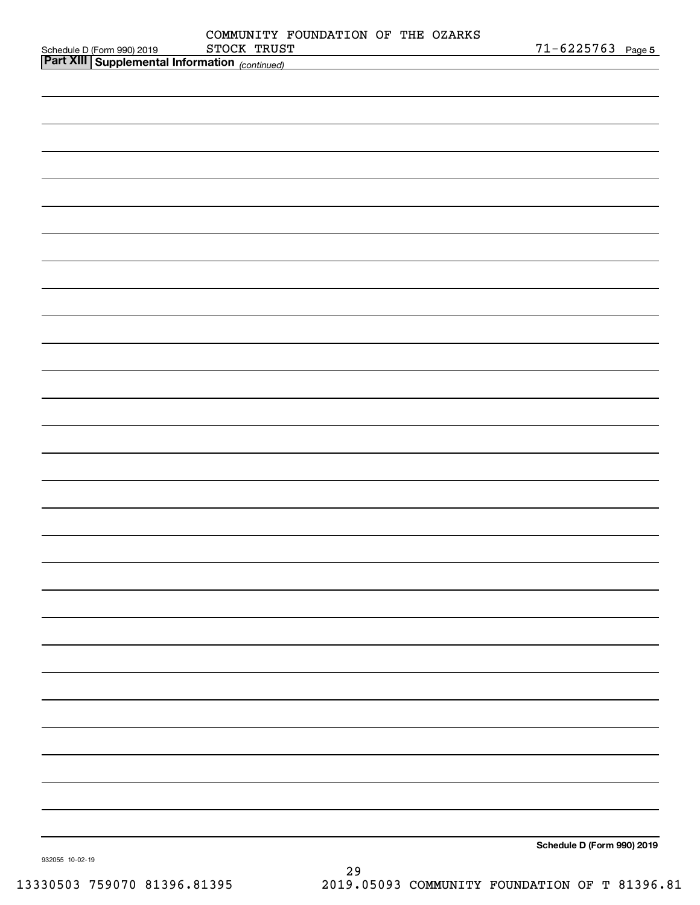| Schedule D (Form 990) 2019 STOCK TRUS!<br>Part XIII Supplemental Information (continued)<br>Schedule D (Form 990) 2019 |                 | COMMUNITY FOUNDATION OF THE OZARKS<br>STOCK TRUST | $71 - 6225763$ Page 5 |
|------------------------------------------------------------------------------------------------------------------------|-----------------|---------------------------------------------------|-----------------------|
|                                                                                                                        |                 |                                                   |                       |
|                                                                                                                        |                 |                                                   |                       |
|                                                                                                                        |                 |                                                   |                       |
|                                                                                                                        |                 |                                                   |                       |
|                                                                                                                        |                 |                                                   |                       |
|                                                                                                                        |                 |                                                   |                       |
|                                                                                                                        |                 |                                                   |                       |
|                                                                                                                        |                 |                                                   |                       |
|                                                                                                                        |                 |                                                   |                       |
|                                                                                                                        |                 |                                                   |                       |
|                                                                                                                        |                 |                                                   |                       |
|                                                                                                                        |                 |                                                   |                       |
|                                                                                                                        |                 |                                                   |                       |
|                                                                                                                        |                 |                                                   |                       |
|                                                                                                                        |                 |                                                   |                       |
|                                                                                                                        |                 |                                                   |                       |
|                                                                                                                        |                 |                                                   |                       |
|                                                                                                                        |                 |                                                   |                       |
|                                                                                                                        |                 |                                                   |                       |
|                                                                                                                        |                 |                                                   |                       |
|                                                                                                                        |                 |                                                   |                       |
|                                                                                                                        |                 |                                                   |                       |
|                                                                                                                        |                 |                                                   |                       |
|                                                                                                                        |                 |                                                   |                       |
|                                                                                                                        |                 |                                                   |                       |
|                                                                                                                        |                 |                                                   |                       |
|                                                                                                                        |                 |                                                   |                       |
|                                                                                                                        |                 |                                                   |                       |
|                                                                                                                        |                 |                                                   |                       |
|                                                                                                                        |                 |                                                   |                       |
|                                                                                                                        |                 |                                                   |                       |
|                                                                                                                        |                 |                                                   |                       |
|                                                                                                                        |                 |                                                   |                       |
|                                                                                                                        |                 |                                                   |                       |
|                                                                                                                        |                 |                                                   |                       |
|                                                                                                                        |                 |                                                   |                       |
|                                                                                                                        |                 |                                                   |                       |
|                                                                                                                        |                 |                                                   |                       |
|                                                                                                                        |                 |                                                   |                       |
|                                                                                                                        |                 |                                                   |                       |
|                                                                                                                        |                 |                                                   |                       |
|                                                                                                                        |                 |                                                   |                       |
|                                                                                                                        |                 |                                                   |                       |
|                                                                                                                        |                 |                                                   |                       |
|                                                                                                                        |                 |                                                   |                       |
|                                                                                                                        |                 |                                                   |                       |
|                                                                                                                        |                 |                                                   |                       |
|                                                                                                                        |                 |                                                   |                       |
|                                                                                                                        |                 |                                                   |                       |
|                                                                                                                        |                 |                                                   |                       |
|                                                                                                                        | 932055 10-02-19 |                                                   |                       |

29 13330503 759070 81396.81395 2019.05093 COMMUNITY FOUNDATION OF T 81396.81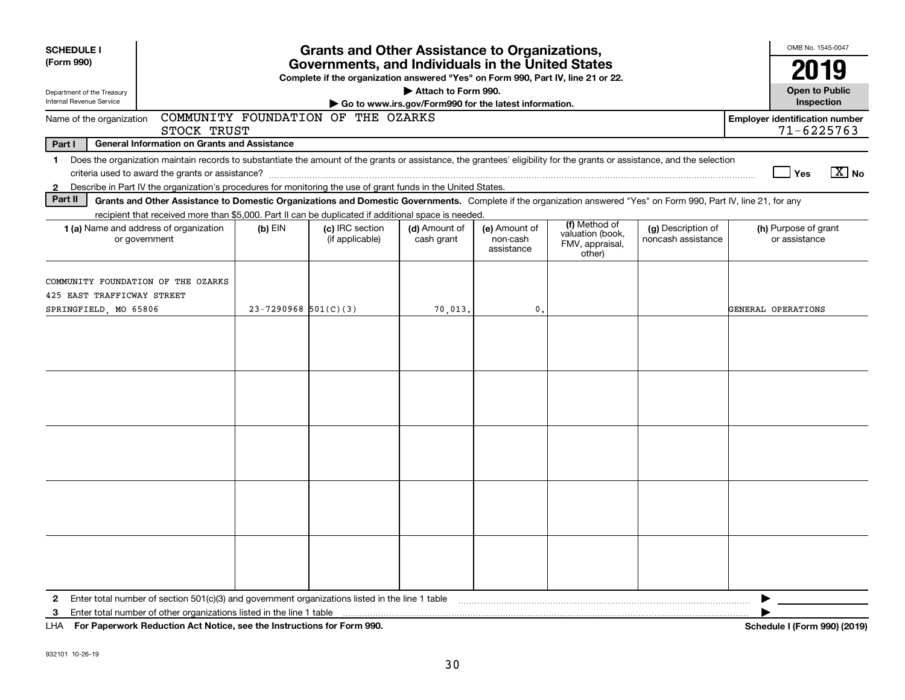| <b>SCHEDULE I</b>                                                                                                                                   |                                                                                                                                                                                                                                                                                           |                          | <b>Grants and Other Assistance to Organizations,</b> |                             |                                         |                                                                |                                          |                                       | OMB No. 1545-0047                     |                |
|-----------------------------------------------------------------------------------------------------------------------------------------------------|-------------------------------------------------------------------------------------------------------------------------------------------------------------------------------------------------------------------------------------------------------------------------------------------|--------------------------|------------------------------------------------------|-----------------------------|-----------------------------------------|----------------------------------------------------------------|------------------------------------------|---------------------------------------|---------------------------------------|----------------|
| (Form 990)<br>Governments, and Individuals in the United States<br>Complete if the organization answered "Yes" on Form 990, Part IV, line 21 or 22. |                                                                                                                                                                                                                                                                                           |                          |                                                      |                             |                                         |                                                                |                                          | 2019                                  |                                       |                |
| Department of the Treasury<br>Internal Revenue Service                                                                                              | Attach to Form 990.<br>Go to www.irs.gov/Form990 for the latest information.                                                                                                                                                                                                              |                          |                                                      |                             |                                         |                                                                |                                          |                                       |                                       |                |
| Name of the organization                                                                                                                            | STOCK TRUST                                                                                                                                                                                                                                                                               |                          | COMMUNITY FOUNDATION OF THE OZARKS                   |                             |                                         |                                                                |                                          | <b>Employer identification number</b> | $71 - 6225763$                        |                |
| Part I                                                                                                                                              | <b>General Information on Grants and Assistance</b>                                                                                                                                                                                                                                       |                          |                                                      |                             |                                         |                                                                |                                          |                                       |                                       |                |
| 1.<br>$\mathbf{2}$                                                                                                                                  | Does the organization maintain records to substantiate the amount of the grants or assistance, the grantees' eligibility for the grants or assistance, and the selection<br>Describe in Part IV the organization's procedures for monitoring the use of grant funds in the United States. |                          |                                                      |                             |                                         |                                                                |                                          |                                       | Yes                                   | $X$ No         |
| Part II                                                                                                                                             | Grants and Other Assistance to Domestic Organizations and Domestic Governments. Complete if the organization answered "Yes" on Form 990, Part IV, line 21, for any                                                                                                                        |                          |                                                      |                             |                                         |                                                                |                                          |                                       |                                       |                |
|                                                                                                                                                     | recipient that received more than \$5,000. Part II can be duplicated if additional space is needed.<br>1 (a) Name and address of organization<br>or government                                                                                                                            | $(b)$ EIN                | (c) IRC section<br>(if applicable)                   | (d) Amount of<br>cash grant | (e) Amount of<br>non-cash<br>assistance | (f) Method of<br>valuation (book,<br>FMV, appraisal,<br>other) | (g) Description of<br>noncash assistance |                                       | (h) Purpose of grant<br>or assistance |                |
| 425 EAST TRAFFICWAY STREET<br>SPRINGFIELD, MO 65806                                                                                                 | COMMUNITY FOUNDATION OF THE OZARKS                                                                                                                                                                                                                                                        | $23 - 7290968$ 501(C)(3) |                                                      | 70.013.                     | 0.                                      |                                                                |                                          |                                       | GENERAL OPERATIONS                    |                |
|                                                                                                                                                     |                                                                                                                                                                                                                                                                                           |                          |                                                      |                             |                                         |                                                                |                                          |                                       |                                       |                |
|                                                                                                                                                     |                                                                                                                                                                                                                                                                                           |                          |                                                      |                             |                                         |                                                                |                                          |                                       |                                       |                |
|                                                                                                                                                     |                                                                                                                                                                                                                                                                                           |                          |                                                      |                             |                                         |                                                                |                                          |                                       |                                       |                |
| $\mathbf{2}$<br>3                                                                                                                                   | For Boston and Bodie Broad Add Notes and the Instruments of Additional COO                                                                                                                                                                                                                |                          |                                                      |                             |                                         |                                                                |                                          |                                       |                                       | 1.107000100401 |

**For Paperwork Reduction Act Notice, see the Instructions for Form 990. Schedule I (Form 990) (2019)** LHA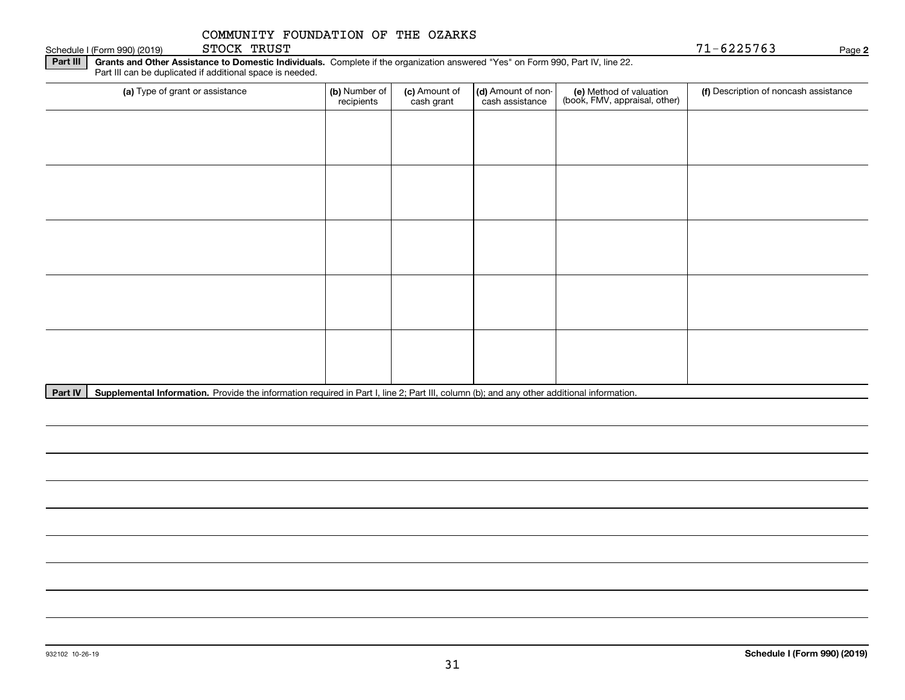STOCK TRUST

**Part III | Grants and Other Assistance to Domestic Individuals. Complete if the organization answered "Yes" on Form 990, Part IV, line 22.** Schedule I (Form 990) (2019)  $STOCK$   $TRUST$ 

Part III can be duplicated if additional space is needed.

| (a) Type of grant or assistance | (b) Number of<br>recipients | (c) Amount of<br>cash grant | (d) Amount of non-<br>cash assistance | (e) Method of valuation<br>(book, FMV, appraisal, other) | (f) Description of noncash assistance |
|---------------------------------|-----------------------------|-----------------------------|---------------------------------------|----------------------------------------------------------|---------------------------------------|
|                                 |                             |                             |                                       |                                                          |                                       |
|                                 |                             |                             |                                       |                                                          |                                       |
|                                 |                             |                             |                                       |                                                          |                                       |
|                                 |                             |                             |                                       |                                                          |                                       |
|                                 |                             |                             |                                       |                                                          |                                       |
|                                 |                             |                             |                                       |                                                          |                                       |
|                                 |                             |                             |                                       |                                                          |                                       |
|                                 |                             |                             |                                       |                                                          |                                       |
|                                 |                             |                             |                                       |                                                          |                                       |
|                                 |                             |                             |                                       |                                                          |                                       |

Part IV | Supplemental Information. Provide the information required in Part I, line 2; Part III, column (b); and any other additional information.

**2**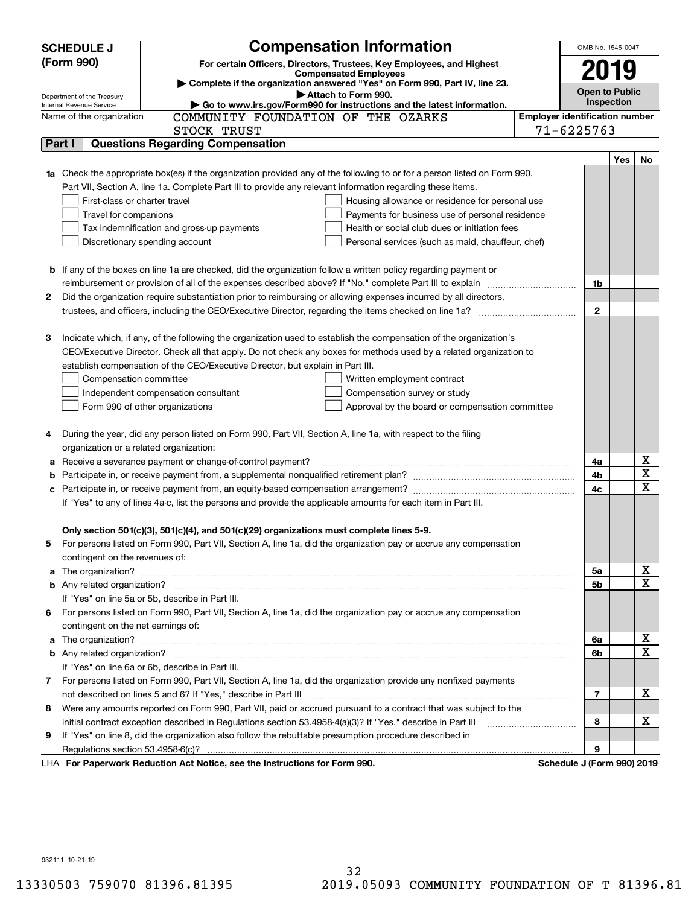|   | <b>Compensation Information</b><br><b>SCHEDULE J</b>                                                                                                                                                                                     |                                                   |                                       | OMB No. 1545-0047     |     |    |
|---|------------------------------------------------------------------------------------------------------------------------------------------------------------------------------------------------------------------------------------------|---------------------------------------------------|---------------------------------------|-----------------------|-----|----|
|   | (Form 990)<br>For certain Officers, Directors, Trustees, Key Employees, and Highest                                                                                                                                                      |                                                   |                                       |                       |     |    |
|   | <b>Compensated Employees</b>                                                                                                                                                                                                             |                                                   |                                       | 2019                  |     |    |
|   | Complete if the organization answered "Yes" on Form 990, Part IV, line 23.<br>Attach to Form 990.<br>Department of the Treasury                                                                                                          |                                                   |                                       | <b>Open to Public</b> |     |    |
|   | Go to www.irs.gov/Form990 for instructions and the latest information.<br>Internal Revenue Service                                                                                                                                       |                                                   |                                       | <b>Inspection</b>     |     |    |
|   | COMMUNITY FOUNDATION OF THE OZARKS<br>Name of the organization                                                                                                                                                                           |                                                   | <b>Employer identification number</b> |                       |     |    |
|   | STOCK TRUST                                                                                                                                                                                                                              |                                                   | $71 - 6225763$                        |                       |     |    |
|   | <b>Questions Regarding Compensation</b><br>Part I                                                                                                                                                                                        |                                                   |                                       |                       |     |    |
|   |                                                                                                                                                                                                                                          |                                                   |                                       |                       | Yes | No |
|   | Check the appropriate box(es) if the organization provided any of the following to or for a person listed on Form 990,                                                                                                                   |                                                   |                                       |                       |     |    |
|   | Part VII, Section A, line 1a. Complete Part III to provide any relevant information regarding these items.                                                                                                                               |                                                   |                                       |                       |     |    |
|   | First-class or charter travel                                                                                                                                                                                                            | Housing allowance or residence for personal use   |                                       |                       |     |    |
|   | Travel for companions                                                                                                                                                                                                                    | Payments for business use of personal residence   |                                       |                       |     |    |
|   | Tax indemnification and gross-up payments                                                                                                                                                                                                | Health or social club dues or initiation fees     |                                       |                       |     |    |
|   | Discretionary spending account                                                                                                                                                                                                           | Personal services (such as maid, chauffeur, chef) |                                       |                       |     |    |
|   |                                                                                                                                                                                                                                          |                                                   |                                       |                       |     |    |
|   | <b>b</b> If any of the boxes on line 1a are checked, did the organization follow a written policy regarding payment or                                                                                                                   |                                                   |                                       |                       |     |    |
|   |                                                                                                                                                                                                                                          |                                                   |                                       | 1b                    |     |    |
| 2 | Did the organization require substantiation prior to reimbursing or allowing expenses incurred by all directors,                                                                                                                         |                                                   |                                       |                       |     |    |
|   |                                                                                                                                                                                                                                          |                                                   |                                       | $\mathbf{2}$          |     |    |
|   |                                                                                                                                                                                                                                          |                                                   |                                       |                       |     |    |
| з | Indicate which, if any, of the following the organization used to establish the compensation of the organization's<br>CEO/Executive Director. Check all that apply. Do not check any boxes for methods used by a related organization to |                                                   |                                       |                       |     |    |
|   | establish compensation of the CEO/Executive Director, but explain in Part III.                                                                                                                                                           |                                                   |                                       |                       |     |    |
|   | Compensation committee                                                                                                                                                                                                                   | Written employment contract                       |                                       |                       |     |    |
|   | Independent compensation consultant                                                                                                                                                                                                      | Compensation survey or study                      |                                       |                       |     |    |
|   | Form 990 of other organizations                                                                                                                                                                                                          | Approval by the board or compensation committee   |                                       |                       |     |    |
|   |                                                                                                                                                                                                                                          |                                                   |                                       |                       |     |    |
| 4 | During the year, did any person listed on Form 990, Part VII, Section A, line 1a, with respect to the filing                                                                                                                             |                                                   |                                       |                       |     |    |
|   | organization or a related organization:                                                                                                                                                                                                  |                                                   |                                       |                       |     |    |
| а | Receive a severance payment or change-of-control payment?                                                                                                                                                                                |                                                   |                                       | 4a                    |     | х  |
| b |                                                                                                                                                                                                                                          |                                                   |                                       | 4b                    |     | X  |
| с |                                                                                                                                                                                                                                          |                                                   |                                       | 4c                    |     | х  |
|   | If "Yes" to any of lines 4a-c, list the persons and provide the applicable amounts for each item in Part III.                                                                                                                            |                                                   |                                       |                       |     |    |
|   |                                                                                                                                                                                                                                          |                                                   |                                       |                       |     |    |
|   | Only section 501(c)(3), 501(c)(4), and 501(c)(29) organizations must complete lines 5-9.                                                                                                                                                 |                                                   |                                       |                       |     |    |
| 5 | For persons listed on Form 990, Part VII, Section A, line 1a, did the organization pay or accrue any compensation                                                                                                                        |                                                   |                                       |                       |     |    |
|   | contingent on the revenues of:                                                                                                                                                                                                           |                                                   |                                       |                       |     |    |
| a |                                                                                                                                                                                                                                          |                                                   |                                       | 5a                    |     | х  |
|   |                                                                                                                                                                                                                                          |                                                   |                                       | 5b                    |     | х  |
|   | If "Yes" on line 5a or 5b, describe in Part III.                                                                                                                                                                                         |                                                   |                                       |                       |     |    |
|   | 6 For persons listed on Form 990, Part VII, Section A, line 1a, did the organization pay or accrue any compensation                                                                                                                      |                                                   |                                       |                       |     |    |
|   | contingent on the net earnings of:                                                                                                                                                                                                       |                                                   |                                       |                       |     |    |
| a |                                                                                                                                                                                                                                          |                                                   |                                       | 6a                    |     | х  |
|   |                                                                                                                                                                                                                                          |                                                   |                                       | 6b                    |     | Х  |
|   | If "Yes" on line 6a or 6b, describe in Part III.                                                                                                                                                                                         |                                                   |                                       |                       |     |    |
|   | 7 For persons listed on Form 990, Part VII, Section A, line 1a, did the organization provide any nonfixed payments                                                                                                                       |                                                   |                                       |                       |     |    |
|   |                                                                                                                                                                                                                                          |                                                   |                                       | 7                     |     | x  |
| 8 | Were any amounts reported on Form 990, Part VII, paid or accrued pursuant to a contract that was subject to the                                                                                                                          |                                                   |                                       |                       |     |    |
|   | initial contract exception described in Regulations section 53.4958-4(a)(3)? If "Yes," describe in Part III                                                                                                                              |                                                   |                                       | 8                     |     | x  |
| 9 | If "Yes" on line 8, did the organization also follow the rebuttable presumption procedure described in                                                                                                                                   |                                                   |                                       |                       |     |    |
|   |                                                                                                                                                                                                                                          |                                                   |                                       | 9                     |     |    |
|   | LHA For Paperwork Reduction Act Notice, see the Instructions for Form 990.                                                                                                                                                               |                                                   | Schedule J (Form 990) 2019            |                       |     |    |

932111 10-21-19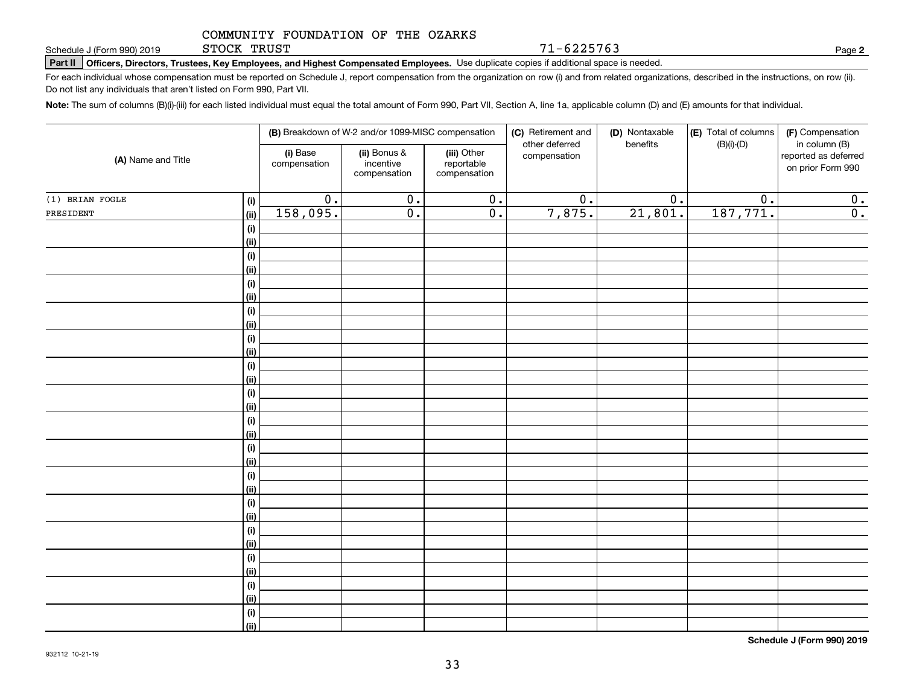STOCK TRUST

**Part II Officers, Directors, Trustees, Key Employees, and Highest Compensated Employees.**  Schedule J (Form 990) 2019 Page Use duplicate copies if additional space is needed.

For each individual whose compensation must be reported on Schedule J, report compensation from the organization on row (i) and from related organizations, described in the instructions, on row (ii). Do not list any individuals that aren't listed on Form 990, Part VII.

71-6225763

**Note:**  The sum of columns (B)(i)-(iii) for each listed individual must equal the total amount of Form 990, Part VII, Section A, line 1a, applicable column (D) and (E) amounts for that individual.

| (A) Name and Title |             |                          | (B) Breakdown of W-2 and/or 1099-MISC compensation |                                           | (C) Retirement and<br>other deferred | (D) Nontaxable<br>benefits | (E) Total of columns<br>$(B)(i)-(D)$ | (F) Compensation<br>in column (B)         |
|--------------------|-------------|--------------------------|----------------------------------------------------|-------------------------------------------|--------------------------------------|----------------------------|--------------------------------------|-------------------------------------------|
|                    |             | (i) Base<br>compensation | (ii) Bonus &<br>incentive<br>compensation          | (iii) Other<br>reportable<br>compensation | compensation                         |                            |                                      | reported as deferred<br>on prior Form 990 |
| (1) BRIAN FOGLE    | (i)         | $\overline{0}$ .         | $\overline{0}$ .                                   | $\overline{0}$ .                          | $\overline{0}$ .                     | $\overline{0}$ .           | $\overline{0}$ .                     | 0.                                        |
| PRESIDENT          | (ii)        | 158,095.                 | $\overline{0}$ .                                   | $\overline{0}$ .                          | 7,875.                               | 21,801.                    | 187,771.                             | $\overline{0}$ .                          |
|                    | $(\sf{i})$  |                          |                                                    |                                           |                                      |                            |                                      |                                           |
|                    | (ii)        |                          |                                                    |                                           |                                      |                            |                                      |                                           |
|                    | $(\sf{i})$  |                          |                                                    |                                           |                                      |                            |                                      |                                           |
|                    | (ii)        |                          |                                                    |                                           |                                      |                            |                                      |                                           |
|                    | (i)         |                          |                                                    |                                           |                                      |                            |                                      |                                           |
|                    | (ii)        |                          |                                                    |                                           |                                      |                            |                                      |                                           |
|                    | (i)         |                          |                                                    |                                           |                                      |                            |                                      |                                           |
|                    | (ii)        |                          |                                                    |                                           |                                      |                            |                                      |                                           |
|                    | (i)         |                          |                                                    |                                           |                                      |                            |                                      |                                           |
|                    | (ii)        |                          |                                                    |                                           |                                      |                            |                                      |                                           |
|                    | (i)         |                          |                                                    |                                           |                                      |                            |                                      |                                           |
|                    | (ii)        |                          |                                                    |                                           |                                      |                            |                                      |                                           |
|                    | $(\sf{i})$  |                          |                                                    |                                           |                                      |                            |                                      |                                           |
|                    | (ii)        |                          |                                                    |                                           |                                      |                            |                                      |                                           |
|                    | (i)         |                          |                                                    |                                           |                                      |                            |                                      |                                           |
|                    | (ii)        |                          |                                                    |                                           |                                      |                            |                                      |                                           |
|                    | (i)         |                          |                                                    |                                           |                                      |                            |                                      |                                           |
|                    | (ii)        |                          |                                                    |                                           |                                      |                            |                                      |                                           |
|                    | (i)         |                          |                                                    |                                           |                                      |                            |                                      |                                           |
|                    | (ii)        |                          |                                                    |                                           |                                      |                            |                                      |                                           |
|                    | (i)         |                          |                                                    |                                           |                                      |                            |                                      |                                           |
|                    | (ii)        |                          |                                                    |                                           |                                      |                            |                                      |                                           |
|                    | (i)         |                          |                                                    |                                           |                                      |                            |                                      |                                           |
|                    | (ii)        |                          |                                                    |                                           |                                      |                            |                                      |                                           |
|                    | (i)         |                          |                                                    |                                           |                                      |                            |                                      |                                           |
|                    | (ii)<br>(i) |                          |                                                    |                                           |                                      |                            |                                      |                                           |
|                    | (ii)        |                          |                                                    |                                           |                                      |                            |                                      |                                           |
|                    | (i)         |                          |                                                    |                                           |                                      |                            |                                      |                                           |
|                    | (ii)        |                          |                                                    |                                           |                                      |                            |                                      |                                           |
|                    |             |                          |                                                    |                                           |                                      |                            |                                      |                                           |

**Schedule J (Form 990) 2019**

**2**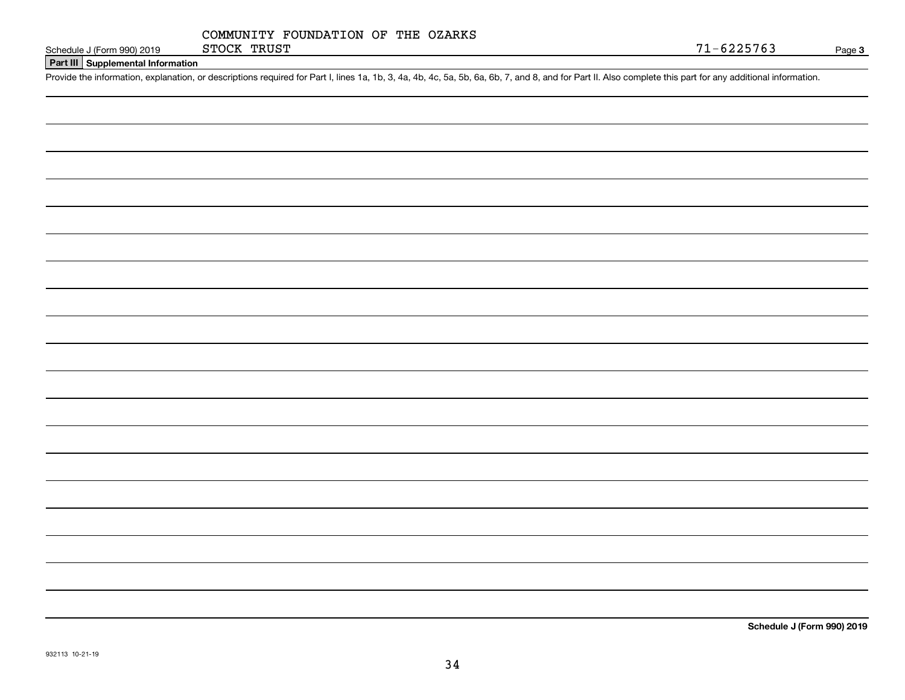|             | COMMUNITY FOUNDATION OF THE OZARKS |  |  |
|-------------|------------------------------------|--|--|
| STOCK TRUST |                                    |  |  |

### **Part III Supplemental Information**

Schedule J (Form 990) 2019 STOCK TRUST<br>Part III Supplemental Information<br>Provide the information, explanation, or descriptions required for Part I, lines 1a, 1b, 3, 4a, 4b, 4c, 5a, 5b, 6a, 6b, 7, and 8, and for Part II. Al

**Schedule J (Form 990) 2019**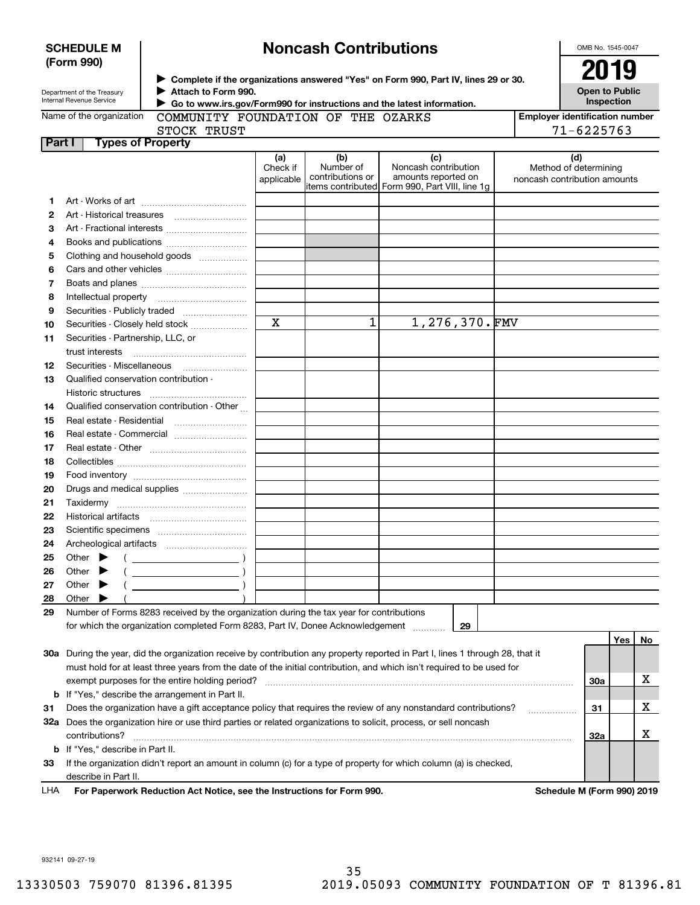| <b>SCHEDULE M</b> |  |
|-------------------|--|
| (Form 990)        |  |

# **Noncash Contributions**

OMB No. 1545-0047

| Department of the Treasury |
|----------------------------|
| Internal Revenue Service   |

**Complete if the organizations answered "Yes" on Form 990, Part IV, lines 29 or 30.** <sup>J</sup>**2019 Attach to Form 990.** J  $\blacktriangleright$ 

**Open to Public Inspection**

| Name of the organization |  |
|--------------------------|--|
|--------------------------|--|

 **Go to www.irs.gov/Form990 for instructions and the latest information.**

|        | Name of the organization<br>COMMUNITY FOUNDATION OF THE OZARKS<br>STOCK TRUST                                                       |                               |                                      |                                                                                                       |                                                       | <b>Employer identification number</b><br>71-6225763 |    |
|--------|-------------------------------------------------------------------------------------------------------------------------------------|-------------------------------|--------------------------------------|-------------------------------------------------------------------------------------------------------|-------------------------------------------------------|-----------------------------------------------------|----|
| Part I | <b>Types of Property</b>                                                                                                            |                               |                                      |                                                                                                       |                                                       |                                                     |    |
|        |                                                                                                                                     | (a)<br>Check if<br>applicable | (b)<br>Number of<br>contributions or | (c)<br>Noncash contribution<br>amounts reported on<br>litems contributed Form 990, Part VIII, line 1g | Method of determining<br>noncash contribution amounts | (d)                                                 |    |
| 1      |                                                                                                                                     |                               |                                      |                                                                                                       |                                                       |                                                     |    |
| 2      |                                                                                                                                     |                               |                                      |                                                                                                       |                                                       |                                                     |    |
| з      | Art - Fractional interests                                                                                                          |                               |                                      |                                                                                                       |                                                       |                                                     |    |
| 4      | Books and publications                                                                                                              |                               |                                      |                                                                                                       |                                                       |                                                     |    |
| 5      | Clothing and household goods                                                                                                        |                               |                                      |                                                                                                       |                                                       |                                                     |    |
| 6      |                                                                                                                                     |                               |                                      |                                                                                                       |                                                       |                                                     |    |
| 7      |                                                                                                                                     |                               |                                      |                                                                                                       |                                                       |                                                     |    |
| 8      | Intellectual property                                                                                                               |                               |                                      |                                                                                                       |                                                       |                                                     |    |
| 9      |                                                                                                                                     |                               |                                      |                                                                                                       |                                                       |                                                     |    |
| 10     | Securities - Closely held stock                                                                                                     | X                             | $\mathbf{1}$                         | 1,276,370.FMV                                                                                         |                                                       |                                                     |    |
| 11     | Securities - Partnership, LLC, or                                                                                                   |                               |                                      |                                                                                                       |                                                       |                                                     |    |
|        | trust interests                                                                                                                     |                               |                                      |                                                                                                       |                                                       |                                                     |    |
| 12     | Securities - Miscellaneous                                                                                                          |                               |                                      |                                                                                                       |                                                       |                                                     |    |
| 13     | Qualified conservation contribution -                                                                                               |                               |                                      |                                                                                                       |                                                       |                                                     |    |
|        | Historic structures                                                                                                                 |                               |                                      |                                                                                                       |                                                       |                                                     |    |
| 14     | Qualified conservation contribution - Other                                                                                         |                               |                                      |                                                                                                       |                                                       |                                                     |    |
| 15     | Real estate - Residential                                                                                                           |                               |                                      |                                                                                                       |                                                       |                                                     |    |
| 16     | Real estate - Commercial                                                                                                            |                               |                                      |                                                                                                       |                                                       |                                                     |    |
| 17     |                                                                                                                                     |                               |                                      |                                                                                                       |                                                       |                                                     |    |
| 18     |                                                                                                                                     |                               |                                      |                                                                                                       |                                                       |                                                     |    |
| 19     |                                                                                                                                     |                               |                                      |                                                                                                       |                                                       |                                                     |    |
| 20     | Drugs and medical supplies                                                                                                          |                               |                                      |                                                                                                       |                                                       |                                                     |    |
| 21     | Taxidermy                                                                                                                           |                               |                                      |                                                                                                       |                                                       |                                                     |    |
| 22     |                                                                                                                                     |                               |                                      |                                                                                                       |                                                       |                                                     |    |
| 23     |                                                                                                                                     |                               |                                      |                                                                                                       |                                                       |                                                     |    |
| 24     |                                                                                                                                     |                               |                                      |                                                                                                       |                                                       |                                                     |    |
| 25     | Other $\blacktriangleright$<br>$\left(\begin{array}{ccc}\n&\n&\n\end{array}\right)$                                                 |                               |                                      |                                                                                                       |                                                       |                                                     |    |
| 26     | Other<br>▸                                                                                                                          |                               |                                      |                                                                                                       |                                                       |                                                     |    |
| 27     | Other<br>$\overline{\phantom{a}}$<br>▸                                                                                              |                               |                                      |                                                                                                       |                                                       |                                                     |    |
| 28     | Other                                                                                                                               |                               |                                      |                                                                                                       |                                                       |                                                     |    |
| 29     | Number of Forms 8283 received by the organization during the tax year for contributions                                             |                               |                                      |                                                                                                       |                                                       |                                                     |    |
|        | for which the organization completed Form 8283, Part IV, Donee Acknowledgement                                                      |                               |                                      | 29                                                                                                    |                                                       |                                                     |    |
|        |                                                                                                                                     |                               |                                      |                                                                                                       |                                                       | Yes                                                 | No |
|        | 30a During the year, did the organization receive by contribution any property reported in Part I, lines 1 through 28, that it      |                               |                                      |                                                                                                       |                                                       |                                                     |    |
|        | must hold for at least three years from the date of the initial contribution, and which isn't required to be used for               |                               |                                      |                                                                                                       |                                                       |                                                     |    |
|        | exempt purposes for the entire holding period?                                                                                      |                               |                                      |                                                                                                       |                                                       | 30a                                                 | х  |
| b      | If "Yes," describe the arrangement in Part II.                                                                                      |                               |                                      |                                                                                                       |                                                       |                                                     |    |
| 31     | Does the organization have a gift acceptance policy that requires the review of any nonstandard contributions?                      |                               |                                      |                                                                                                       | .                                                     | 31                                                  | x  |
|        | 32a Does the organization hire or use third parties or related organizations to solicit, process, or sell noncash<br>contributions? |                               |                                      |                                                                                                       |                                                       | 32a                                                 | X  |

describe in Part II.

**33** If the organization didn't report an amount in column (c) for a type of property for which column (a) is checked,

For Paperwork Reduction Act Notice, see the Instructions for Form 990. Schedule M (Form 990) 2019 LHA

932141 09-27-19

**b**If "Yes," describe in Part II.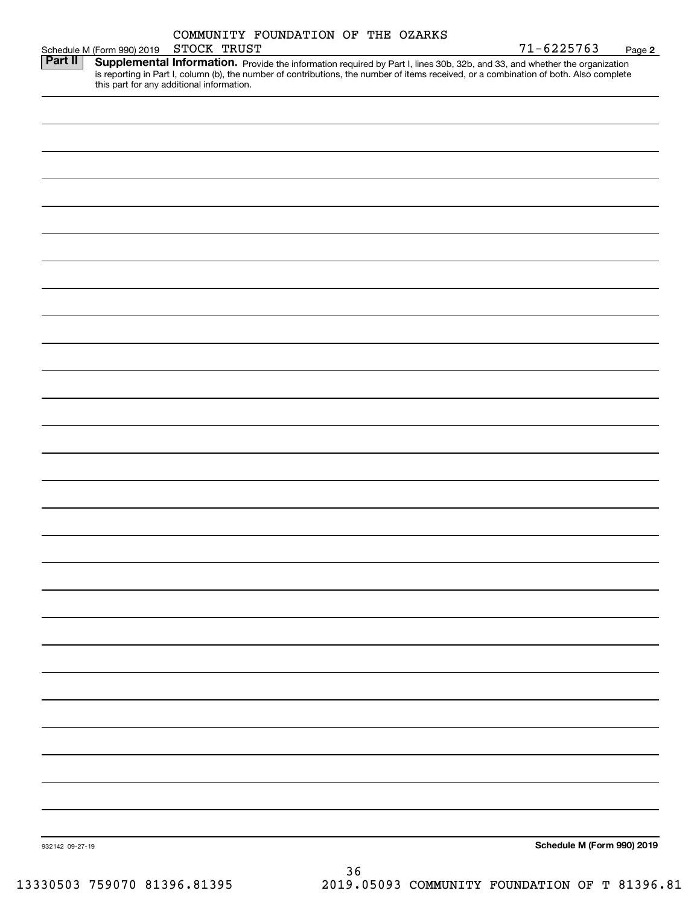|                 |                            | STOCK TRUST                               | COMMUNITY FOUNDATION OF THE OZARKS |  | $71 - 6225763$                                                                                                                         |        |
|-----------------|----------------------------|-------------------------------------------|------------------------------------|--|----------------------------------------------------------------------------------------------------------------------------------------|--------|
| <b>Part II</b>  | Schedule M (Form 990) 2019 |                                           |                                    |  | Supplemental Information. Provide the information required by Part I, lines 30b, 32b, and 33, and whether the organization             | Page 2 |
|                 |                            | this part for any additional information. |                                    |  | is reporting in Part I, column (b), the number of contributions, the number of items received, or a combination of both. Also complete |        |
|                 |                            |                                           |                                    |  |                                                                                                                                        |        |
|                 |                            |                                           |                                    |  |                                                                                                                                        |        |
|                 |                            |                                           |                                    |  |                                                                                                                                        |        |
|                 |                            |                                           |                                    |  |                                                                                                                                        |        |
|                 |                            |                                           |                                    |  |                                                                                                                                        |        |
|                 |                            |                                           |                                    |  |                                                                                                                                        |        |
|                 |                            |                                           |                                    |  |                                                                                                                                        |        |
|                 |                            |                                           |                                    |  |                                                                                                                                        |        |
|                 |                            |                                           |                                    |  |                                                                                                                                        |        |
|                 |                            |                                           |                                    |  |                                                                                                                                        |        |
|                 |                            |                                           |                                    |  |                                                                                                                                        |        |
|                 |                            |                                           |                                    |  |                                                                                                                                        |        |
|                 |                            |                                           |                                    |  |                                                                                                                                        |        |
|                 |                            |                                           |                                    |  |                                                                                                                                        |        |
|                 |                            |                                           |                                    |  |                                                                                                                                        |        |
|                 |                            |                                           |                                    |  |                                                                                                                                        |        |
|                 |                            |                                           |                                    |  |                                                                                                                                        |        |
|                 |                            |                                           |                                    |  |                                                                                                                                        |        |
|                 |                            |                                           |                                    |  |                                                                                                                                        |        |
|                 |                            |                                           |                                    |  |                                                                                                                                        |        |
|                 |                            |                                           |                                    |  |                                                                                                                                        |        |
|                 |                            |                                           |                                    |  |                                                                                                                                        |        |
|                 |                            |                                           |                                    |  |                                                                                                                                        |        |
|                 |                            |                                           |                                    |  |                                                                                                                                        |        |
|                 |                            |                                           |                                    |  |                                                                                                                                        |        |
|                 |                            |                                           |                                    |  |                                                                                                                                        |        |
|                 |                            |                                           |                                    |  |                                                                                                                                        |        |
|                 |                            |                                           |                                    |  |                                                                                                                                        |        |
|                 |                            |                                           |                                    |  |                                                                                                                                        |        |
|                 |                            |                                           |                                    |  |                                                                                                                                        |        |
|                 |                            |                                           |                                    |  |                                                                                                                                        |        |
|                 |                            |                                           |                                    |  |                                                                                                                                        |        |
|                 |                            |                                           |                                    |  |                                                                                                                                        |        |
|                 |                            |                                           |                                    |  |                                                                                                                                        |        |
| 932142 09-27-19 |                            |                                           |                                    |  | Schedule M (Form 990) 2019                                                                                                             |        |
|                 |                            |                                           |                                    |  |                                                                                                                                        |        |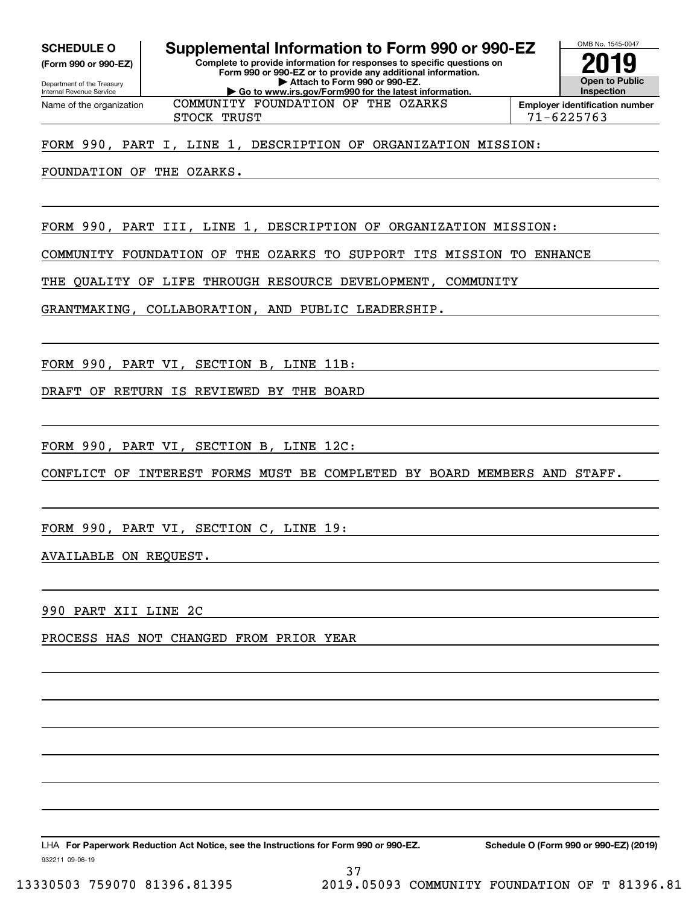**SCHEDULE O Supplemental Information to Form 990 or 990-EZ**

Internal Revenue Service

Department of the Treasury **(Form 990 or 990-EZ)** **Complete to provide information for responses to specific questions on Form 990 or 990-EZ or to provide any additional information. | Attach to Form 990 or 990-EZ. | Go to www.irs.gov/Form990 for the latest information.**



Name of the organization

COMMUNITY FOUNDATION OF THE OZARKS

STOCK TRUST 71-6225763

FORM 990, PART I, LINE 1, DESCRIPTION OF ORGANIZATION MISSION:

FOUNDATION OF THE OZARKS.

FORM 990, PART III, LINE 1, DESCRIPTION OF ORGANIZATION MISSION:

COMMUNITY FOUNDATION OF THE OZARKS TO SUPPORT ITS MISSION TO ENHANCE

THE QUALITY OF LIFE THROUGH RESOURCE DEVELOPMENT, COMMUNITY

GRANTMAKING, COLLABORATION, AND PUBLIC LEADERSHIP.

FORM 990, PART VI, SECTION B, LINE 11B:

DRAFT OF RETURN IS REVIEWED BY THE BOARD

FORM 990, PART VI, SECTION B, LINE 12C:

CONFLICT OF INTEREST FORMS MUST BE COMPLETED BY BOARD MEMBERS AND STAFF.

37

FORM 990, PART VI, SECTION C, LINE 19:

AVAILABLE ON REQUEST.

990 PART XII LINE 2C

PROCESS HAS NOT CHANGED FROM PRIOR YEAR

932211 09-06-19 LHA For Paperwork Reduction Act Notice, see the Instructions for Form 990 or 990-EZ. Schedule O (Form 990 or 990-EZ) (2019)

13330503 759070 81396.81395 2019.05093 COMMUNITY FOUNDATION OF T 81396.81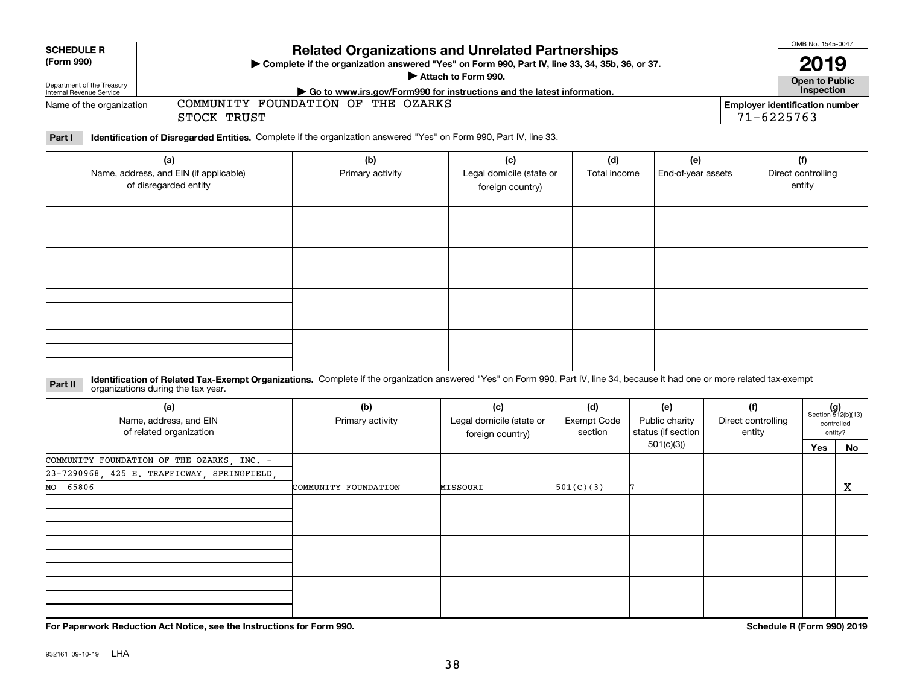| <b>SCHEDULE R</b><br><b>Related Organizations and Unrelated Partnerships</b><br>(Form 990)<br>> Complete if the organization answered "Yes" on Form 990, Part IV, line 33, 34, 35b, 36, or 37.<br>Attach to Form 990.<br>Department of the Treasury<br>Internal Revenue Service<br>Go to www.irs.gov/Form990 for instructions and the latest information. |                                                                                                                                                                                                                    |                                    |                                                     |                                                         |                                                          |                                     |  | OMB No. 1545-0047<br>2019<br><b>Open to Public</b><br>Inspection |                                                            |  |
|-----------------------------------------------------------------------------------------------------------------------------------------------------------------------------------------------------------------------------------------------------------------------------------------------------------------------------------------------------------|--------------------------------------------------------------------------------------------------------------------------------------------------------------------------------------------------------------------|------------------------------------|-----------------------------------------------------|---------------------------------------------------------|----------------------------------------------------------|-------------------------------------|--|------------------------------------------------------------------|------------------------------------------------------------|--|
| Name of the organization                                                                                                                                                                                                                                                                                                                                  | STOCK TRUST                                                                                                                                                                                                        | COMMUNITY FOUNDATION OF THE OZARKS |                                                     | <b>Employer identification number</b><br>$71 - 6225763$ |                                                          |                                     |  |                                                                  |                                                            |  |
| Part I                                                                                                                                                                                                                                                                                                                                                    | Identification of Disregarded Entities. Complete if the organization answered "Yes" on Form 990, Part IV, line 33.                                                                                                 |                                    |                                                     |                                                         |                                                          |                                     |  |                                                                  |                                                            |  |
|                                                                                                                                                                                                                                                                                                                                                           | (a)<br>Name, address, and EIN (if applicable)<br>of disregarded entity                                                                                                                                             | (b)<br>Primary activity            | (c)<br>Legal domicile (state or<br>foreign country) | (d)<br>Total income                                     | (e)<br>End-of-year assets                                |                                     |  | (f)<br>Direct controlling<br>entity                              |                                                            |  |
|                                                                                                                                                                                                                                                                                                                                                           |                                                                                                                                                                                                                    |                                    |                                                     |                                                         |                                                          |                                     |  |                                                                  |                                                            |  |
| Part II                                                                                                                                                                                                                                                                                                                                                   | Identification of Related Tax-Exempt Organizations. Complete if the organization answered "Yes" on Form 990, Part IV, line 34, because it had one or more related tax-exempt<br>organizations during the tax year. |                                    |                                                     |                                                         |                                                          |                                     |  |                                                                  |                                                            |  |
|                                                                                                                                                                                                                                                                                                                                                           | (a)<br>(b)<br>(c)<br>Name, address, and EIN<br>Primary activity<br>of related organization                                                                                                                         |                                    | Legal domicile (state or<br>foreign country)        | (d)<br>Exempt Code<br>section                           | (e)<br>Public charity<br>status (if section<br>501(c)(3) | (f)<br>Direct controlling<br>entity |  | Yes                                                              | $(g)$<br>Section 512(b)(13)<br>controlled<br>entity?<br>No |  |
| MO 65806                                                                                                                                                                                                                                                                                                                                                  | COMMUNITY FOUNDATION OF THE OZARKS, INC. -<br>23-7290968, 425 E. TRAFFICWAY, SPRINGFIELD                                                                                                                           | COMMUNITY FOUNDATION               | MISSOURI                                            | 501(C)(3)                                               |                                                          |                                     |  |                                                                  | $\mathbf X$                                                |  |
|                                                                                                                                                                                                                                                                                                                                                           |                                                                                                                                                                                                                    |                                    |                                                     |                                                         |                                                          |                                     |  |                                                                  |                                                            |  |
|                                                                                                                                                                                                                                                                                                                                                           | For Paperwork Reduction Act Notice, see the Instructions for Form 990.                                                                                                                                             |                                    |                                                     |                                                         |                                                          |                                     |  | Schedule R (Form 990) 2019                                       |                                                            |  |

932161 09-10-19 LHA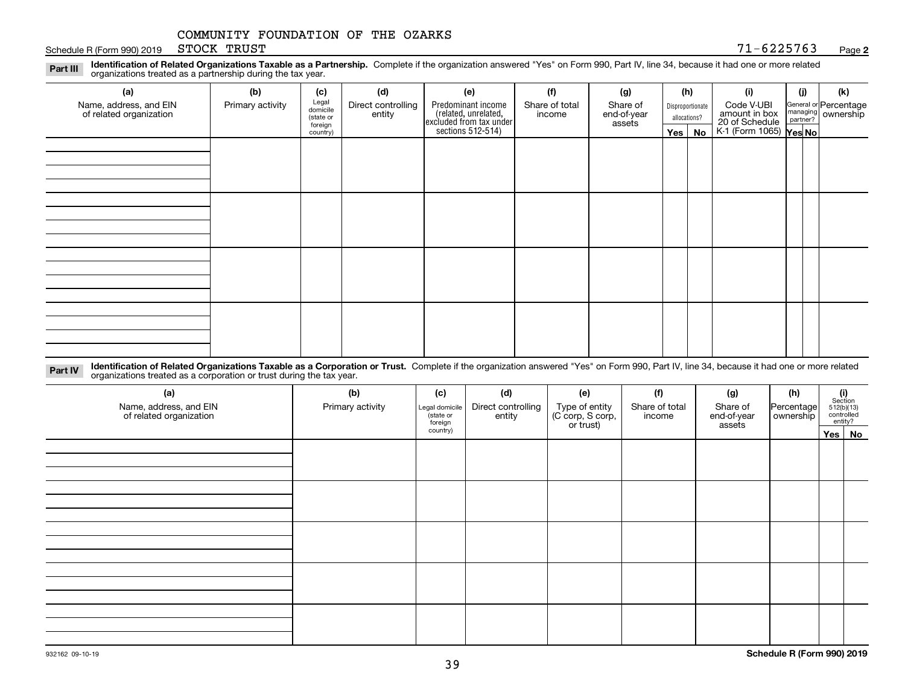Schedule R (Form 990) 2019 STOCK TRUST  $71-6225763$ STOCK TRUST

**Identification of Related Organizations Taxable as a Partnership.** Complete if the organization answered "Yes" on Form 990, Part IV, line 34, because it had one or more related **Part III** organizations treated as a partnership during the tax year.

| (a)                                               | (b)              | (c)                  | (d)                          | (e)                                                                 | (f)                      | (g)                     |         | (h)              | (i)                                                              | (j) |  | (k)                                                     |
|---------------------------------------------------|------------------|----------------------|------------------------------|---------------------------------------------------------------------|--------------------------|-------------------------|---------|------------------|------------------------------------------------------------------|-----|--|---------------------------------------------------------|
| Name, address, and EIN<br>of related organization | Primary activity | Legal<br>domicile    | Direct controlling<br>entity | Predominant income                                                  | Share of total<br>income | Share of<br>end-of-year |         | Disproportionate | Code V-UBI                                                       |     |  | General or Percentage<br>managing ownership<br>partner? |
|                                                   |                  | (state or<br>foreign |                              | related, unrelated,<br>excluded from tax under<br>sections 512-514) |                          | assets                  |         | allocations?     | amount in box<br>20 of Schedule<br>K-1 (Form 1065) <b>Yes No</b> |     |  |                                                         |
|                                                   |                  | country)             |                              |                                                                     |                          |                         | Yes $ $ | No               |                                                                  |     |  |                                                         |
|                                                   |                  |                      |                              |                                                                     |                          |                         |         |                  |                                                                  |     |  |                                                         |
|                                                   |                  |                      |                              |                                                                     |                          |                         |         |                  |                                                                  |     |  |                                                         |
|                                                   |                  |                      |                              |                                                                     |                          |                         |         |                  |                                                                  |     |  |                                                         |
|                                                   |                  |                      |                              |                                                                     |                          |                         |         |                  |                                                                  |     |  |                                                         |
|                                                   |                  |                      |                              |                                                                     |                          |                         |         |                  |                                                                  |     |  |                                                         |
|                                                   |                  |                      |                              |                                                                     |                          |                         |         |                  |                                                                  |     |  |                                                         |
|                                                   |                  |                      |                              |                                                                     |                          |                         |         |                  |                                                                  |     |  |                                                         |
|                                                   |                  |                      |                              |                                                                     |                          |                         |         |                  |                                                                  |     |  |                                                         |
|                                                   |                  |                      |                              |                                                                     |                          |                         |         |                  |                                                                  |     |  |                                                         |
|                                                   |                  |                      |                              |                                                                     |                          |                         |         |                  |                                                                  |     |  |                                                         |
|                                                   |                  |                      |                              |                                                                     |                          |                         |         |                  |                                                                  |     |  |                                                         |
|                                                   |                  |                      |                              |                                                                     |                          |                         |         |                  |                                                                  |     |  |                                                         |
|                                                   |                  |                      |                              |                                                                     |                          |                         |         |                  |                                                                  |     |  |                                                         |
|                                                   |                  |                      |                              |                                                                     |                          |                         |         |                  |                                                                  |     |  |                                                         |
|                                                   |                  |                      |                              |                                                                     |                          |                         |         |                  |                                                                  |     |  |                                                         |
|                                                   |                  |                      |                              |                                                                     |                          |                         |         |                  |                                                                  |     |  |                                                         |
|                                                   |                  |                      |                              |                                                                     |                          |                         |         |                  |                                                                  |     |  |                                                         |

**Identification of Related Organizations Taxable as a Corporation or Trust.** Complete if the organization answered "Yes" on Form 990, Part IV, line 34, because it had one or more related **Part IV** organizations treated as a corporation or trust during the tax year.

| (a)<br>Name, address, and EIN<br>of related organization | (b)<br>Primary activity | (c)<br>Legal domicile<br>(state or<br>foreign | (d)<br>Direct controlling<br>entity | (e)<br>Type of entity<br>(C corp, S corp,<br>or trust) | (f)<br>Share of total<br>income | (g)<br>Share of<br>end-of-year<br>assets | (h)<br>Percentage | $\begin{array}{c} \textbf{(i)}\\ \text{Section}\\ 512 \text{(b)} \text{(13)}\\ \text{controlled}\\ \text{entity?} \end{array}$ |
|----------------------------------------------------------|-------------------------|-----------------------------------------------|-------------------------------------|--------------------------------------------------------|---------------------------------|------------------------------------------|-------------------|--------------------------------------------------------------------------------------------------------------------------------|
|                                                          |                         | country)                                      |                                     |                                                        |                                 |                                          |                   | Yes No                                                                                                                         |
|                                                          |                         |                                               |                                     |                                                        |                                 |                                          |                   |                                                                                                                                |
|                                                          |                         |                                               |                                     |                                                        |                                 |                                          |                   |                                                                                                                                |
|                                                          |                         |                                               |                                     |                                                        |                                 |                                          |                   |                                                                                                                                |
|                                                          |                         |                                               |                                     |                                                        |                                 |                                          |                   |                                                                                                                                |
|                                                          |                         |                                               |                                     |                                                        |                                 |                                          |                   |                                                                                                                                |
|                                                          |                         |                                               |                                     |                                                        |                                 |                                          |                   |                                                                                                                                |
|                                                          |                         |                                               |                                     |                                                        |                                 |                                          |                   |                                                                                                                                |
|                                                          |                         |                                               |                                     |                                                        |                                 |                                          |                   |                                                                                                                                |
|                                                          |                         |                                               |                                     |                                                        |                                 |                                          |                   |                                                                                                                                |
|                                                          |                         |                                               |                                     |                                                        |                                 |                                          |                   |                                                                                                                                |
|                                                          |                         |                                               |                                     |                                                        |                                 |                                          |                   |                                                                                                                                |
|                                                          |                         |                                               |                                     |                                                        |                                 |                                          |                   |                                                                                                                                |
|                                                          |                         |                                               |                                     |                                                        |                                 |                                          |                   |                                                                                                                                |
|                                                          |                         |                                               |                                     |                                                        |                                 |                                          |                   |                                                                                                                                |
|                                                          |                         |                                               |                                     |                                                        |                                 |                                          |                   |                                                                                                                                |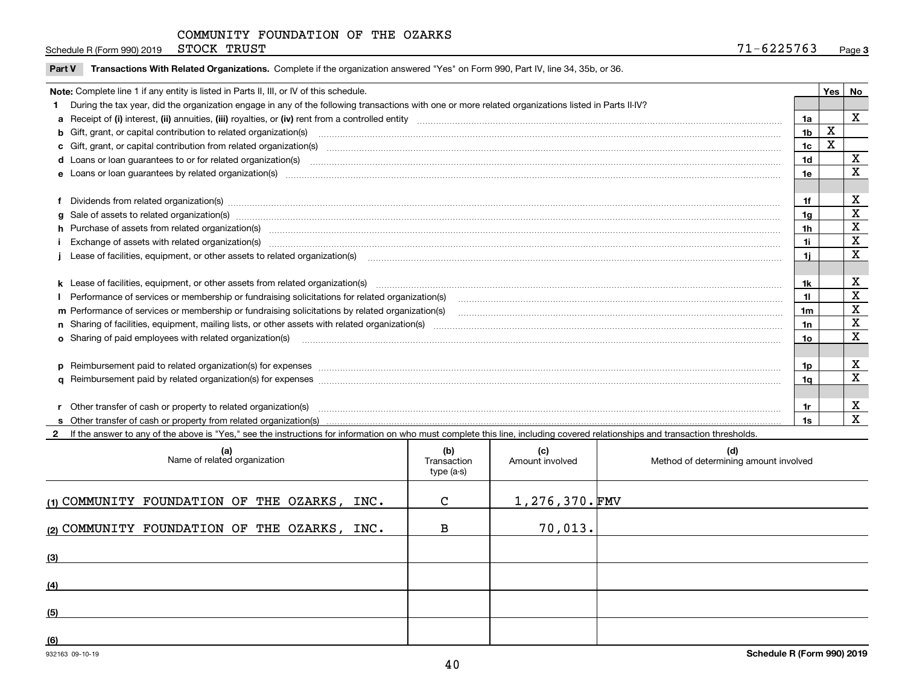Schedule R (Form 990) 2019 STOCK TRUST  $71-6225763$ STOCK TRUST

|  | Part V Transactions With Related Organizations. Complete if the organization answered "Yes" on Form 990, Part IV, line 34, 35b, or 36 |  |  |
|--|---------------------------------------------------------------------------------------------------------------------------------------|--|--|
|--|---------------------------------------------------------------------------------------------------------------------------------------|--|--|

| Note: Complete line 1 if any entity is listed in Parts II, III, or IV of this schedule.                                                                                                                                        |                 | Yes | No |
|--------------------------------------------------------------------------------------------------------------------------------------------------------------------------------------------------------------------------------|-----------------|-----|----|
| During the tax year, did the organization engage in any of the following transactions with one or more related organizations listed in Parts II-IV?                                                                            |                 |     |    |
|                                                                                                                                                                                                                                | 1a              |     | X  |
| b Gift, grant, or capital contribution to related organization(s) manufaction contracts and contribution to related organization(s)                                                                                            | 1 <sub>b</sub>  | X   |    |
|                                                                                                                                                                                                                                | 1 <sub>c</sub>  | х   |    |
| d Loans or loan guarantees to or for related organization(s) www.communically.com/www.communically.com/www.communically.com/www.communically.com/www.communically.com/www.communically.com/www.communically.com/www.communical | 1d              |     | х  |
|                                                                                                                                                                                                                                | 1e              |     | X  |
|                                                                                                                                                                                                                                |                 |     |    |
| Dividends from related organization(s) manufactured and contract and contract and contract and contract and contract and contract and contract and contract and contract and contract and contract and contract and contract a | 1f              |     | х  |
|                                                                                                                                                                                                                                | 1g              |     | X  |
|                                                                                                                                                                                                                                | 1 <sub>h</sub>  |     | X  |
| i Exchange of assets with related organization(s) manufactured contains and contains a set of a set of assets with related organization(s)                                                                                     | 11              |     | X  |
| Lease of facilities, equipment, or other assets to related organization(s) material content and content and content and content and content and content and content and content and content and content and content and conten | 11              |     | X  |
|                                                                                                                                                                                                                                |                 |     |    |
|                                                                                                                                                                                                                                | 1k              |     | X  |
|                                                                                                                                                                                                                                | 11              |     | X  |
|                                                                                                                                                                                                                                | 1m              |     | X  |
|                                                                                                                                                                                                                                | 1n              |     | X  |
| o Sharing of paid employees with related organization(s) manufactured and content to the content of the content of the content of the content of the content of the content of the content of the content of the content of th | 10 <sub>o</sub> |     | x  |
|                                                                                                                                                                                                                                |                 |     |    |
|                                                                                                                                                                                                                                | 1p              |     | х  |
|                                                                                                                                                                                                                                | 1q              |     | X  |
|                                                                                                                                                                                                                                |                 |     |    |
| Other transfer of cash or property to related organization(s)                                                                                                                                                                  | 1r              |     | х  |
|                                                                                                                                                                                                                                |                 |     | X  |

**2**If the answer to any of the above is "Yes," see the instructions for information on who must complete this line, including covered relationships and transaction thresholds.

| (a)<br>Name of related organization          | (b)<br>Transaction<br>type (a-s) | (c)<br>Amount involved | (d)<br>Method of determining amount involved |
|----------------------------------------------|----------------------------------|------------------------|----------------------------------------------|
| (1) COMMUNITY FOUNDATION OF THE OZARKS, INC. | C                                | $1,276,370$ . FMV      |                                              |
| (2) COMMUNITY FOUNDATION OF THE OZARKS, INC. | в                                | 70,013.                |                                              |
| (3)                                          |                                  |                        |                                              |
| (4)                                          |                                  |                        |                                              |
| (5)                                          |                                  |                        |                                              |
| (6)                                          |                                  |                        |                                              |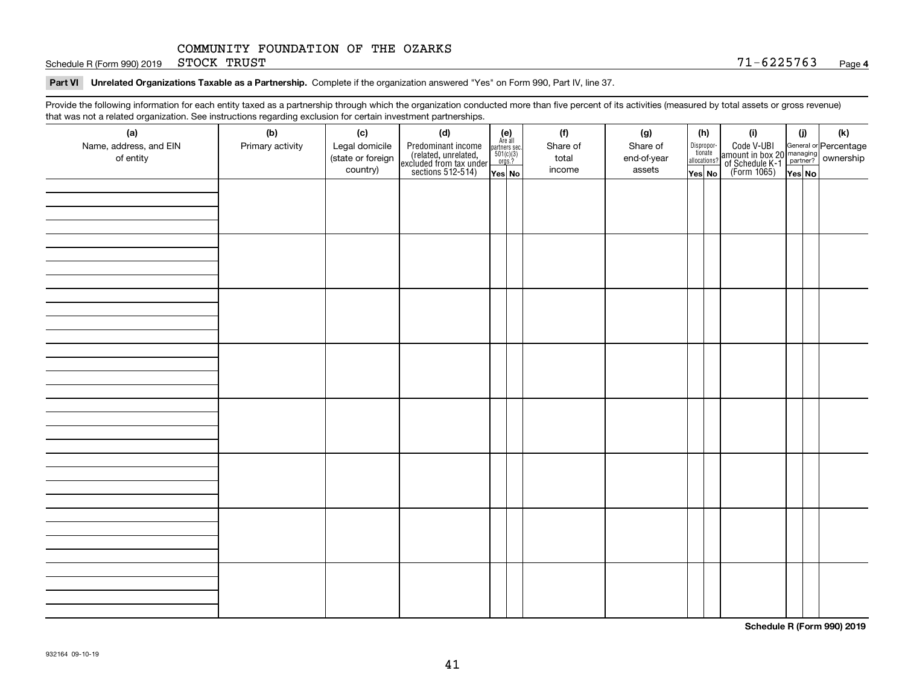Schedule R (Form 990) 2019 STOCK TRUST  $71-6225763$ STOCK TRUST

**Part VI Unrelated Organizations Taxable as a Partnership. Complete if the organization answered "Yes" on Form 990, Part IV, line 37.** 

Provide the following information for each entity taxed as a partnership through which the organization conducted more than five percent of its activities (measured by total assets or gross revenue) that was not a related organization. See instructions regarding exclusion for certain investment partnerships.

| that was not a related erganization. See includitions regarding excludion for contain investment partnereinper<br>(a) | (b)              | (c)               | (d)                                                                                        |                                                                                                                   | (f)      | (g)         | (h)                              | (i)                                                                                                    | (i)    | $(\mathsf{k})$ |
|-----------------------------------------------------------------------------------------------------------------------|------------------|-------------------|--------------------------------------------------------------------------------------------|-------------------------------------------------------------------------------------------------------------------|----------|-------------|----------------------------------|--------------------------------------------------------------------------------------------------------|--------|----------------|
| Name, address, and EIN                                                                                                | Primary activity | Legal domicile    |                                                                                            | $\begin{array}{c} \textbf{(e)}\\ \text{Are all} \\ \text{partners sec.}\\ 501(c)(3) \\ \text{orgs.?} \end{array}$ | Share of | Share of    |                                  |                                                                                                        |        |                |
| of entity                                                                                                             |                  | (state or foreign |                                                                                            |                                                                                                                   | total    | end-of-year | Disproportionate<br>allocations? |                                                                                                        |        |                |
|                                                                                                                       |                  | country)          | Predominant income<br>(related, unrelated,<br>excluded from tax under<br>sections 512-514) | Yes No                                                                                                            | income   | assets      | Yes No                           | Code V-UBI<br>amount in box 20 managing<br>of Schedule K-1 partner? ownership<br>(Form 1065)<br>ves No | Yes No |                |
|                                                                                                                       |                  |                   |                                                                                            |                                                                                                                   |          |             |                                  |                                                                                                        |        |                |
|                                                                                                                       |                  |                   |                                                                                            |                                                                                                                   |          |             |                                  |                                                                                                        |        |                |
|                                                                                                                       |                  |                   |                                                                                            |                                                                                                                   |          |             |                                  |                                                                                                        |        |                |
|                                                                                                                       |                  |                   |                                                                                            |                                                                                                                   |          |             |                                  |                                                                                                        |        |                |
|                                                                                                                       |                  |                   |                                                                                            |                                                                                                                   |          |             |                                  |                                                                                                        |        |                |
|                                                                                                                       |                  |                   |                                                                                            |                                                                                                                   |          |             |                                  |                                                                                                        |        |                |
|                                                                                                                       |                  |                   |                                                                                            |                                                                                                                   |          |             |                                  |                                                                                                        |        |                |
|                                                                                                                       |                  |                   |                                                                                            |                                                                                                                   |          |             |                                  |                                                                                                        |        |                |
|                                                                                                                       |                  |                   |                                                                                            |                                                                                                                   |          |             |                                  |                                                                                                        |        |                |
|                                                                                                                       |                  |                   |                                                                                            |                                                                                                                   |          |             |                                  |                                                                                                        |        |                |
|                                                                                                                       |                  |                   |                                                                                            |                                                                                                                   |          |             |                                  |                                                                                                        |        |                |
|                                                                                                                       |                  |                   |                                                                                            |                                                                                                                   |          |             |                                  |                                                                                                        |        |                |
|                                                                                                                       |                  |                   |                                                                                            |                                                                                                                   |          |             |                                  |                                                                                                        |        |                |
|                                                                                                                       |                  |                   |                                                                                            |                                                                                                                   |          |             |                                  |                                                                                                        |        |                |
|                                                                                                                       |                  |                   |                                                                                            |                                                                                                                   |          |             |                                  |                                                                                                        |        |                |
|                                                                                                                       |                  |                   |                                                                                            |                                                                                                                   |          |             |                                  |                                                                                                        |        |                |
|                                                                                                                       |                  |                   |                                                                                            |                                                                                                                   |          |             |                                  |                                                                                                        |        |                |
|                                                                                                                       |                  |                   |                                                                                            |                                                                                                                   |          |             |                                  |                                                                                                        |        |                |
|                                                                                                                       |                  |                   |                                                                                            |                                                                                                                   |          |             |                                  |                                                                                                        |        |                |
|                                                                                                                       |                  |                   |                                                                                            |                                                                                                                   |          |             |                                  |                                                                                                        |        |                |
|                                                                                                                       |                  |                   |                                                                                            |                                                                                                                   |          |             |                                  |                                                                                                        |        |                |
|                                                                                                                       |                  |                   |                                                                                            |                                                                                                                   |          |             |                                  |                                                                                                        |        |                |
|                                                                                                                       |                  |                   |                                                                                            |                                                                                                                   |          |             |                                  |                                                                                                        |        |                |
|                                                                                                                       |                  |                   |                                                                                            |                                                                                                                   |          |             |                                  |                                                                                                        |        |                |
|                                                                                                                       |                  |                   |                                                                                            |                                                                                                                   |          |             |                                  |                                                                                                        |        |                |
|                                                                                                                       |                  |                   |                                                                                            |                                                                                                                   |          |             |                                  |                                                                                                        |        |                |
|                                                                                                                       |                  |                   |                                                                                            |                                                                                                                   |          |             |                                  |                                                                                                        |        |                |
|                                                                                                                       |                  |                   |                                                                                            |                                                                                                                   |          |             |                                  |                                                                                                        |        |                |
|                                                                                                                       |                  |                   |                                                                                            |                                                                                                                   |          |             |                                  |                                                                                                        |        |                |
|                                                                                                                       |                  |                   |                                                                                            |                                                                                                                   |          |             |                                  |                                                                                                        |        |                |
|                                                                                                                       |                  |                   |                                                                                            |                                                                                                                   |          |             |                                  |                                                                                                        |        |                |
|                                                                                                                       |                  |                   |                                                                                            |                                                                                                                   |          |             |                                  |                                                                                                        |        |                |
|                                                                                                                       |                  |                   |                                                                                            |                                                                                                                   |          |             |                                  |                                                                                                        |        |                |

**Schedule R (Form 990) 2019**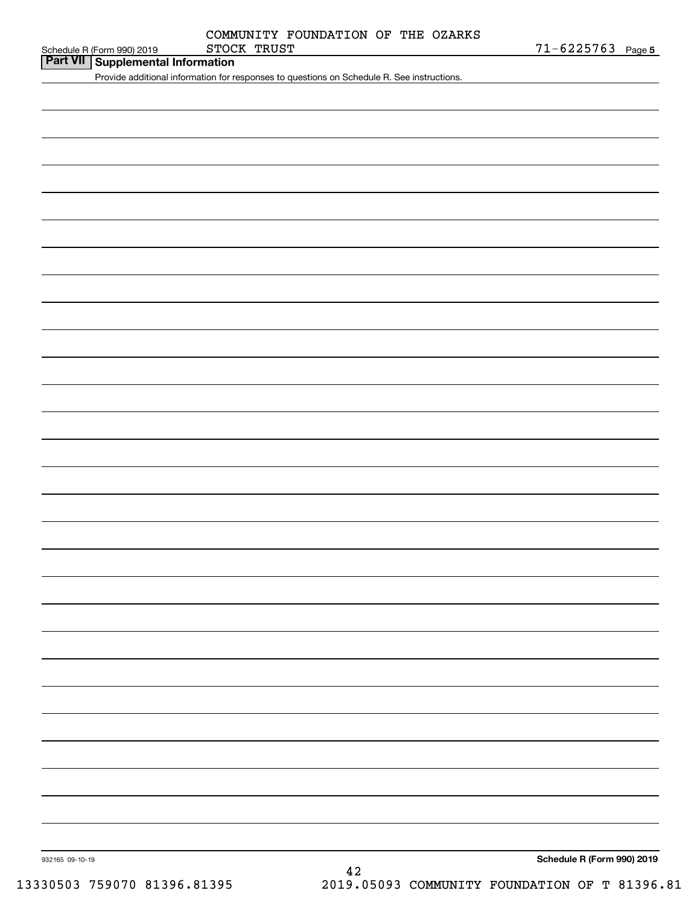|             | COMMUNITY FOUNDATION OF THE OZARKS |  |  |
|-------------|------------------------------------|--|--|
| STOCK TRUST |                                    |  |  |

|  | Schedule R (Form 990) 2019 |
|--|----------------------------|

**Part VII Supplemental Information**

Provide additional information for responses to questions on Schedule R. See instructions.